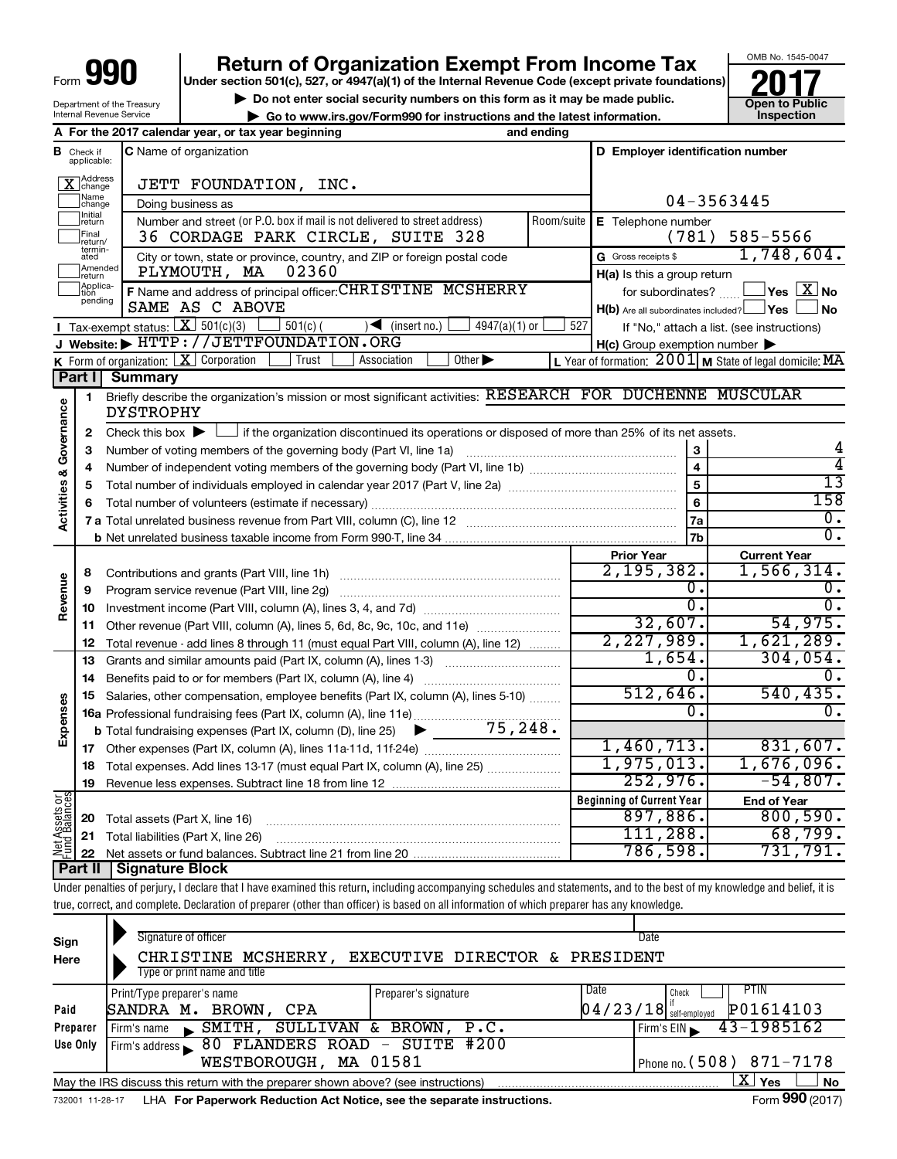Department of the Treasury Internal Revenue Service

# **990 Return of Organization Exempt From Income Tax 1990 2017 Divide the section 501(c)**, 527, or 4947(a)(1) of the Internal Revenue Code (except private foundations) **2017**

**Under section 501(c), 527, or 4947(a)(1) of the Internal Revenue Code (except private foundations)**

▶ Do not enter social security numbers on this form as it may be made public.<br>● Go to www.irs.gov/Form990 for instructions and the latest information. **Department in the latest** information.





| В                                   | Check if<br>applicable: | <b>C</b> Name of organization                                                                                                               |                                   | D Employer identification number                                      |                                                           |  |  |  |
|-------------------------------------|-------------------------|---------------------------------------------------------------------------------------------------------------------------------------------|-----------------------------------|-----------------------------------------------------------------------|-----------------------------------------------------------|--|--|--|
| Address<br>change<br>Name<br>change |                         | JETT FOUNDATION, INC.                                                                                                                       |                                   |                                                                       |                                                           |  |  |  |
|                                     |                         | Doing business as                                                                                                                           |                                   | 04-3563445                                                            |                                                           |  |  |  |
|                                     | Initial<br>return       | Number and street (or P.O. box if mail is not delivered to street address)                                                                  | Room/suite                        | E Telephone number                                                    |                                                           |  |  |  |
|                                     | Final<br>return/        | 36 CORDAGE PARK CIRCLE, SUITE 328                                                                                                           | (781)                             | 585-5566                                                              |                                                           |  |  |  |
|                                     | termin-<br>ated         | City or town, state or province, country, and ZIP or foreign postal code                                                                    | 1,748,604.<br>G Gross receipts \$ |                                                                       |                                                           |  |  |  |
|                                     | Amended<br>return       | PLYMOUTH, MA<br>02360                                                                                                                       | $H(a)$ is this a group return     |                                                                       |                                                           |  |  |  |
|                                     | Applica-                | F Name and address of principal officer: CHRISTINE MCSHERRY                                                                                 |                                   |                                                                       |                                                           |  |  |  |
|                                     | pending                 | SAME AS C ABOVE                                                                                                                             |                                   | for subordinates?<br>$H(b)$ Are all subordinates included? $\Box$ Yes | $\overline{\ }$ Yes $\overline{\rm X}$ No<br>∣No          |  |  |  |
|                                     |                         | <b>I</b> Tax-exempt status: $X \overline{X}$ 501(c)(3)<br>$\Box$ 501(c) (<br>$\sqrt{\frac{1}{1}}$ (insert no.)<br>$4947(a)(1)$ or           | 527                               |                                                                       | If "No," attach a list. (see instructions)                |  |  |  |
|                                     |                         | J Website: FITTP://JETTFOUNDATION.ORG                                                                                                       |                                   | $H(c)$ Group exemption number $\blacktriangleright$                   |                                                           |  |  |  |
|                                     |                         | $\overline{K}$ Form of organization: $\boxed{X}$ Corporation<br>Other $\blacktriangleright$<br>Trust<br>Association                         |                                   |                                                                       | L Year of formation: $2001$ M State of legal domicile: MA |  |  |  |
|                                     | Part I                  | <b>Summary</b>                                                                                                                              |                                   |                                                                       |                                                           |  |  |  |
|                                     | 1                       | Briefly describe the organization's mission or most significant activities: RESEARCH FOR DUCHENNE MUSCULAR                                  |                                   |                                                                       |                                                           |  |  |  |
| Activities & Governance             |                         | <b>DYSTROPHY</b>                                                                                                                            |                                   |                                                                       |                                                           |  |  |  |
|                                     | 2                       | Check this box $\blacktriangleright$ $\Box$ if the organization discontinued its operations or disposed of more than 25% of its net assets. |                                   |                                                                       |                                                           |  |  |  |
|                                     | З                       | Number of voting members of the governing body (Part VI, line 1a)                                                                           |                                   | 3                                                                     |                                                           |  |  |  |
|                                     | 4                       |                                                                                                                                             | $\overline{\mathbf{4}}$           | 4                                                                     |                                                           |  |  |  |
|                                     | 5                       |                                                                                                                                             | $\overline{5}$                    | $\overline{13}$                                                       |                                                           |  |  |  |
|                                     | 6                       |                                                                                                                                             | 6                                 | 158                                                                   |                                                           |  |  |  |
|                                     |                         |                                                                                                                                             |                                   | 7a                                                                    | $\overline{0}$ .                                          |  |  |  |
|                                     |                         |                                                                                                                                             | 7b                                | $\overline{0}$ .                                                      |                                                           |  |  |  |
|                                     |                         |                                                                                                                                             |                                   | <b>Prior Year</b>                                                     | <b>Current Year</b>                                       |  |  |  |
|                                     | 8                       | Contributions and grants (Part VIII, line 1h)                                                                                               |                                   | 2, 195, 382.                                                          | 1,566,314.                                                |  |  |  |
|                                     | 9                       | Program service revenue (Part VIII, line 2g)                                                                                                |                                   | 0.                                                                    | 0.                                                        |  |  |  |
| Revenue                             | 10                      |                                                                                                                                             |                                   | Ο.                                                                    | 0.                                                        |  |  |  |
|                                     | 11                      | Other revenue (Part VIII, column (A), lines 5, 6d, 8c, 9c, 10c, and 11e)                                                                    |                                   | 32,607.                                                               | 54,975.                                                   |  |  |  |
|                                     | 12                      | Total revenue - add lines 8 through 11 (must equal Part VIII, column (A), line 12)                                                          |                                   | 2,227,989.                                                            | 1,621,289.                                                |  |  |  |
|                                     | 13                      | Grants and similar amounts paid (Part IX, column (A), lines 1-3)                                                                            |                                   | 1,654.                                                                | 304,054.                                                  |  |  |  |
|                                     | 14                      | Benefits paid to or for members (Part IX, column (A), line 4)                                                                               |                                   | 0.                                                                    | 0.                                                        |  |  |  |
|                                     | 15                      | Salaries, other compensation, employee benefits (Part IX, column (A), lines 5-10)                                                           |                                   | 512,646.                                                              | 540, 435.                                                 |  |  |  |
| Expenses                            |                         |                                                                                                                                             |                                   | 0.                                                                    | 0.                                                        |  |  |  |
|                                     |                         | <b>b</b> Total fundraising expenses (Part IX, column (D), line 25) $\triangleright$                                                         |                                   |                                                                       |                                                           |  |  |  |
|                                     | 17                      |                                                                                                                                             |                                   | 1,460,713.                                                            | 831,607.                                                  |  |  |  |
|                                     | 18                      | Total expenses. Add lines 13-17 (must equal Part IX, column (A), line 25)                                                                   |                                   | 1,975,013.                                                            | 1,676,096.                                                |  |  |  |
|                                     | 19                      |                                                                                                                                             |                                   | 252,976.                                                              | $-54,807.$                                                |  |  |  |
|                                     |                         |                                                                                                                                             |                                   | <b>Beginning of Current Year</b>                                      | <b>End of Year</b>                                        |  |  |  |
|                                     |                         |                                                                                                                                             |                                   | 897,886.                                                              | 800,590.                                                  |  |  |  |
|                                     | 20<br>21                | Total assets (Part X, line 16)<br>Total liabilities (Part X, line 26)                                                                       |                                   | 111,288.                                                              | 68,799.                                                   |  |  |  |
| Net Assets or<br>Fund Balances      |                         |                                                                                                                                             |                                   | 786,598.                                                              | 731,791.                                                  |  |  |  |
|                                     | 22<br>Part II           | <b>Signature Block</b>                                                                                                                      |                                   |                                                                       |                                                           |  |  |  |
|                                     |                         |                                                                                                                                             |                                   |                                                                       |                                                           |  |  |  |

Under penalties of perjury, I declare that I have examined this return, including accompanying schedules and statements, and to the best of my knowledge and belief, it is true, correct, and complete. Declaration of preparer (other than officer) is based on all information of which preparer has any knowledge.

| Sign                                                | Signature of officer                                                                                         |                                |      | Date                                  |  |  |  |  |  |  |  |
|-----------------------------------------------------|--------------------------------------------------------------------------------------------------------------|--------------------------------|------|---------------------------------------|--|--|--|--|--|--|--|
| Here                                                | CHRISTINE MCSHERRY,                                                                                          | EXECUTIVE DIRECTOR & PRESIDENT |      |                                       |  |  |  |  |  |  |  |
|                                                     | Type or print name and title                                                                                 |                                |      |                                       |  |  |  |  |  |  |  |
|                                                     | Print/Type preparer's name                                                                                   | Preparer's signature           | Date | PTIN<br>Check                         |  |  |  |  |  |  |  |
| Paid                                                | SANDRA M.<br>BROWN,<br>CPA                                                                                   |                                |      | P01614103<br>$04/23/18$ self-employed |  |  |  |  |  |  |  |
| Preparer                                            | SULLIVAN &<br>SMITH,<br>Firm's name                                                                          | BROWN,<br>P.C.                 |      | 43-1985162<br>Firm's EIN              |  |  |  |  |  |  |  |
| Use Only                                            | Firm's address 80 FLANDERS ROAD - SUITE #200                                                                 |                                |      |                                       |  |  |  |  |  |  |  |
| Phone no. $(508)$ 871-7178<br>WESTBOROUGH, MA 01581 |                                                                                                              |                                |      |                                       |  |  |  |  |  |  |  |
|                                                     | X'<br><b>No</b><br>Yes<br>May the IRS discuss this return with the preparer shown above? (see instructions)  |                                |      |                                       |  |  |  |  |  |  |  |
|                                                     | Form 990 (2017)<br>LHA For Paperwork Reduction Act Notice, see the separate instructions.<br>732001 11-28-17 |                                |      |                                       |  |  |  |  |  |  |  |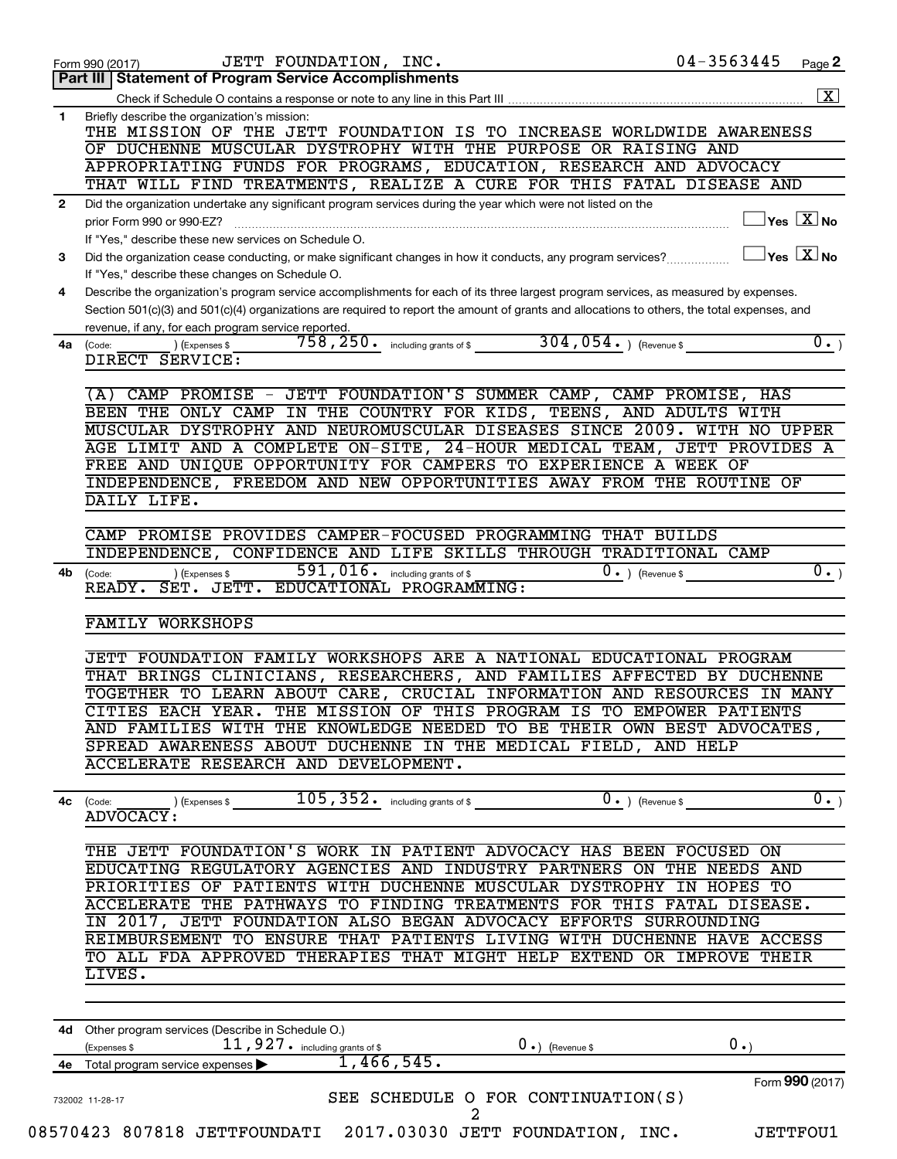|              | 04-3563445<br>JETT FOUNDATION, INC.<br>Form 990 (2017)<br>Part III   Statement of Program Service Accomplishments                                                                                   | Page 2          |
|--------------|-----------------------------------------------------------------------------------------------------------------------------------------------------------------------------------------------------|-----------------|
|              |                                                                                                                                                                                                     |                 |
| $\mathbf{1}$ | Briefly describe the organization's mission:<br>THE MISSION OF THE JETT FOUNDATION IS TO INCREASE WORLDWIDE AWARENESS                                                                               |                 |
|              | OF DUCHENNE MUSCULAR DYSTROPHY WITH THE PURPOSE OR RAISING AND                                                                                                                                      |                 |
|              | APPROPRIATING FUNDS FOR PROGRAMS, EDUCATION, RESEARCH AND ADVOCACY                                                                                                                                  |                 |
|              | THAT WILL FIND TREATMENTS, REALIZE A CURE FOR THIS FATAL DISEASE AND                                                                                                                                |                 |
| $\mathbf{2}$ | Did the organization undertake any significant program services during the year which were not listed on the                                                                                        |                 |
|              | $\overline{\mathsf{Yes} \mathbb{X}}$ No<br>prior Form 990 or 990-EZ?                                                                                                                                |                 |
|              | If "Yes," describe these new services on Schedule O.                                                                                                                                                |                 |
| 3            | $Yes \quad X \overline{X}$ No<br>Did the organization cease conducting, or make significant changes in how it conducts, any program services?                                                       |                 |
|              | If "Yes," describe these changes on Schedule O.                                                                                                                                                     |                 |
| 4            | Describe the organization's program service accomplishments for each of its three largest program services, as measured by expenses.                                                                |                 |
|              | Section 501(c)(3) and 501(c)(4) organizations are required to report the amount of grants and allocations to others, the total expenses, and<br>revenue, if any, for each program service reported. |                 |
| 4a           | 304,054. ) (Revenue \$<br>$758$ , $250$ $\cdot$ including grants of \$<br>(Expenses \$<br>(Code:                                                                                                    | $\overline{0.}$ |
|              | DIRECT SERVICE:                                                                                                                                                                                     |                 |
|              |                                                                                                                                                                                                     |                 |
|              | CAMP PROMISE - JETT FOUNDATION'S SUMMER CAMP, CAMP PROMISE, HAS<br>(A)                                                                                                                              |                 |
|              | BEEN THE ONLY CAMP IN THE COUNTRY FOR KIDS, TEENS, AND ADULTS WITH                                                                                                                                  |                 |
|              | MUSCULAR DYSTROPHY AND NEUROMUSCULAR DISEASES SINCE 2009. WITH NO UPPER                                                                                                                             |                 |
|              | AGE LIMIT AND A COMPLETE ON-SITE, 24-HOUR MEDICAL TEAM, JETT PROVIDES A                                                                                                                             |                 |
|              | FREE AND UNIQUE OPPORTUNITY FOR CAMPERS TO EXPERIENCE A WEEK OF<br>INDEPENDENCE, FREEDOM AND NEW OPPORTUNITIES AWAY FROM THE ROUTINE OF                                                             |                 |
|              | DAILY LIFE.                                                                                                                                                                                         |                 |
|              |                                                                                                                                                                                                     |                 |
|              | CAMP PROMISE PROVIDES CAMPER-FOCUSED PROGRAMMING THAT BUILDS                                                                                                                                        |                 |
|              | INDEPENDENCE, CONFIDENCE AND LIFE SKILLS THROUGH TRADITIONAL CAMP                                                                                                                                   |                 |
| 4b           | 591,016.<br>$0 \cdot$ ) (Revenue \$<br>including grants of \$<br>) (Expenses \$<br>(Code:                                                                                                           | $\overline{0.}$ |
|              | READY. SET. JETT. EDUCATIONAL PROGRAMMING:                                                                                                                                                          |                 |
|              |                                                                                                                                                                                                     |                 |
|              | <b>FAMILY WORKSHOPS</b>                                                                                                                                                                             |                 |
|              | JETT FOUNDATION FAMILY WORKSHOPS ARE A NATIONAL EDUCATIONAL PROGRAM                                                                                                                                 |                 |
|              | THAT BRINGS CLINICIANS, RESEARCHERS, AND FAMILIES AFFECTED BY DUCHENNE                                                                                                                              |                 |
|              | TOGETHER TO LEARN ABOUT CARE, CRUCIAL INFORMATION AND RESOURCES IN MANY                                                                                                                             |                 |
|              | CITIES EACH YEAR. THE MISSION OF THIS PROGRAM IS TO EMPOWER PATIENTS                                                                                                                                |                 |
|              | AND FAMILIES WITH THE KNOWLEDGE NEEDED TO BE THEIR OWN BEST ADVOCATES,                                                                                                                              |                 |
|              | SPREAD AWARENESS ABOUT DUCHENNE IN THE MEDICAL FIELD, AND HELP                                                                                                                                      |                 |
|              | ACCELERATE RESEARCH AND DEVELOPMENT.                                                                                                                                                                |                 |
|              |                                                                                                                                                                                                     |                 |
|              | $4c$ (Code:                                                                                                                                                                                         | $\overline{0.}$ |
|              | ADVOCACY:                                                                                                                                                                                           |                 |
|              | THE JETT FOUNDATION'S WORK IN PATIENT ADVOCACY HAS BEEN FOCUSED ON                                                                                                                                  |                 |
|              |                                                                                                                                                                                                     |                 |
|              |                                                                                                                                                                                                     |                 |
|              | EDUCATING REGULATORY AGENCIES AND INDUSTRY PARTNERS ON THE NEEDS AND                                                                                                                                |                 |
|              | PRIORITIES OF PATIENTS WITH DUCHENNE MUSCULAR DYSTROPHY IN HOPES TO<br>ACCELERATE THE PATHWAYS TO FINDING TREATMENTS FOR THIS FATAL DISEASE.                                                        |                 |
|              | IN 2017, JETT FOUNDATION ALSO BEGAN ADVOCACY EFFORTS SURROUNDING                                                                                                                                    |                 |
|              | REIMBURSEMENT TO ENSURE THAT PATIENTS LIVING WITH DUCHENNE HAVE ACCESS                                                                                                                              |                 |
|              | TO ALL FDA APPROVED THERAPIES THAT MIGHT HELP EXTEND OR IMPROVE THEIR                                                                                                                               |                 |
|              | LIVES.                                                                                                                                                                                              |                 |
|              |                                                                                                                                                                                                     |                 |
|              |                                                                                                                                                                                                     |                 |
|              | 4d Other program services (Describe in Schedule O.)                                                                                                                                                 |                 |
|              | 0.<br>$11$ , $927$ $\cdot$ including grants of \$<br>$0 \cdot$ ) (Revenue \$<br>(Expenses \$                                                                                                        |                 |
|              | $1,466,545$ .<br>4e Total program service expenses                                                                                                                                                  |                 |
|              | Form 990 (2017)<br>SEE SCHEDULE O FOR CONTINUATION(S)<br>732002 11-28-17                                                                                                                            |                 |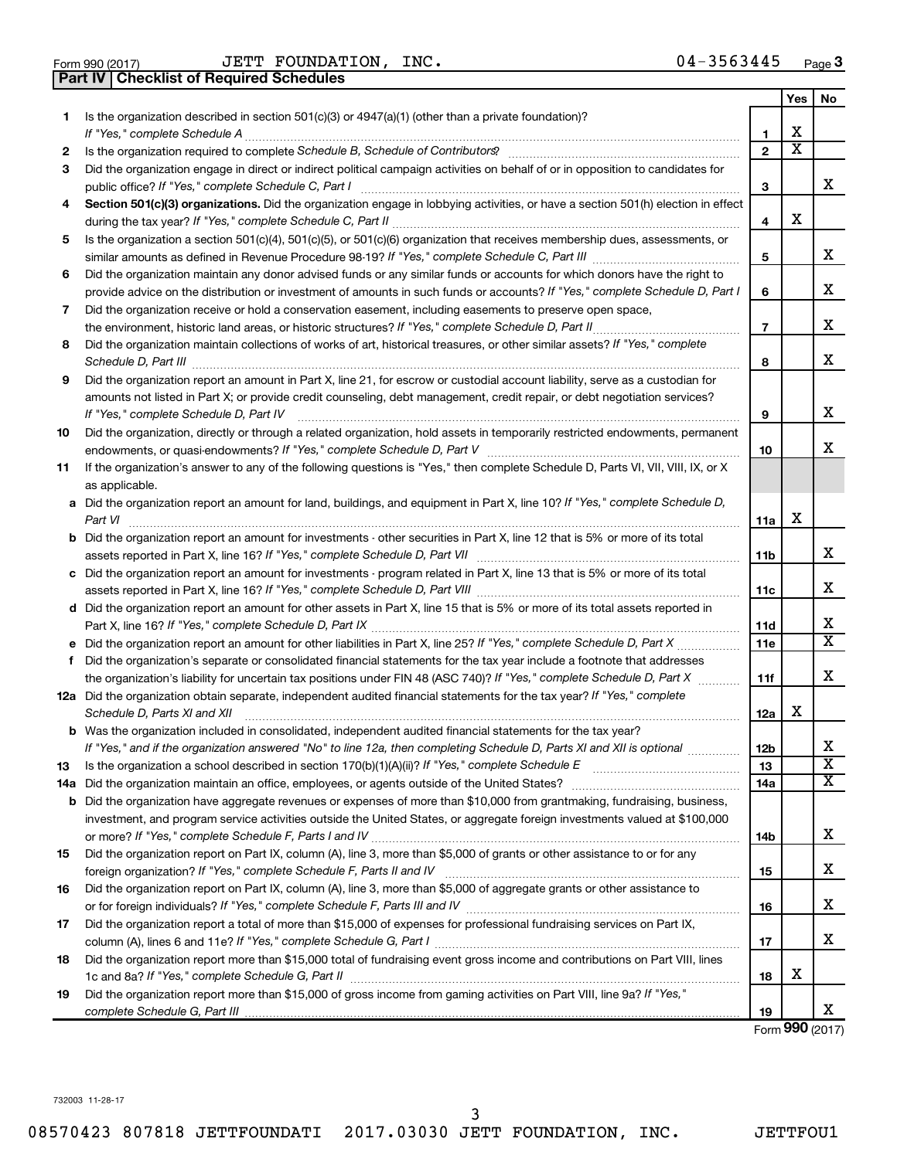Form 990 (2017)  $JETT$   $FOUNDATION$ ,  $INC.$   $04-3563445$   $Page$ **Part IV Checklist of Required Schedules**

|    |                                                                                                                                                                                                                                                                                                                                                                     |                               | Yes                     | No                      |
|----|---------------------------------------------------------------------------------------------------------------------------------------------------------------------------------------------------------------------------------------------------------------------------------------------------------------------------------------------------------------------|-------------------------------|-------------------------|-------------------------|
| 1  | Is the organization described in section $501(c)(3)$ or $4947(a)(1)$ (other than a private foundation)?                                                                                                                                                                                                                                                             | 1.                            | X                       |                         |
| 2  |                                                                                                                                                                                                                                                                                                                                                                     | $\overline{2}$                | $\overline{\textbf{x}}$ |                         |
| 3  | Did the organization engage in direct or indirect political campaign activities on behalf of or in opposition to candidates for                                                                                                                                                                                                                                     | 3                             |                         | x                       |
| 4  | Section 501(c)(3) organizations. Did the organization engage in lobbying activities, or have a section 501(h) election in effect                                                                                                                                                                                                                                    |                               |                         |                         |
|    |                                                                                                                                                                                                                                                                                                                                                                     | 4                             | х                       |                         |
| 5  | Is the organization a section 501(c)(4), 501(c)(5), or 501(c)(6) organization that receives membership dues, assessments, or                                                                                                                                                                                                                                        |                               |                         |                         |
|    |                                                                                                                                                                                                                                                                                                                                                                     | 5                             |                         | х                       |
| 6  | Did the organization maintain any donor advised funds or any similar funds or accounts for which donors have the right to                                                                                                                                                                                                                                           |                               |                         |                         |
|    | provide advice on the distribution or investment of amounts in such funds or accounts? If "Yes," complete Schedule D, Part I                                                                                                                                                                                                                                        | 6                             |                         | x                       |
| 7  | Did the organization receive or hold a conservation easement, including easements to preserve open space,                                                                                                                                                                                                                                                           |                               |                         |                         |
|    |                                                                                                                                                                                                                                                                                                                                                                     | $\overline{7}$                |                         | х                       |
| 8  | Did the organization maintain collections of works of art, historical treasures, or other similar assets? If "Yes," complete<br>Schedule D, Part III <b>Marting Communities</b> and the contract of the contract of the contract of the contract of the contract of the contract of the contract of the contract of the contract of the contract of the contract of | 8                             |                         | х                       |
| 9  | Did the organization report an amount in Part X, line 21, for escrow or custodial account liability, serve as a custodian for                                                                                                                                                                                                                                       |                               |                         |                         |
|    | amounts not listed in Part X; or provide credit counseling, debt management, credit repair, or debt negotiation services?                                                                                                                                                                                                                                           |                               |                         |                         |
|    | If "Yes," complete Schedule D, Part IV                                                                                                                                                                                                                                                                                                                              | 9                             |                         | х                       |
| 10 | Did the organization, directly or through a related organization, hold assets in temporarily restricted endowments, permanent                                                                                                                                                                                                                                       |                               |                         |                         |
|    |                                                                                                                                                                                                                                                                                                                                                                     | 10                            |                         | x                       |
| 11 | If the organization's answer to any of the following questions is "Yes," then complete Schedule D, Parts VI, VII, VIII, IX, or X                                                                                                                                                                                                                                    |                               |                         |                         |
|    | as applicable.                                                                                                                                                                                                                                                                                                                                                      |                               |                         |                         |
|    | a Did the organization report an amount for land, buildings, and equipment in Part X, line 10? If "Yes," complete Schedule D,<br>Part VI                                                                                                                                                                                                                            | 11a                           | X                       |                         |
|    | <b>b</b> Did the organization report an amount for investments - other securities in Part X, line 12 that is 5% or more of its total                                                                                                                                                                                                                                |                               |                         |                         |
|    |                                                                                                                                                                                                                                                                                                                                                                     | 11b                           |                         | х                       |
|    | c Did the organization report an amount for investments - program related in Part X, line 13 that is 5% or more of its total                                                                                                                                                                                                                                        |                               |                         |                         |
|    |                                                                                                                                                                                                                                                                                                                                                                     | 11c                           |                         | х                       |
|    | d Did the organization report an amount for other assets in Part X, line 15 that is 5% or more of its total assets reported in                                                                                                                                                                                                                                      |                               |                         | х                       |
|    | e Did the organization report an amount for other liabilities in Part X, line 25? If "Yes," complete Schedule D, Part X                                                                                                                                                                                                                                             | <b>11d</b><br>11 <sub>c</sub> |                         | х                       |
|    | Did the organization's separate or consolidated financial statements for the tax year include a footnote that addresses                                                                                                                                                                                                                                             |                               |                         |                         |
| f. | the organization's liability for uncertain tax positions under FIN 48 (ASC 740)? If "Yes," complete Schedule D, Part X                                                                                                                                                                                                                                              | 11f                           |                         | x                       |
|    | 12a Did the organization obtain separate, independent audited financial statements for the tax year? If "Yes," complete                                                                                                                                                                                                                                             |                               |                         |                         |
|    | Schedule D, Parts XI and XII                                                                                                                                                                                                                                                                                                                                        | 12a                           | х                       |                         |
|    | <b>b</b> Was the organization included in consolidated, independent audited financial statements for the tax year?                                                                                                                                                                                                                                                  |                               |                         |                         |
|    | If "Yes," and if the organization answered "No" to line 12a, then completing Schedule D, Parts XI and XII is optional                                                                                                                                                                                                                                               | 12b                           |                         | х                       |
| 13 |                                                                                                                                                                                                                                                                                                                                                                     | 13                            |                         | $\overline{\mathbf{x}}$ |
|    | 14a Did the organization maintain an office, employees, or agents outside of the United States?                                                                                                                                                                                                                                                                     | 14a                           |                         | х                       |
|    | <b>b</b> Did the organization have aggregate revenues or expenses of more than \$10,000 from grantmaking, fundraising, business,                                                                                                                                                                                                                                    |                               |                         |                         |
|    | investment, and program service activities outside the United States, or aggregate foreign investments valued at \$100,000                                                                                                                                                                                                                                          |                               |                         |                         |
|    |                                                                                                                                                                                                                                                                                                                                                                     | 14b                           |                         | x                       |
| 15 | Did the organization report on Part IX, column (A), line 3, more than \$5,000 of grants or other assistance to or for any                                                                                                                                                                                                                                           |                               |                         |                         |
|    |                                                                                                                                                                                                                                                                                                                                                                     | 15                            |                         | х                       |
| 16 | Did the organization report on Part IX, column (A), line 3, more than \$5,000 of aggregate grants or other assistance to                                                                                                                                                                                                                                            | 16                            |                         | х                       |
| 17 | Did the organization report a total of more than \$15,000 of expenses for professional fundraising services on Part IX,                                                                                                                                                                                                                                             |                               |                         |                         |
|    |                                                                                                                                                                                                                                                                                                                                                                     | 17                            |                         | x                       |
| 18 | Did the organization report more than \$15,000 total of fundraising event gross income and contributions on Part VIII, lines                                                                                                                                                                                                                                        |                               |                         |                         |
|    |                                                                                                                                                                                                                                                                                                                                                                     | 18                            | х                       |                         |
| 19 | Did the organization report more than \$15,000 of gross income from gaming activities on Part VIII, line 9a? If "Yes,"                                                                                                                                                                                                                                              |                               |                         |                         |
|    |                                                                                                                                                                                                                                                                                                                                                                     | 19                            |                         | x                       |

Form (2017) **990**

732003 11-28-17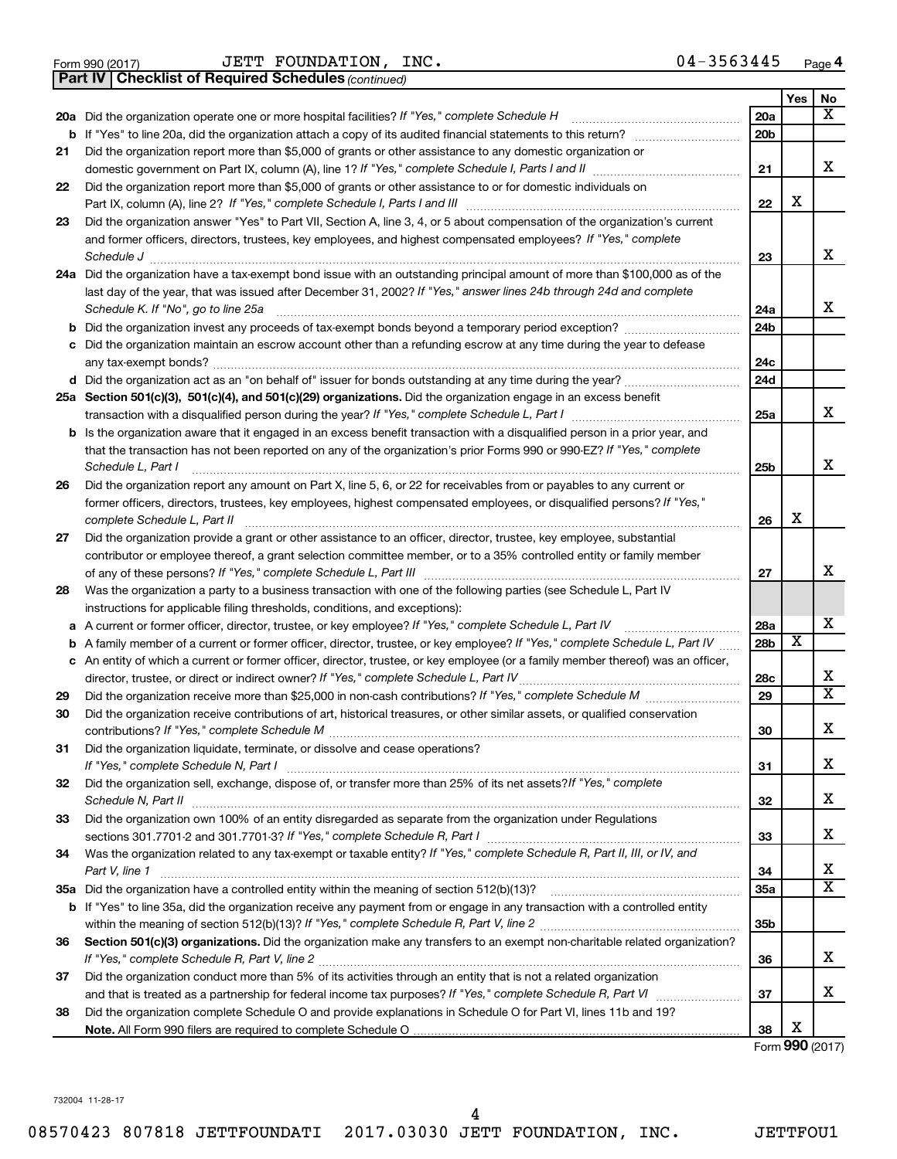Form 990 (2017)  $JETT$   $FOUNDATION$ ,  $INC.$   $04-3563445$   $Page$ 

*(continued)* **Part IV Checklist of Required Schedules**

|    |                                                                                                                                                                                                                                              |                 | Yes                     | No                      |
|----|----------------------------------------------------------------------------------------------------------------------------------------------------------------------------------------------------------------------------------------------|-----------------|-------------------------|-------------------------|
|    | 20a Did the organization operate one or more hospital facilities? If "Yes," complete Schedule H                                                                                                                                              | 20a             |                         | x                       |
|    | <b>b</b> If "Yes" to line 20a, did the organization attach a copy of its audited financial statements to this return? <i>manumer</i>                                                                                                         | 20 <sub>b</sub> |                         |                         |
| 21 | Did the organization report more than \$5,000 of grants or other assistance to any domestic organization or                                                                                                                                  |                 |                         |                         |
|    |                                                                                                                                                                                                                                              | 21              |                         | x                       |
| 22 | Did the organization report more than \$5,000 of grants or other assistance to or for domestic individuals on                                                                                                                                |                 | X                       |                         |
|    |                                                                                                                                                                                                                                              | 22              |                         |                         |
| 23 | Did the organization answer "Yes" to Part VII, Section A, line 3, 4, or 5 about compensation of the organization's current<br>and former officers, directors, trustees, key employees, and highest compensated employees? If "Yes," complete |                 |                         |                         |
|    | Schedule J                                                                                                                                                                                                                                   | 23              |                         | x                       |
|    | 24a Did the organization have a tax-exempt bond issue with an outstanding principal amount of more than \$100,000 as of the                                                                                                                  |                 |                         |                         |
|    | last day of the year, that was issued after December 31, 2002? If "Yes," answer lines 24b through 24d and complete                                                                                                                           |                 |                         |                         |
|    | Schedule K. If "No", go to line 25a                                                                                                                                                                                                          | 24a             |                         | x                       |
| b  | Did the organization invest any proceeds of tax-exempt bonds beyond a temporary period exception?                                                                                                                                            | 24 <sub>b</sub> |                         |                         |
| с  | Did the organization maintain an escrow account other than a refunding escrow at any time during the year to defease                                                                                                                         |                 |                         |                         |
|    |                                                                                                                                                                                                                                              | 24c             |                         |                         |
|    |                                                                                                                                                                                                                                              | 24d             |                         |                         |
|    | 25a Section 501(c)(3), 501(c)(4), and 501(c)(29) organizations. Did the organization engage in an excess benefit                                                                                                                             |                 |                         |                         |
|    |                                                                                                                                                                                                                                              | 25a             |                         | x                       |
|    | <b>b</b> Is the organization aware that it engaged in an excess benefit transaction with a disqualified person in a prior year, and                                                                                                          |                 |                         |                         |
|    | that the transaction has not been reported on any of the organization's prior Forms 990 or 990-EZ? If "Yes," complete                                                                                                                        |                 |                         | X                       |
| 26 | Schedule L, Part I<br>Did the organization report any amount on Part X, line 5, 6, or 22 for receivables from or payables to any current or                                                                                                  | 25b             |                         |                         |
|    | former officers, directors, trustees, key employees, highest compensated employees, or disqualified persons? If "Yes,"                                                                                                                       |                 |                         |                         |
|    | complete Schedule L, Part II                                                                                                                                                                                                                 | 26              | X                       |                         |
| 27 | Did the organization provide a grant or other assistance to an officer, director, trustee, key employee, substantial                                                                                                                         |                 |                         |                         |
|    | contributor or employee thereof, a grant selection committee member, or to a 35% controlled entity or family member                                                                                                                          |                 |                         |                         |
|    |                                                                                                                                                                                                                                              | 27              |                         | х                       |
| 28 | Was the organization a party to a business transaction with one of the following parties (see Schedule L, Part IV                                                                                                                            |                 |                         |                         |
|    | instructions for applicable filing thresholds, conditions, and exceptions):                                                                                                                                                                  |                 |                         |                         |
| а  | A current or former officer, director, trustee, or key employee? If "Yes," complete Schedule L, Part IV                                                                                                                                      | 28a             |                         | х                       |
| b  | A family member of a current or former officer, director, trustee, or key employee? If "Yes," complete Schedule L, Part IV                                                                                                                   | 28 <sub>b</sub> | $\overline{\textbf{x}}$ |                         |
|    | c An entity of which a current or former officer, director, trustee, or key employee (or a family member thereof) was an officer,<br>director, trustee, or direct or indirect owner? If "Yes," complete Schedule L, Part IV                  | 28c             |                         | х                       |
| 29 |                                                                                                                                                                                                                                              | 29              |                         | $\overline{\mathtt{x}}$ |
| 30 | Did the organization receive contributions of art, historical treasures, or other similar assets, or qualified conservation                                                                                                                  |                 |                         |                         |
|    |                                                                                                                                                                                                                                              | 30              |                         | x                       |
| 31 | Did the organization liquidate, terminate, or dissolve and cease operations?                                                                                                                                                                 |                 |                         |                         |
|    |                                                                                                                                                                                                                                              | 31              |                         | х                       |
| 32 | Did the organization sell, exchange, dispose of, or transfer more than 25% of its net assets? If "Yes," complete                                                                                                                             |                 |                         |                         |
|    | Schedule N, Part II                                                                                                                                                                                                                          | 32              |                         | x                       |
| 33 | Did the organization own 100% of an entity disregarded as separate from the organization under Regulations                                                                                                                                   |                 |                         | х                       |
|    |                                                                                                                                                                                                                                              | 33              |                         |                         |
| 34 | Was the organization related to any tax-exempt or taxable entity? If "Yes," complete Schedule R, Part II, III, or IV, and<br>Part V, line 1                                                                                                  | 34              |                         | х                       |
|    |                                                                                                                                                                                                                                              | 35a             |                         | $\overline{\mathtt{x}}$ |
|    | b If "Yes" to line 35a, did the organization receive any payment from or engage in any transaction with a controlled entity                                                                                                                  |                 |                         |                         |
|    |                                                                                                                                                                                                                                              | 35 <sub>b</sub> |                         |                         |
| 36 | Section 501(c)(3) organizations. Did the organization make any transfers to an exempt non-charitable related organization?                                                                                                                   |                 |                         |                         |
|    |                                                                                                                                                                                                                                              | 36              |                         | x                       |
| 37 | Did the organization conduct more than 5% of its activities through an entity that is not a related organization                                                                                                                             |                 |                         |                         |
|    |                                                                                                                                                                                                                                              | 37              |                         | x                       |
| 38 | Did the organization complete Schedule O and provide explanations in Schedule O for Part VI, lines 11b and 19?                                                                                                                               |                 |                         |                         |
|    |                                                                                                                                                                                                                                              | 38              | х                       |                         |

Form (2017) **990**

732004 11-28-17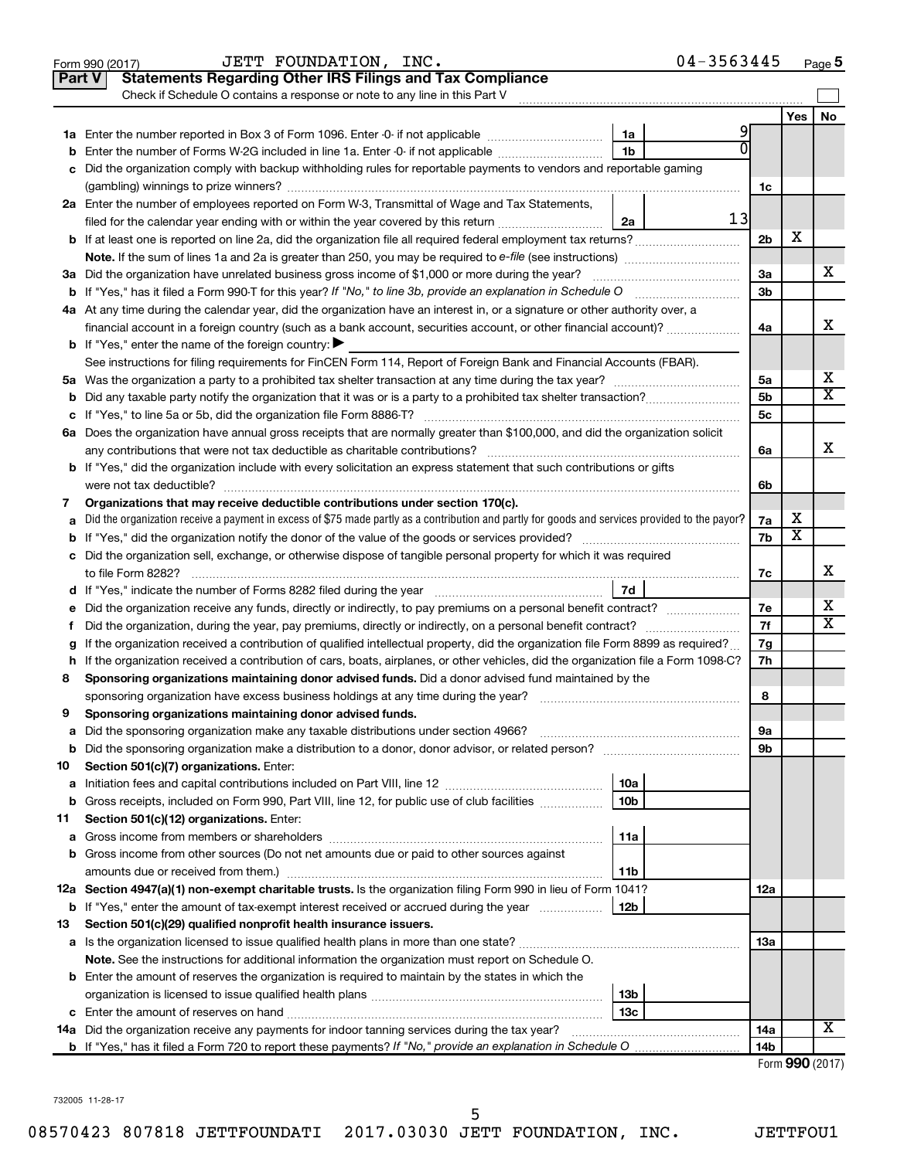|    | 04-3563445<br>JETT FOUNDATION, INC.<br>Form 990 (2017)                                                                                          |                 |     | Page 5          |
|----|-------------------------------------------------------------------------------------------------------------------------------------------------|-----------------|-----|-----------------|
|    | <b>Statements Regarding Other IRS Filings and Tax Compliance</b><br><b>Part V</b>                                                               |                 |     |                 |
|    | Check if Schedule O contains a response or note to any line in this Part V                                                                      |                 |     |                 |
|    |                                                                                                                                                 |                 | Yes | No              |
|    | 9<br>1a                                                                                                                                         |                 |     |                 |
| b  | U<br>1 <sub>b</sub><br>Enter the number of Forms W-2G included in line 1a. Enter -0- if not applicable                                          |                 |     |                 |
|    | c Did the organization comply with backup withholding rules for reportable payments to vendors and reportable gaming                            |                 |     |                 |
|    |                                                                                                                                                 | 1c              |     |                 |
|    | 2a Enter the number of employees reported on Form W-3, Transmittal of Wage and Tax Statements,                                                  |                 |     |                 |
|    | 13<br>filed for the calendar year ending with or within the year covered by this return<br>2a                                                   |                 |     |                 |
|    |                                                                                                                                                 | 2 <sub>b</sub>  | х   |                 |
|    |                                                                                                                                                 |                 |     |                 |
|    | 3a Did the organization have unrelated business gross income of \$1,000 or more during the year?                                                | За              |     | х               |
|    |                                                                                                                                                 | 3 <sub>b</sub>  |     |                 |
|    | 4a At any time during the calendar year, did the organization have an interest in, or a signature or other authority over, a                    |                 |     |                 |
|    | financial account in a foreign country (such as a bank account, securities account, or other financial account)?                                | 4a              |     | х               |
|    | <b>b</b> If "Yes," enter the name of the foreign country: $\blacktriangleright$                                                                 |                 |     |                 |
|    | See instructions for filing requirements for FinCEN Form 114, Report of Foreign Bank and Financial Accounts (FBAR).                             |                 |     |                 |
|    |                                                                                                                                                 | 5a              |     | х               |
|    |                                                                                                                                                 | 5 <sub>b</sub>  |     | X               |
|    |                                                                                                                                                 | 5 <sub>c</sub>  |     |                 |
|    | 6a Does the organization have annual gross receipts that are normally greater than \$100,000, and did the organization solicit                  |                 |     |                 |
|    |                                                                                                                                                 | 6a              |     | х               |
|    | <b>b</b> If "Yes," did the organization include with every solicitation an express statement that such contributions or gifts                   |                 |     |                 |
|    |                                                                                                                                                 | 6b              |     |                 |
| 7  | Organizations that may receive deductible contributions under section 170(c).                                                                   |                 |     |                 |
| a  | Did the organization receive a payment in excess of \$75 made partly as a contribution and partly for goods and services provided to the payor? | 7a              | х   |                 |
|    |                                                                                                                                                 | 7b              | X   |                 |
|    | c Did the organization sell, exchange, or otherwise dispose of tangible personal property for which it was required                             |                 |     |                 |
|    |                                                                                                                                                 | 7с              |     | x               |
|    | 7d                                                                                                                                              |                 |     |                 |
|    | e Did the organization receive any funds, directly or indirectly, to pay premiums on a personal benefit contract?                               | 7e              |     | х               |
| f. | Did the organization, during the year, pay premiums, directly or indirectly, on a personal benefit contract?                                    | 7f              |     | X               |
|    | If the organization received a contribution of qualified intellectual property, did the organization file Form 8899 as required?                | 7g              |     |                 |
|    | h If the organization received a contribution of cars, boats, airplanes, or other vehicles, did the organization file a Form 1098-C?            | 7h              |     |                 |
| 8  | Sponsoring organizations maintaining donor advised funds. Did a donor advised fund maintained by the                                            |                 |     |                 |
|    |                                                                                                                                                 | 8               |     |                 |
|    | Sponsoring organizations maintaining donor advised funds.                                                                                       |                 |     |                 |
| а  | Did the sponsoring organization make any taxable distributions under section 4966?                                                              | 9а              |     |                 |
| b  |                                                                                                                                                 | 9b              |     |                 |
| 10 | Section 501(c)(7) organizations. Enter:                                                                                                         |                 |     |                 |
| a  | 10a                                                                                                                                             |                 |     |                 |
| b  | 10 <sub>b</sub><br>Gross receipts, included on Form 990, Part VIII, line 12, for public use of club facilities                                  |                 |     |                 |
| 11 | Section 501(c)(12) organizations. Enter:                                                                                                        |                 |     |                 |
| а  | 11a                                                                                                                                             |                 |     |                 |
|    | <b>b</b> Gross income from other sources (Do not net amounts due or paid to other sources against                                               |                 |     |                 |
|    | 11b                                                                                                                                             |                 |     |                 |
|    | 12a Section 4947(a)(1) non-exempt charitable trusts. Is the organization filing Form 990 in lieu of Form 1041?                                  | 12a             |     |                 |
|    | 12b<br><b>b</b> If "Yes," enter the amount of tax-exempt interest received or accrued during the year                                           |                 |     |                 |
| 13 | Section 501(c)(29) qualified nonprofit health insurance issuers.                                                                                |                 |     |                 |
|    | a Is the organization licensed to issue qualified health plans in more than one state?                                                          | 13a             |     |                 |
|    | Note. See the instructions for additional information the organization must report on Schedule O.                                               |                 |     |                 |
|    | <b>b</b> Enter the amount of reserves the organization is required to maintain by the states in which the                                       |                 |     |                 |
|    | 13b                                                                                                                                             |                 |     |                 |
|    | 13 <sub>c</sub>                                                                                                                                 |                 |     |                 |
|    | 14a Did the organization receive any payments for indoor tanning services during the tax year?                                                  | 14a             |     | x               |
|    |                                                                                                                                                 | 14 <sub>b</sub> |     |                 |
|    |                                                                                                                                                 |                 |     | Form 990 (2017) |

732005 11-28-17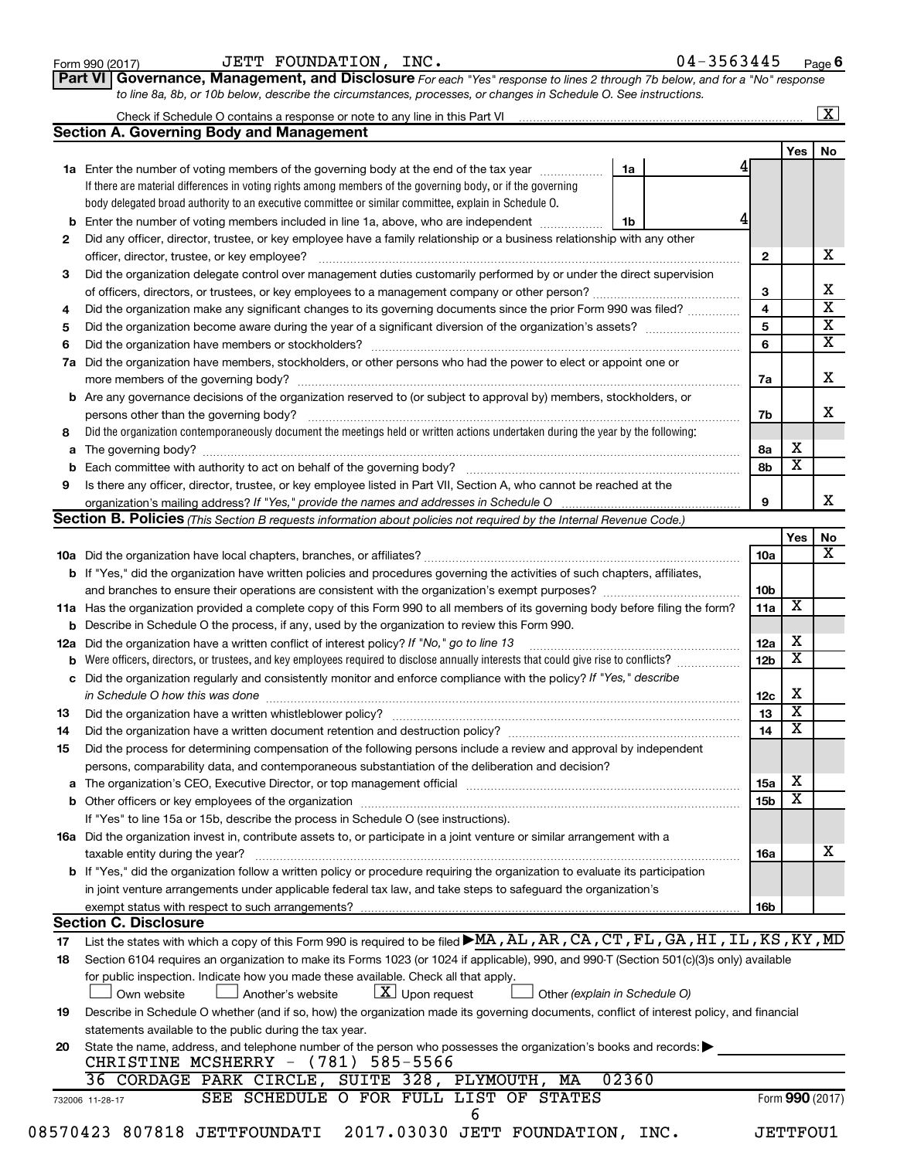| Form 990 (2017) |  |
|-----------------|--|
|-----------------|--|

#### Form 990 (2017)  $JETT$   $FOUNDATION$ ,  $INC.$   $04-3563445$   $Page$

| 04-3563445<br>Page $6$ |  |
|------------------------|--|
|------------------------|--|

**Part VI** Governance, Management, and Disclosure For each "Yes" response to lines 2 through 7b below, and for a "No" response *to line 8a, 8b, or 10b below, describe the circumstances, processes, or changes in Schedule O. See instructions.*

|     | Check if Schedule O contains a response or note to any line in this Part VI                                                                                                                                                    |                               |                 |                         | X                            |  |  |  |  |  |
|-----|--------------------------------------------------------------------------------------------------------------------------------------------------------------------------------------------------------------------------------|-------------------------------|-----------------|-------------------------|------------------------------|--|--|--|--|--|
|     | <b>Section A. Governing Body and Management</b>                                                                                                                                                                                |                               |                 |                         |                              |  |  |  |  |  |
|     |                                                                                                                                                                                                                                |                               |                 | Yes                     | No                           |  |  |  |  |  |
|     | 1a Enter the number of voting members of the governing body at the end of the tax year                                                                                                                                         | 1a                            |                 |                         |                              |  |  |  |  |  |
|     | If there are material differences in voting rights among members of the governing body, or if the governing                                                                                                                    |                               |                 |                         |                              |  |  |  |  |  |
|     | body delegated broad authority to an executive committee or similar committee, explain in Schedule O.                                                                                                                          |                               |                 |                         |                              |  |  |  |  |  |
| b   | Enter the number of voting members included in line 1a, above, who are independent<br>1b                                                                                                                                       |                               |                 |                         |                              |  |  |  |  |  |
| 2   | Did any officer, director, trustee, or key employee have a family relationship or a business relationship with any other                                                                                                       |                               |                 |                         |                              |  |  |  |  |  |
|     |                                                                                                                                                                                                                                |                               |                 |                         |                              |  |  |  |  |  |
| 3   | Did the organization delegate control over management duties customarily performed by or under the direct supervision                                                                                                          |                               |                 |                         |                              |  |  |  |  |  |
|     |                                                                                                                                                                                                                                |                               | 3               |                         | Х<br>$\overline{\mathbf{x}}$ |  |  |  |  |  |
| 4   | Did the organization make any significant changes to its governing documents since the prior Form 990 was filed?                                                                                                               |                               |                 |                         |                              |  |  |  |  |  |
| 5   |                                                                                                                                                                                                                                |                               | 5               |                         | х                            |  |  |  |  |  |
| 6   |                                                                                                                                                                                                                                |                               | 6               |                         | х                            |  |  |  |  |  |
| 7a  | Did the organization have members, stockholders, or other persons who had the power to elect or appoint one or                                                                                                                 |                               |                 |                         |                              |  |  |  |  |  |
|     |                                                                                                                                                                                                                                |                               | 7a              |                         | х                            |  |  |  |  |  |
|     | <b>b</b> Are any governance decisions of the organization reserved to (or subject to approval by) members, stockholders, or                                                                                                    |                               |                 |                         |                              |  |  |  |  |  |
|     | persons other than the governing body?                                                                                                                                                                                         |                               | 7b              |                         | x                            |  |  |  |  |  |
| 8   | Did the organization contemporaneously document the meetings held or written actions undertaken during the year by the following:                                                                                              |                               |                 |                         |                              |  |  |  |  |  |
| a   |                                                                                                                                                                                                                                |                               | 8a              | х                       |                              |  |  |  |  |  |
|     |                                                                                                                                                                                                                                |                               | 8b              | $\overline{\textbf{x}}$ |                              |  |  |  |  |  |
| 9   | Is there any officer, director, trustee, or key employee listed in Part VII, Section A, who cannot be reached at the                                                                                                           |                               |                 |                         |                              |  |  |  |  |  |
|     | organization's mailing address? If "Yes," provide the names and addresses in Schedule O                                                                                                                                        |                               | 9               |                         | х                            |  |  |  |  |  |
|     | Section B. Policies (This Section B requests information about policies not required by the Internal Revenue Code.)                                                                                                            |                               |                 |                         |                              |  |  |  |  |  |
|     |                                                                                                                                                                                                                                |                               |                 | Yes                     | No                           |  |  |  |  |  |
|     |                                                                                                                                                                                                                                |                               | 10a             |                         | х                            |  |  |  |  |  |
|     | b If "Yes," did the organization have written policies and procedures governing the activities of such chapters, affiliates,                                                                                                   |                               |                 |                         |                              |  |  |  |  |  |
|     |                                                                                                                                                                                                                                |                               | 10 <sub>b</sub> |                         |                              |  |  |  |  |  |
|     | 11a Has the organization provided a complete copy of this Form 990 to all members of its governing body before filing the form?                                                                                                |                               | 11a             | x                       |                              |  |  |  |  |  |
|     | <b>b</b> Describe in Schedule O the process, if any, used by the organization to review this Form 990.                                                                                                                         |                               |                 |                         |                              |  |  |  |  |  |
| 12a | Did the organization have a written conflict of interest policy? If "No," go to line 13                                                                                                                                        |                               |                 |                         |                              |  |  |  |  |  |
| b   | Were officers, directors, or trustees, and key employees required to disclose annually interests that could give rise to conflicts?                                                                                            |                               | 12 <sub>b</sub> | $\overline{\textbf{x}}$ |                              |  |  |  |  |  |
| с   | Did the organization regularly and consistently monitor and enforce compliance with the policy? If "Yes," describe                                                                                                             |                               |                 |                         |                              |  |  |  |  |  |
|     | in Schedule O how this was done                                                                                                                                                                                                |                               | 12c             | х                       |                              |  |  |  |  |  |
| 13  |                                                                                                                                                                                                                                |                               | 13              | $\overline{\textbf{X}}$ |                              |  |  |  |  |  |
| 14  |                                                                                                                                                                                                                                |                               | 14              | $\overline{\textbf{x}}$ |                              |  |  |  |  |  |
| 15  | Did the process for determining compensation of the following persons include a review and approval by independent                                                                                                             |                               |                 |                         |                              |  |  |  |  |  |
|     | persons, comparability data, and contemporaneous substantiation of the deliberation and decision?                                                                                                                              |                               |                 |                         |                              |  |  |  |  |  |
| а   | The organization's CEO, Executive Director, or top management official manufactured content of the organization's CEO, Executive Director, or top management official manufactured content of the state of the state of the st |                               | 15a             | х                       |                              |  |  |  |  |  |
|     |                                                                                                                                                                                                                                |                               | 15 <sub>b</sub> | х                       |                              |  |  |  |  |  |
|     | If "Yes" to line 15a or 15b, describe the process in Schedule O (see instructions).                                                                                                                                            |                               |                 |                         |                              |  |  |  |  |  |
|     | 16a Did the organization invest in, contribute assets to, or participate in a joint venture or similar arrangement with a                                                                                                      |                               |                 |                         |                              |  |  |  |  |  |
|     | taxable entity during the year?                                                                                                                                                                                                |                               | <b>16a</b>      |                         | х                            |  |  |  |  |  |
|     | b If "Yes," did the organization follow a written policy or procedure requiring the organization to evaluate its participation                                                                                                 |                               |                 |                         |                              |  |  |  |  |  |
|     | in joint venture arrangements under applicable federal tax law, and take steps to safeguard the organization's                                                                                                                 |                               |                 |                         |                              |  |  |  |  |  |
|     | exempt status with respect to such arrangements?                                                                                                                                                                               |                               | 16b             |                         |                              |  |  |  |  |  |
|     | <b>Section C. Disclosure</b>                                                                                                                                                                                                   |                               |                 |                         |                              |  |  |  |  |  |
| 17  | List the states with which a copy of this Form 990 is required to be filed MA, AL, AR, CA, CT, FL, GA, HI, IL, KS, KY, MD                                                                                                      |                               |                 |                         |                              |  |  |  |  |  |
| 18  | Section 6104 requires an organization to make its Forms 1023 (or 1024 if applicable), 990, and 990-T (Section 501(c)(3)s only) available                                                                                       |                               |                 |                         |                              |  |  |  |  |  |
|     | for public inspection. Indicate how you made these available. Check all that apply.                                                                                                                                            |                               |                 |                         |                              |  |  |  |  |  |
|     | $\lfloor x \rfloor$ Upon request<br>Own website<br>Another's website                                                                                                                                                           | Other (explain in Schedule O) |                 |                         |                              |  |  |  |  |  |
| 19  | Describe in Schedule O whether (and if so, how) the organization made its governing documents, conflict of interest policy, and financial                                                                                      |                               |                 |                         |                              |  |  |  |  |  |
|     | statements available to the public during the tax year.                                                                                                                                                                        |                               |                 |                         |                              |  |  |  |  |  |
| 20  | State the name, address, and telephone number of the person who possesses the organization's books and records:                                                                                                                |                               |                 |                         |                              |  |  |  |  |  |
|     | CHRISTINE MCSHERRY - (781) 585-5566                                                                                                                                                                                            |                               |                 |                         |                              |  |  |  |  |  |
|     | 36 CORDAGE PARK CIRCLE, SUITE 328, PLYMOUTH, MA                                                                                                                                                                                | 02360                         |                 |                         |                              |  |  |  |  |  |
|     | SEE SCHEDULE O FOR FULL LIST OF STATES<br>732006 11-28-17                                                                                                                                                                      |                               |                 | Form 990 (2017)         |                              |  |  |  |  |  |
|     | 6                                                                                                                                                                                                                              |                               |                 |                         |                              |  |  |  |  |  |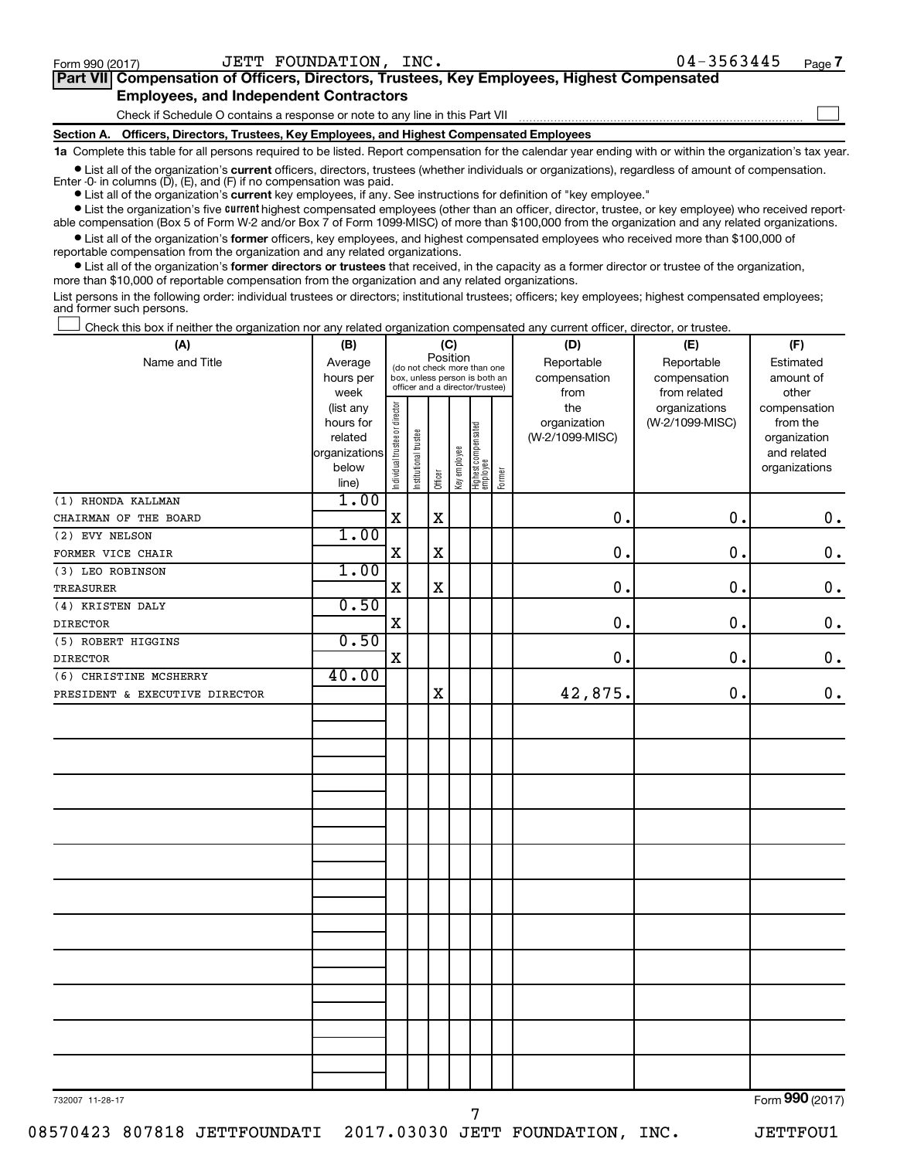$\Box$ 

| Part VII Compensation of Officers, Directors, Trustees, Key Employees, Highest Compensated |  |
|--------------------------------------------------------------------------------------------|--|
| <b>Employees, and Independent Contractors</b>                                              |  |

Check if Schedule O contains a response or note to any line in this Part VII

**Section A. Officers, Directors, Trustees, Key Employees, and Highest Compensated Employees**

**1a**  Complete this table for all persons required to be listed. Report compensation for the calendar year ending with or within the organization's tax year.

**•** List all of the organization's current officers, directors, trustees (whether individuals or organizations), regardless of amount of compensation. Enter -0- in columns  $(D)$ ,  $(E)$ , and  $(F)$  if no compensation was paid.

**•** List all of the organization's **current** key employees, if any. See instructions for definition of "key employee."

**•** List the organization's five current highest compensated employees (other than an officer, director, trustee, or key employee) who received reportable compensation (Box 5 of Form W-2 and/or Box 7 of Form 1099-MISC) of more than \$100,000 from the organization and any related organizations.

**•** List all of the organization's former officers, key employees, and highest compensated employees who received more than \$100,000 of reportable compensation from the organization and any related organizations.

**•** List all of the organization's former directors or trustees that received, in the capacity as a former director or trustee of the organization, more than \$10,000 of reportable compensation from the organization and any related organizations.

List persons in the following order: individual trustees or directors; institutional trustees; officers; key employees; highest compensated employees; and former such persons.

Check this box if neither the organization nor any related organization compensated any current officer, director, or trustee.  $\Box$ 

| (A)                            | (B)<br>(C)           |                                         |                                                                  |             |              |                                 |        | (D)                             | (E)                              | (F)                         |
|--------------------------------|----------------------|-----------------------------------------|------------------------------------------------------------------|-------------|--------------|---------------------------------|--------|---------------------------------|----------------------------------|-----------------------------|
| Name and Title                 | Average              | Position<br>(do not check more than one |                                                                  |             |              |                                 |        | Reportable                      | Reportable                       | Estimated                   |
|                                | hours per            |                                         | box, unless person is both an<br>officer and a director/trustee) |             |              |                                 |        | compensation                    | compensation                     | amount of                   |
|                                | week                 |                                         |                                                                  |             |              |                                 |        | from                            | from related                     | other                       |
|                                | (list any            |                                         |                                                                  |             |              |                                 |        | the                             | organizations<br>(W-2/1099-MISC) | compensation                |
|                                | hours for<br>related |                                         |                                                                  |             |              |                                 |        | organization<br>(W-2/1099-MISC) |                                  | from the<br>organization    |
|                                | organizations        |                                         |                                                                  |             |              |                                 |        |                                 |                                  | and related                 |
|                                | below                |                                         |                                                                  |             |              |                                 |        |                                 |                                  | organizations               |
|                                | line)                | Individual trustee or director          | Institutional trustee                                            | Officer     | Key employee | Highest compensated<br>employee | Former |                                 |                                  |                             |
| (1) RHONDA KALLMAN             | 1.00                 |                                         |                                                                  |             |              |                                 |        |                                 |                                  |                             |
| CHAIRMAN OF THE BOARD          |                      | $\mathbf X$                             |                                                                  | $\mathbf X$ |              |                                 |        | $\mathbf 0$ .                   | 0.                               | $\mathbf 0$ .               |
| (2) EVY NELSON                 | 1.00                 |                                         |                                                                  |             |              |                                 |        |                                 |                                  |                             |
| FORMER VICE CHAIR              |                      | $\mathbf X$                             |                                                                  | $\mathbf X$ |              |                                 |        | $\mathbf 0$                     | 0.                               | $0$ .                       |
| (3) LEO ROBINSON               | 1.00                 |                                         |                                                                  |             |              |                                 |        |                                 |                                  |                             |
| TREASURER                      |                      | X                                       |                                                                  | $\mathbf X$ |              |                                 |        | $\mathbf 0$ .                   | $\mathbf 0$ .                    | 0.                          |
| (4) KRISTEN DALY               | 0.50                 |                                         |                                                                  |             |              |                                 |        |                                 |                                  |                             |
| <b>DIRECTOR</b>                |                      | $\mathbf X$                             |                                                                  |             |              |                                 |        | 0.                              | 0.                               | $\mathbf 0$ .               |
| (5) ROBERT HIGGINS             | 0.50                 |                                         |                                                                  |             |              |                                 |        |                                 |                                  |                             |
| <b>DIRECTOR</b>                |                      | X                                       |                                                                  |             |              |                                 |        | 0.                              | 0.                               | 0.                          |
| (6) CHRISTINE MCSHERRY         | 40.00                |                                         |                                                                  |             |              |                                 |        |                                 |                                  |                             |
| PRESIDENT & EXECUTIVE DIRECTOR |                      |                                         |                                                                  | $\mathbf X$ |              |                                 |        | 42,875.                         | 0.                               | $\mathbf 0$ .               |
|                                |                      |                                         |                                                                  |             |              |                                 |        |                                 |                                  |                             |
|                                |                      |                                         |                                                                  |             |              |                                 |        |                                 |                                  |                             |
|                                |                      |                                         |                                                                  |             |              |                                 |        |                                 |                                  |                             |
|                                |                      |                                         |                                                                  |             |              |                                 |        |                                 |                                  |                             |
|                                |                      |                                         |                                                                  |             |              |                                 |        |                                 |                                  |                             |
|                                |                      |                                         |                                                                  |             |              |                                 |        |                                 |                                  |                             |
|                                |                      |                                         |                                                                  |             |              |                                 |        |                                 |                                  |                             |
|                                |                      |                                         |                                                                  |             |              |                                 |        |                                 |                                  |                             |
|                                |                      |                                         |                                                                  |             |              |                                 |        |                                 |                                  |                             |
|                                |                      |                                         |                                                                  |             |              |                                 |        |                                 |                                  |                             |
|                                |                      |                                         |                                                                  |             |              |                                 |        |                                 |                                  |                             |
|                                |                      |                                         |                                                                  |             |              |                                 |        |                                 |                                  |                             |
|                                |                      |                                         |                                                                  |             |              |                                 |        |                                 |                                  |                             |
|                                |                      |                                         |                                                                  |             |              |                                 |        |                                 |                                  |                             |
|                                |                      |                                         |                                                                  |             |              |                                 |        |                                 |                                  |                             |
|                                |                      |                                         |                                                                  |             |              |                                 |        |                                 |                                  |                             |
|                                |                      |                                         |                                                                  |             |              |                                 |        |                                 |                                  |                             |
|                                |                      |                                         |                                                                  |             |              |                                 |        |                                 |                                  |                             |
|                                |                      |                                         |                                                                  |             |              |                                 |        |                                 |                                  |                             |
|                                |                      |                                         |                                                                  |             |              |                                 |        |                                 |                                  |                             |
|                                |                      |                                         |                                                                  |             |              |                                 |        |                                 |                                  |                             |
| $0.07 - 11.00 - 17$            |                      |                                         |                                                                  |             |              |                                 |        |                                 |                                  | $F_{\text{sum}}$ QQQ (2017) |

7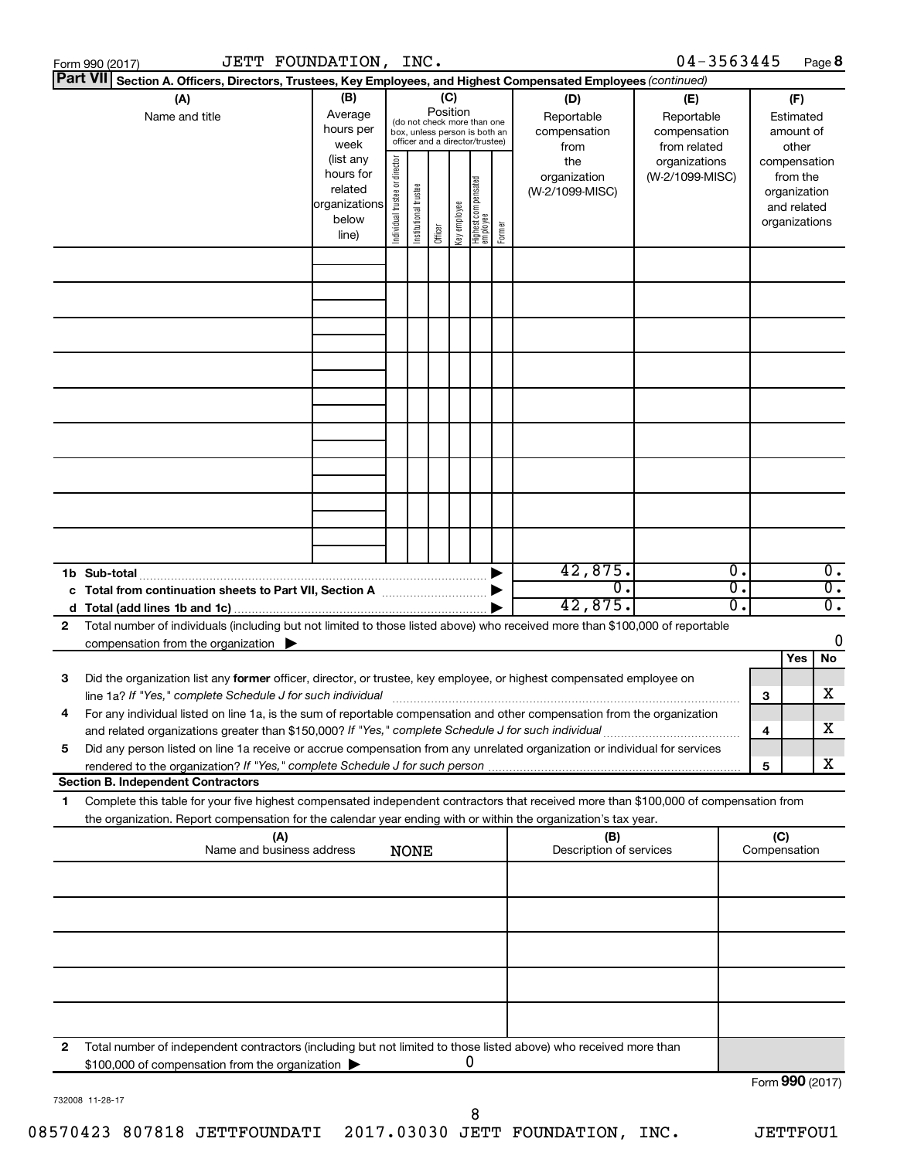|    | JETT FOUNDATION, INC.<br>Form 990 (2017)                                                                                                                                                                                               |                                                                      |                                |                       |                 |              |                                                                                                 |        |                                           | $04 - 3563445$                                    |              |                 | Page 8                                                   |                                      |
|----|----------------------------------------------------------------------------------------------------------------------------------------------------------------------------------------------------------------------------------------|----------------------------------------------------------------------|--------------------------------|-----------------------|-----------------|--------------|-------------------------------------------------------------------------------------------------|--------|-------------------------------------------|---------------------------------------------------|--------------|-----------------|----------------------------------------------------------|--------------------------------------|
|    | <b>Part VII</b><br>Section A. Officers, Directors, Trustees, Key Employees, and Highest Compensated Employees (continued)                                                                                                              |                                                                      |                                |                       |                 |              |                                                                                                 |        |                                           |                                                   |              |                 |                                                          |                                      |
|    | (A)<br>Name and title                                                                                                                                                                                                                  | (B)<br>Average<br>hours per<br>week                                  |                                |                       | (C)<br>Position |              | (do not check more than one<br>box, unless person is both an<br>officer and a director/trustee) |        | (D)<br>Reportable<br>compensation<br>from | (E)<br>Reportable<br>compensation<br>from related |              |                 | (F)<br>Estimated<br>amount of<br>other                   |                                      |
|    |                                                                                                                                                                                                                                        | (list any<br>hours for<br>related<br>organizations<br>below<br>line) | Individual trustee or director | Institutional trustee | Officer         | Key employee | Highest compensated<br>  employee                                                               | Former | the<br>organization<br>(W-2/1099-MISC)    | organizations<br>(W-2/1099-MISC)                  |              | compensation    | from the<br>organization<br>and related<br>organizations |                                      |
|    |                                                                                                                                                                                                                                        |                                                                      |                                |                       |                 |              |                                                                                                 |        |                                           |                                                   |              |                 |                                                          |                                      |
|    |                                                                                                                                                                                                                                        |                                                                      |                                |                       |                 |              |                                                                                                 |        |                                           |                                                   |              |                 |                                                          |                                      |
|    |                                                                                                                                                                                                                                        |                                                                      |                                |                       |                 |              |                                                                                                 |        |                                           |                                                   |              |                 |                                                          |                                      |
|    |                                                                                                                                                                                                                                        |                                                                      |                                |                       |                 |              |                                                                                                 |        |                                           |                                                   |              |                 |                                                          |                                      |
|    |                                                                                                                                                                                                                                        |                                                                      |                                |                       |                 |              |                                                                                                 |        |                                           |                                                   |              |                 |                                                          |                                      |
|    | 1b Sub-total                                                                                                                                                                                                                           |                                                                      |                                |                       |                 |              |                                                                                                 |        | 42,875.                                   |                                                   | 0.           |                 |                                                          | $\overline{0}$ .                     |
|    | c Total from continuation sheets to Part VII, Section A manufactured by                                                                                                                                                                |                                                                      |                                |                       |                 |              |                                                                                                 |        | $\overline{0}$ .<br>42,875.               |                                                   | σ.<br>о.     |                 |                                                          | $\overline{0}$ .<br>$\overline{0}$ . |
| 2  | Total number of individuals (including but not limited to those listed above) who received more than \$100,000 of reportable<br>compensation from the organization $\blacktriangleright$                                               |                                                                      |                                |                       |                 |              |                                                                                                 |        |                                           |                                                   |              |                 | Yes                                                      | 0<br>No                              |
| 3  | Did the organization list any former officer, director, or trustee, key employee, or highest compensated employee on<br>line 1a? If "Yes," complete Schedule J for such individual manufactured content to the set of the set of the s |                                                                      |                                |                       |                 |              |                                                                                                 |        |                                           |                                                   |              | 3               |                                                          | х                                    |
|    | For any individual listed on line 1a, is the sum of reportable compensation and other compensation from the organization<br>and related organizations greater than \$150,000? If "Yes," complete Schedule J for such individual        |                                                                      |                                |                       |                 |              |                                                                                                 |        |                                           |                                                   |              | 4               |                                                          | х                                    |
| 5  | Did any person listed on line 1a receive or accrue compensation from any unrelated organization or individual for services<br><b>Section B. Independent Contractors</b>                                                                |                                                                      |                                |                       |                 |              |                                                                                                 |        |                                           |                                                   |              | 5               |                                                          | х                                    |
| 1. | Complete this table for your five highest compensated independent contractors that received more than \$100,000 of compensation from                                                                                                   |                                                                      |                                |                       |                 |              |                                                                                                 |        |                                           |                                                   |              |                 |                                                          |                                      |
|    | the organization. Report compensation for the calendar year ending with or within the organization's tax year.<br>(A)                                                                                                                  |                                                                      |                                |                       |                 |              |                                                                                                 |        | (B)                                       |                                                   |              | (C)             |                                                          |                                      |
|    | Name and business address<br>Description of services<br><b>NONE</b>                                                                                                                                                                    |                                                                      |                                |                       |                 |              |                                                                                                 |        |                                           |                                                   | Compensation |                 |                                                          |                                      |
|    |                                                                                                                                                                                                                                        |                                                                      |                                |                       |                 |              |                                                                                                 |        |                                           |                                                   |              |                 |                                                          |                                      |
|    |                                                                                                                                                                                                                                        |                                                                      |                                |                       |                 |              |                                                                                                 |        |                                           |                                                   |              |                 |                                                          |                                      |
|    |                                                                                                                                                                                                                                        |                                                                      |                                |                       |                 |              |                                                                                                 |        |                                           |                                                   |              |                 |                                                          |                                      |
| 2  | Total number of independent contractors (including but not limited to those listed above) who received more than<br>\$100,000 of compensation from the organization                                                                    |                                                                      |                                |                       |                 |              | 0                                                                                               |        |                                           |                                                   |              |                 |                                                          |                                      |
|    |                                                                                                                                                                                                                                        |                                                                      |                                |                       |                 |              |                                                                                                 |        |                                           |                                                   |              | Form 990 (2017) |                                                          |                                      |

732008 11-28-17

Form 990 (2017)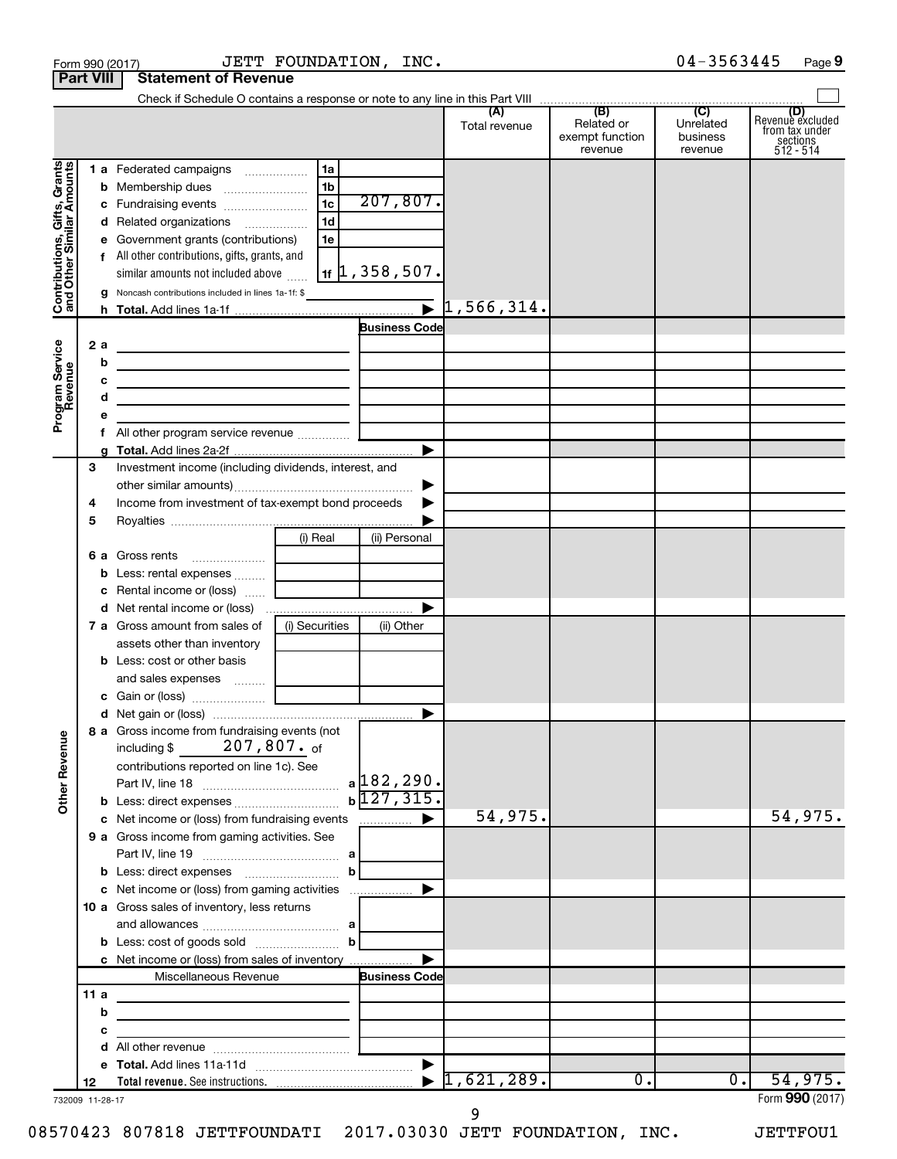|                                          | <b>Part VIII</b> | <b>Statement of Revenue</b>                                                                    |                |                                    |                             |                                                 |                                         |                                                                    |
|------------------------------------------|------------------|------------------------------------------------------------------------------------------------|----------------|------------------------------------|-----------------------------|-------------------------------------------------|-----------------------------------------|--------------------------------------------------------------------|
|                                          |                  |                                                                                                |                |                                    | (A)<br>Total revenue        | (B)<br>Related or<br>exempt function<br>revenue | (C)<br>Unrelated<br>business<br>revenue | (D)<br>Revenue excluded<br>from tax under<br>sections<br>512 - 514 |
|                                          |                  | 1 a Federated campaigns                                                                        | 1a             |                                    |                             |                                                 |                                         |                                                                    |
| Gifts, Grants<br>ilar Amounts            |                  |                                                                                                | 1b             |                                    |                             |                                                 |                                         |                                                                    |
|                                          |                  | c Fundraising events                                                                           | 1 <sub>c</sub> | 207,807.                           |                             |                                                 |                                         |                                                                    |
|                                          |                  | d Related organizations                                                                        | 1 <sub>d</sub> |                                    |                             |                                                 |                                         |                                                                    |
|                                          |                  | e Government grants (contributions)                                                            | 1e             |                                    |                             |                                                 |                                         |                                                                    |
|                                          |                  | f All other contributions, gifts, grants, and                                                  |                |                                    |                             |                                                 |                                         |                                                                    |
|                                          |                  | similar amounts not included above                                                             |                | $\vert$ 1f $\vert$ 1 , 358 , 507 . |                             |                                                 |                                         |                                                                    |
| Contributions, Gift<br>and Other Similar |                  | <b>g</b> Noncash contributions included in lines 1a-1f: \$                                     |                |                                    | $\triangleright$ 1,566,314. |                                                 |                                         |                                                                    |
|                                          |                  |                                                                                                |                | <b>Business Code</b>               |                             |                                                 |                                         |                                                                    |
|                                          | 2a               | <u> 1980 - Johann John Stone, markin fizik eta idazlearia (h. 1980).</u>                       |                |                                    |                             |                                                 |                                         |                                                                    |
|                                          | b                | the contract of the contract of the contract of the contract of the                            |                |                                    |                             |                                                 |                                         |                                                                    |
| Program Service<br>Revenue               | c                | <u> 1989 - Johann Barbara, martxa alemaniar arg</u>                                            |                |                                    |                             |                                                 |                                         |                                                                    |
|                                          | d                | the contract of the contract of the contract of the contract of the contract of                |                |                                    |                             |                                                 |                                         |                                                                    |
|                                          | е                |                                                                                                |                |                                    |                             |                                                 |                                         |                                                                    |
|                                          |                  |                                                                                                |                |                                    |                             |                                                 |                                         |                                                                    |
|                                          |                  |                                                                                                |                | ▶                                  |                             |                                                 |                                         |                                                                    |
|                                          | 3                | Investment income (including dividends, interest, and                                          |                |                                    |                             |                                                 |                                         |                                                                    |
|                                          |                  |                                                                                                |                | ▶                                  |                             |                                                 |                                         |                                                                    |
|                                          | 4                | Income from investment of tax-exempt bond proceeds                                             |                |                                    |                             |                                                 |                                         |                                                                    |
|                                          | 5                |                                                                                                |                |                                    |                             |                                                 |                                         |                                                                    |
|                                          |                  |                                                                                                | (i) Real       | (ii) Personal                      |                             |                                                 |                                         |                                                                    |
|                                          |                  |                                                                                                |                |                                    |                             |                                                 |                                         |                                                                    |
|                                          |                  | c Rental income or (loss)                                                                      |                |                                    |                             |                                                 |                                         |                                                                    |
|                                          |                  |                                                                                                |                | ▶                                  |                             |                                                 |                                         |                                                                    |
|                                          |                  | <b>7 a</b> Gross amount from sales of                                                          | (i) Securities | (ii) Other                         |                             |                                                 |                                         |                                                                    |
|                                          |                  | assets other than inventory                                                                    |                |                                    |                             |                                                 |                                         |                                                                    |
|                                          |                  | <b>b</b> Less: cost or other basis                                                             |                |                                    |                             |                                                 |                                         |                                                                    |
|                                          |                  | and sales expenses  [                                                                          |                |                                    |                             |                                                 |                                         |                                                                    |
|                                          |                  |                                                                                                |                |                                    |                             |                                                 |                                         |                                                                    |
|                                          |                  |                                                                                                |                |                                    |                             |                                                 |                                         |                                                                    |
| <b>Other Revenue</b>                     |                  | 8 a Gross income from fundraising events (not<br>207,807. <sub>of</sub><br>including \$        |                |                                    |                             |                                                 |                                         |                                                                    |
|                                          |                  | contributions reported on line 1c). See                                                        |                |                                    |                             |                                                 |                                         |                                                                    |
|                                          |                  |                                                                                                |                | $a$ 182, 290.                      |                             |                                                 |                                         |                                                                    |
|                                          |                  |                                                                                                |                | $b\overline{127,315}$ .            | 54,975.                     |                                                 |                                         | 54,975.                                                            |
|                                          |                  | c Net income or (loss) from fundraising events<br>9 a Gross income from gaming activities. See |                |                                    |                             |                                                 |                                         |                                                                    |
|                                          |                  |                                                                                                |                |                                    |                             |                                                 |                                         |                                                                    |
|                                          |                  | <b>b</b> Less: direct expenses <i>mummummmm</i>                                                | b              |                                    |                             |                                                 |                                         |                                                                    |
|                                          |                  | c Net income or (loss) from gaming activities                                                  |                | $\blacktriangleright$              |                             |                                                 |                                         |                                                                    |
|                                          |                  | 10 a Gross sales of inventory, less returns                                                    |                |                                    |                             |                                                 |                                         |                                                                    |
|                                          |                  |                                                                                                |                |                                    |                             |                                                 |                                         |                                                                    |
|                                          |                  |                                                                                                | $\mathbf b$    |                                    |                             |                                                 |                                         |                                                                    |
|                                          |                  | c Net income or (loss) from sales of inventory                                                 |                |                                    |                             |                                                 |                                         |                                                                    |
|                                          |                  | Miscellaneous Revenue                                                                          |                | <b>Business Code</b>               |                             |                                                 |                                         |                                                                    |
|                                          | 11a              |                                                                                                |                |                                    |                             |                                                 |                                         |                                                                    |
|                                          | b                | the control of the control of the control of the control of the control of                     |                |                                    |                             |                                                 |                                         |                                                                    |
|                                          | с                | the control of the control of the control of the control of                                    |                |                                    |                             |                                                 |                                         |                                                                    |
|                                          | d                |                                                                                                |                |                                    |                             |                                                 |                                         |                                                                    |
|                                          | 12               |                                                                                                |                |                                    | 1,621,289.                  | $\overline{0}$ .                                | $\overline{0}$ .                        | 54,975.                                                            |
|                                          | 732009 11-28-17  |                                                                                                |                |                                    |                             |                                                 |                                         | Form 990 (2017)                                                    |
|                                          |                  |                                                                                                |                |                                    | 9                           |                                                 |                                         |                                                                    |

Form 990 (2017)  $JETT$   $FOUNDATION$ ,  $INC.$   $04-3563445$   $Page$ 

04-3563445 Page 9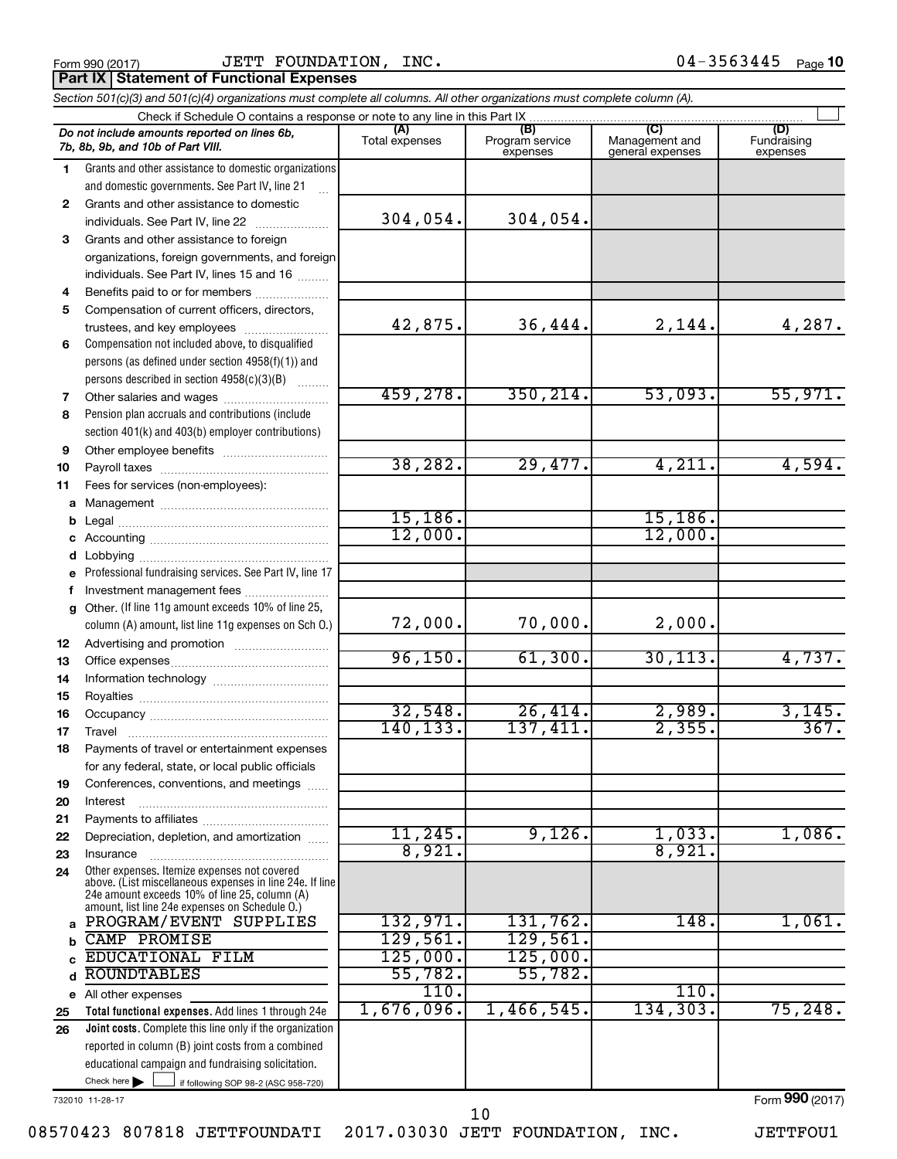Form 990 (2017)  $JETT$   $FOUNDATION$ ,  $INC.$   $04-3563445$   $Page$ **Part IX | Statement of Functional Expenses** 

| Section 501(c)(3) and 501(c)(4) organizations must complete all columns. All other organizations must complete column (A). |                                                                                                                                                             |                       |                                    |                                           |                                |  |  |  |
|----------------------------------------------------------------------------------------------------------------------------|-------------------------------------------------------------------------------------------------------------------------------------------------------------|-----------------------|------------------------------------|-------------------------------------------|--------------------------------|--|--|--|
|                                                                                                                            | Check if Schedule O contains a response or note to any line in this Part IX.                                                                                |                       |                                    |                                           |                                |  |  |  |
|                                                                                                                            | Do not include amounts reported on lines 6b,<br>7b, 8b, 9b, and 10b of Part VIII.                                                                           | (A)<br>Total expenses | (B)<br>Program service<br>expenses | (C)<br>Management and<br>general expenses | (D)<br>Fundraising<br>expenses |  |  |  |
| 1.                                                                                                                         | Grants and other assistance to domestic organizations                                                                                                       |                       |                                    |                                           |                                |  |  |  |
|                                                                                                                            | and domestic governments. See Part IV, line 21                                                                                                              |                       |                                    |                                           |                                |  |  |  |
| $\mathbf{2}$                                                                                                               | Grants and other assistance to domestic                                                                                                                     |                       |                                    |                                           |                                |  |  |  |
|                                                                                                                            | individuals. See Part IV, line 22                                                                                                                           | 304,054.              | 304,054.                           |                                           |                                |  |  |  |
| 3                                                                                                                          | Grants and other assistance to foreign                                                                                                                      |                       |                                    |                                           |                                |  |  |  |
|                                                                                                                            | organizations, foreign governments, and foreign                                                                                                             |                       |                                    |                                           |                                |  |  |  |
|                                                                                                                            | individuals. See Part IV, lines 15 and 16                                                                                                                   |                       |                                    |                                           |                                |  |  |  |
| 4                                                                                                                          | Benefits paid to or for members                                                                                                                             |                       |                                    |                                           |                                |  |  |  |
| 5                                                                                                                          | Compensation of current officers, directors,                                                                                                                |                       |                                    |                                           |                                |  |  |  |
|                                                                                                                            | trustees, and key employees                                                                                                                                 | 42,875.               | 36,444.                            | 2,144.                                    | 4,287.                         |  |  |  |
| 6                                                                                                                          | Compensation not included above, to disqualified                                                                                                            |                       |                                    |                                           |                                |  |  |  |
|                                                                                                                            | persons (as defined under section 4958(f)(1)) and                                                                                                           |                       |                                    |                                           |                                |  |  |  |
|                                                                                                                            | persons described in section 4958(c)(3)(B)                                                                                                                  |                       |                                    |                                           |                                |  |  |  |
| 7                                                                                                                          | Other salaries and wages                                                                                                                                    | 459,278.              | 350, 214.                          | 53,093.                                   | 55,971.                        |  |  |  |
| 8                                                                                                                          | Pension plan accruals and contributions (include                                                                                                            |                       |                                    |                                           |                                |  |  |  |
|                                                                                                                            | section 401(k) and 403(b) employer contributions)                                                                                                           |                       |                                    |                                           |                                |  |  |  |
| 9                                                                                                                          |                                                                                                                                                             |                       |                                    |                                           |                                |  |  |  |
| 10                                                                                                                         |                                                                                                                                                             | 38, 282.              | 29,477.                            | 4,211.                                    | 4,594.                         |  |  |  |
| 11                                                                                                                         | Fees for services (non-employees):                                                                                                                          |                       |                                    |                                           |                                |  |  |  |
| a                                                                                                                          |                                                                                                                                                             |                       |                                    | 15, 186.                                  |                                |  |  |  |
| b                                                                                                                          |                                                                                                                                                             | 15, 186.<br>12,000.   |                                    | 12,000.                                   |                                |  |  |  |
|                                                                                                                            |                                                                                                                                                             |                       |                                    |                                           |                                |  |  |  |
| d                                                                                                                          |                                                                                                                                                             |                       |                                    |                                           |                                |  |  |  |
| e                                                                                                                          | Professional fundraising services. See Part IV, line 17                                                                                                     |                       |                                    |                                           |                                |  |  |  |
| f                                                                                                                          | Investment management fees<br>Other. (If line 11g amount exceeds 10% of line 25,                                                                            |                       |                                    |                                           |                                |  |  |  |
| a                                                                                                                          | column (A) amount, list line 11g expenses on Sch O.)                                                                                                        | 72,000.               | 70,000.                            | 2,000.                                    |                                |  |  |  |
| 12                                                                                                                         |                                                                                                                                                             |                       |                                    |                                           |                                |  |  |  |
| 13                                                                                                                         |                                                                                                                                                             | 96, 150.              | 61,300.                            | 30, 113.                                  | 4,737.                         |  |  |  |
| 14                                                                                                                         |                                                                                                                                                             |                       |                                    |                                           |                                |  |  |  |
| 15                                                                                                                         |                                                                                                                                                             |                       |                                    |                                           |                                |  |  |  |
| 16                                                                                                                         |                                                                                                                                                             | 32,548.<br>140,133.   | 26,414.<br>137,411.                | 2,989.<br>2,355.                          | 3,145.<br>367.                 |  |  |  |
| 17                                                                                                                         |                                                                                                                                                             |                       |                                    |                                           |                                |  |  |  |
| 18                                                                                                                         | Payments of travel or entertainment expenses                                                                                                                |                       |                                    |                                           |                                |  |  |  |
|                                                                                                                            | for any federal, state, or local public officials                                                                                                           |                       |                                    |                                           |                                |  |  |  |
| 19                                                                                                                         | Conferences, conventions, and meetings                                                                                                                      |                       |                                    |                                           |                                |  |  |  |
| 20                                                                                                                         | Interest                                                                                                                                                    |                       |                                    |                                           |                                |  |  |  |
| 21<br>22                                                                                                                   | Depreciation, depletion, and amortization                                                                                                                   | 11,245.               | 9,126.                             | 1,033.                                    | 1,086.                         |  |  |  |
| 23                                                                                                                         | Insurance                                                                                                                                                   | 8,921                 |                                    | 8,921.                                    |                                |  |  |  |
| 24                                                                                                                         | Other expenses. Itemize expenses not covered                                                                                                                |                       |                                    |                                           |                                |  |  |  |
|                                                                                                                            | above. (List miscellaneous expenses in line 24e. If line<br>24e amount exceeds 10% of line 25, column (A)<br>amount, list line 24e expenses on Schedule O.) |                       |                                    |                                           |                                |  |  |  |
| a                                                                                                                          | PROGRAM/EVENT SUPPLIES                                                                                                                                      | 132,971.              | 131,762.                           | 148.                                      | 1,061.                         |  |  |  |
| b                                                                                                                          | <b>CAMP PROMISE</b>                                                                                                                                         | 129,561.              | 129,561.                           |                                           |                                |  |  |  |
| C                                                                                                                          | <b>EDUCATIONAL FILM</b>                                                                                                                                     | 125,000.              | 125,000.                           |                                           |                                |  |  |  |
| d                                                                                                                          | <b>ROUNDTABLES</b>                                                                                                                                          | 55,782.               | 55,782.                            |                                           |                                |  |  |  |
|                                                                                                                            | e All other expenses                                                                                                                                        | 110.                  |                                    | 110.                                      |                                |  |  |  |
| 25                                                                                                                         | Total functional expenses. Add lines 1 through 24e                                                                                                          | 1,676,096.            | 1,466,545.                         | 134,303.                                  | 75, 248.                       |  |  |  |
| 26                                                                                                                         | Joint costs. Complete this line only if the organization                                                                                                    |                       |                                    |                                           |                                |  |  |  |
|                                                                                                                            | reported in column (B) joint costs from a combined                                                                                                          |                       |                                    |                                           |                                |  |  |  |
|                                                                                                                            | educational campaign and fundraising solicitation.                                                                                                          |                       |                                    |                                           |                                |  |  |  |
|                                                                                                                            | Check here $\blacktriangleright$<br>if following SOP 98-2 (ASC 958-720)                                                                                     |                       |                                    |                                           |                                |  |  |  |

732010 11-28-17

Form (2017) **990**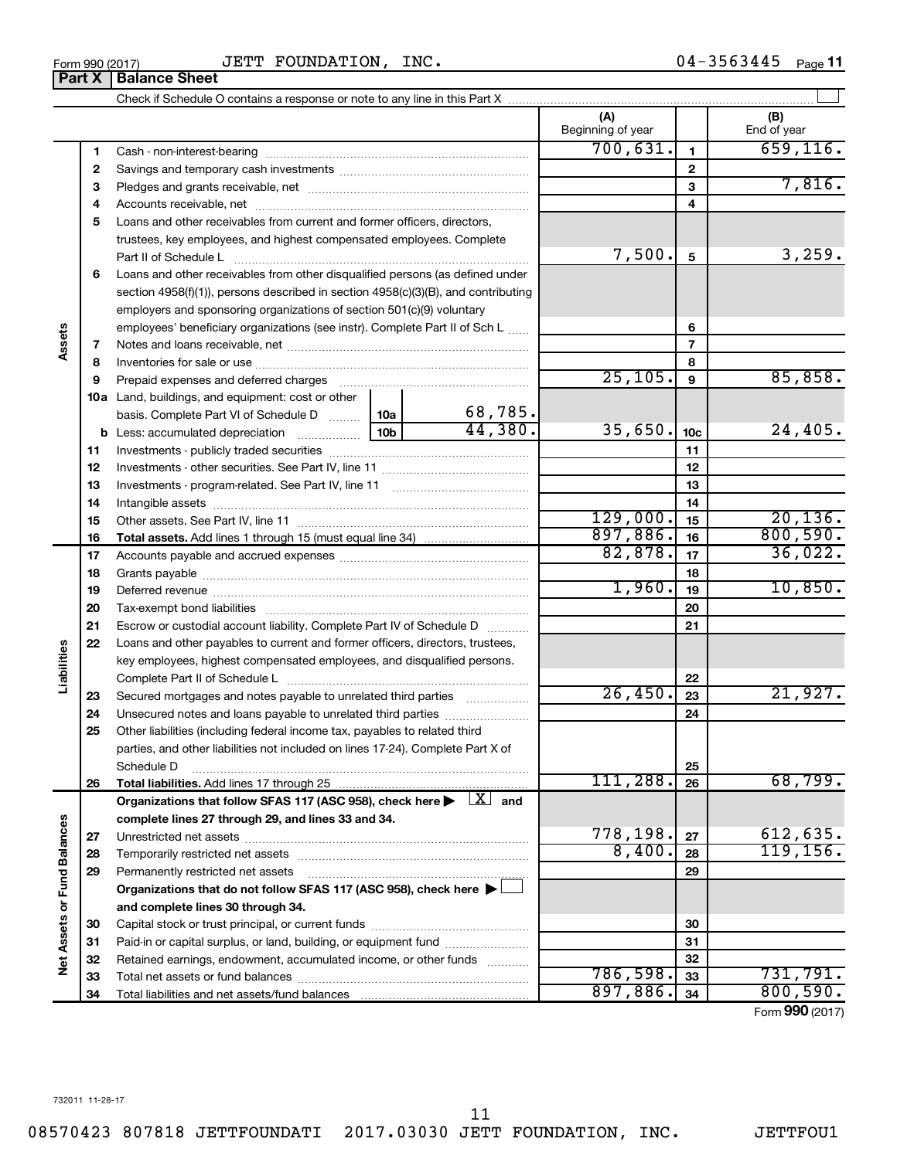|                            | basis. Complete Part VI of Schedule D                                                                                        | 10a | 68,785. |          |                 |                             |
|----------------------------|------------------------------------------------------------------------------------------------------------------------------|-----|---------|----------|-----------------|-----------------------------|
|                            | $\frac{10b}{10b}$<br><b>b</b> Less: accumulated depreciation                                                                 |     | 44,380. | 35,650.  | 10 <sub>c</sub> | 24,405.                     |
| 11                         |                                                                                                                              |     |         |          | 11              |                             |
| 12                         |                                                                                                                              |     |         |          | 12              |                             |
| 13                         |                                                                                                                              |     |         |          | 13              |                             |
| 14                         |                                                                                                                              |     |         |          | 14              |                             |
| 15                         |                                                                                                                              |     |         | 129,000. | 15              | 20, 136.                    |
| 16                         |                                                                                                                              |     |         | 897,886. | 16              | 800,590.                    |
| 17                         |                                                                                                                              |     |         | 82,878.  | 17              | 36,022.                     |
| 18                         |                                                                                                                              |     |         |          | 18              |                             |
| 19                         |                                                                                                                              |     |         | 1,960.   | 19              | 10,850.                     |
| 20                         |                                                                                                                              |     |         |          | 20              |                             |
| 21                         | Escrow or custodial account liability. Complete Part IV of Schedule D                                                        |     |         |          | 21              |                             |
| 22                         | Loans and other payables to current and former officers, directors, trustees,                                                |     |         |          |                 |                             |
| Liabilities                | key employees, highest compensated employees, and disqualified persons.                                                      |     |         |          |                 |                             |
|                            |                                                                                                                              |     |         |          | 22              |                             |
| 23                         | Secured mortgages and notes payable to unrelated third parties <i>manumum</i>                                                |     |         | 26,450.  | 23              | 21,927.                     |
| 24                         | Unsecured notes and loans payable to unrelated third parties                                                                 |     |         | 24       |                 |                             |
| 25                         | Other liabilities (including federal income tax, payables to related third                                                   |     |         |          |                 |                             |
|                            | parties, and other liabilities not included on lines 17-24). Complete Part X of                                              |     |         |          |                 |                             |
|                            | Schedule D                                                                                                                   |     |         | 25       |                 |                             |
| 26                         |                                                                                                                              |     |         | 111,288. | 26              | 68,799.                     |
|                            | Organizations that follow SFAS 117 (ASC 958), check here $\blacktriangleright \begin{array}{c} \boxed{X} \\ \end{array}$ and |     |         |          |                 |                             |
|                            | complete lines 27 through 29, and lines 33 and 34.                                                                           |     |         |          |                 |                             |
| 27                         |                                                                                                                              |     |         | 778,198. | 27              | 612,635.                    |
| 28                         |                                                                                                                              |     |         | 8,400.   | 28              | 119, 156.                   |
| <b>Fund Balances</b><br>29 | Permanently restricted net assets                                                                                            |     |         |          | 29              |                             |
|                            | Organizations that do not follow SFAS 117 (ASC 958), check here $\blacktriangleright\Box$                                    |     |         |          |                 |                             |
| $\overline{\sigma}$        | and complete lines 30 through 34.                                                                                            |     |         |          |                 |                             |
| <b>Net Assets</b><br>30    |                                                                                                                              |     |         |          | 30              |                             |
| 31                         | Paid-in or capital surplus, or land, building, or equipment fund                                                             |     |         | 31       |                 |                             |
| 32                         | Retained earnings, endowment, accumulated income, or other funds                                                             |     |         | 32       |                 |                             |
| 33                         |                                                                                                                              |     |         | 786,598. | 33              | 731,791.                    |
| 34                         |                                                                                                                              |     |         |          |                 | 800,590.<br>Form 990 (2017) |
|                            |                                                                                                                              |     |         | 897,886. | 34              |                             |

**Part X** | Balance Sheet

**10 a** Land, buildings, and equipment: cost or other

**4** Accounts receivable, net ~~~~~~~~~~~~~~~~~~~~~~~~~~ **5** Loans and other receivables from current and former officers, directors,

trustees, key employees, and highest compensated employees. Complete Part II of Schedule L ~~~~~~~~~~~~~~~~~~~~~~~~~~~~

Cash - non-interest-bearing ~~~~~~~~~~~~~~~~~~~~~~~~~ Savings and temporary cash investments ~~~~~~~~~~~~~~~~~~ Pledges and grants receivable, net ~~~~~~~~~~~~~~~~~~~~~

JETT FOUNDATION, INC.

Check if Schedule O contains a response or note to any line in this Part X

**6** Loans and other receivables from other disqualified persons (as defined under

section 4958(f)(1)), persons described in section 4958(c)(3)(B), and contributing employers and sponsoring organizations of section 501(c)(9) voluntary employees' beneficiary organizations (see instr). Complete Part II of Sch L ...... Notes and loans receivable, net ~~~~~~~~~~~~~~~~~~~~~~~ Inventories for sale or use ~~~~~~~~~~~~~~~~~~~~~~~~~~ Prepaid expenses and deferred charges ~~~~~~~~~~~~~~~~~~

 $\perp$ 

7,816.

**(A) (B)**

Beginning of year  $\parallel$  | End of year

 $700,631.$  1 659,116.

 $7,500$ ,  $5$  3,259.

 $25,105.$  9 85,858.

**5**

11

08570423 807818 JETTFOUNDATI 2017.03030 JETT FOUNDATION, INC. JETTFOU1

**1 2 3**

**7 8 9**

**Assets**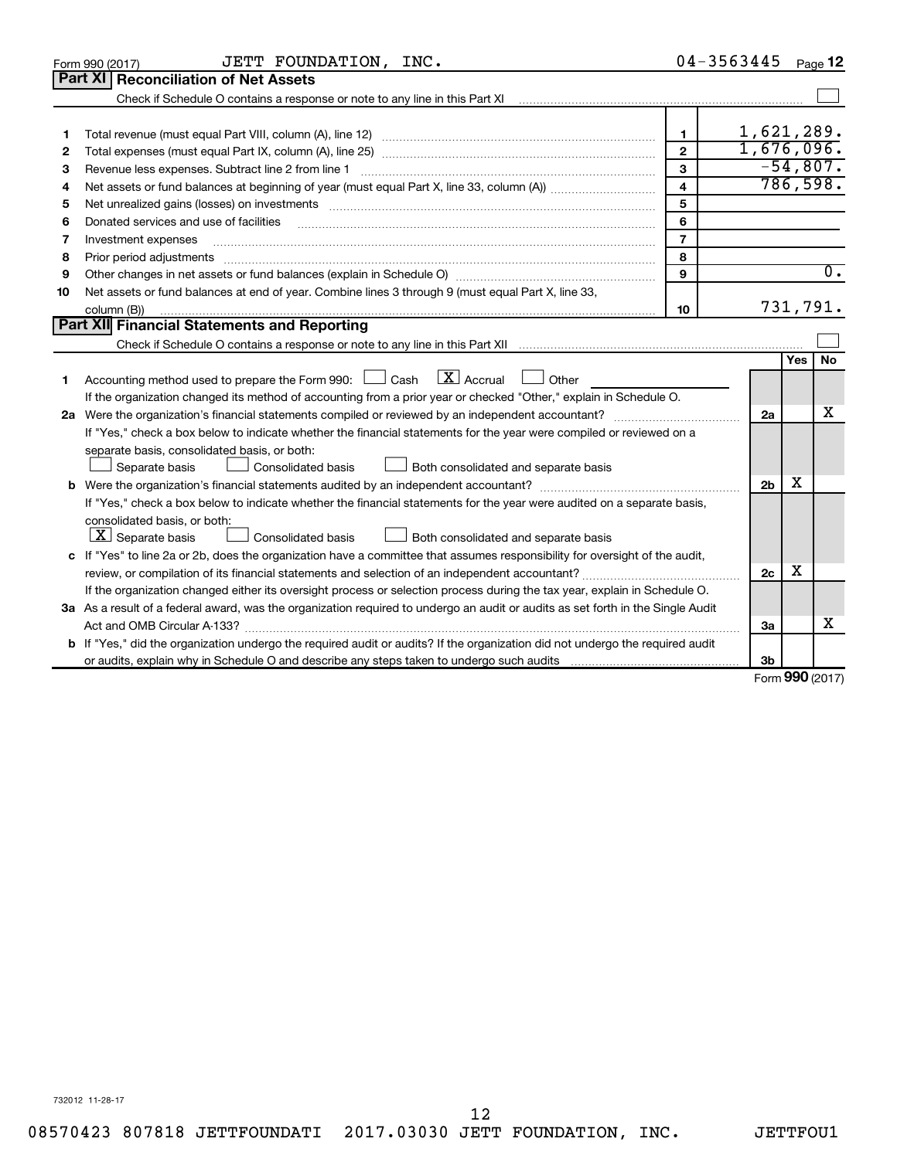|    | JETT FOUNDATION, INC.<br>Form 990 (2017)                                                                                                                                                                                                                                                                                                                                                                                                                                                            |                         | 04-3563445     |                       | Page 12          |
|----|-----------------------------------------------------------------------------------------------------------------------------------------------------------------------------------------------------------------------------------------------------------------------------------------------------------------------------------------------------------------------------------------------------------------------------------------------------------------------------------------------------|-------------------------|----------------|-----------------------|------------------|
|    | <b>Part XI   Reconciliation of Net Assets</b>                                                                                                                                                                                                                                                                                                                                                                                                                                                       |                         |                |                       |                  |
|    | Check if Schedule O contains a response or note to any line in this Part XI [11] [12] Check if Schedule O contains a response or note to any line in this Part XI                                                                                                                                                                                                                                                                                                                                   |                         |                |                       |                  |
|    |                                                                                                                                                                                                                                                                                                                                                                                                                                                                                                     |                         |                |                       |                  |
| 1  |                                                                                                                                                                                                                                                                                                                                                                                                                                                                                                     | $\mathbf{1}$            | 1,621,289.     |                       |                  |
| 2  |                                                                                                                                                                                                                                                                                                                                                                                                                                                                                                     | $\overline{2}$          | 1,676,096.     |                       |                  |
| з  |                                                                                                                                                                                                                                                                                                                                                                                                                                                                                                     | 3                       |                |                       | $-54,807.$       |
| 4  |                                                                                                                                                                                                                                                                                                                                                                                                                                                                                                     | $\overline{\mathbf{4}}$ |                |                       | 786,598.         |
| 5  | Net unrealized gains (losses) on investments [111] www.martime.community.community.community.community.communi                                                                                                                                                                                                                                                                                                                                                                                      | 5                       |                |                       |                  |
| 6  | Donated services and use of facilities                                                                                                                                                                                                                                                                                                                                                                                                                                                              | 6                       |                |                       |                  |
| 7  | Investment expenses                                                                                                                                                                                                                                                                                                                                                                                                                                                                                 | $\overline{7}$          |                |                       |                  |
| 8  |                                                                                                                                                                                                                                                                                                                                                                                                                                                                                                     | 8                       |                |                       |                  |
| 9  |                                                                                                                                                                                                                                                                                                                                                                                                                                                                                                     | 9                       |                |                       | $\overline{0}$ . |
| 10 | Net assets or fund balances at end of year. Combine lines 3 through 9 (must equal Part X, line 33,                                                                                                                                                                                                                                                                                                                                                                                                  |                         |                |                       |                  |
|    | column (B))<br>$\begin{minipage}{0.9\linewidth} \begin{tabular}{l} \hline \textbf{0.01} \end{tabular} \end{minipage} \begin{tabular}{l} \hline \textbf{1.01} \end{tabular} \end{minipage} \begin{tabular}{l} \hline \textbf{1.01} \end{tabular} \end{minipage} \begin{minipage}{0.9\linewidth} \textbf{1.01} \end{minipage} \begin{tabular}{l} \hline \textbf{1.01} \end{tabular} \end{minipage} \begin{minipage}{0.9\linewidth} \textbf{1.01} \end{minipage} \begin{tabular}{l} \hline \textbf{1.$ | 10                      |                |                       | 731,791.         |
|    | Part XII Financial Statements and Reporting                                                                                                                                                                                                                                                                                                                                                                                                                                                         |                         |                |                       |                  |
|    |                                                                                                                                                                                                                                                                                                                                                                                                                                                                                                     |                         |                |                       |                  |
|    |                                                                                                                                                                                                                                                                                                                                                                                                                                                                                                     |                         |                | Yes                   | <b>No</b>        |
| 1  | $\mathbf{X}$ Accrual<br>Accounting method used to prepare the Form 990: [130] Cash<br>$\Box$ Other                                                                                                                                                                                                                                                                                                                                                                                                  |                         |                |                       |                  |
|    | If the organization changed its method of accounting from a prior year or checked "Other," explain in Schedule O.                                                                                                                                                                                                                                                                                                                                                                                   |                         |                |                       |                  |
|    |                                                                                                                                                                                                                                                                                                                                                                                                                                                                                                     |                         | 2a             |                       | х                |
|    | If "Yes," check a box below to indicate whether the financial statements for the year were compiled or reviewed on a                                                                                                                                                                                                                                                                                                                                                                                |                         |                |                       |                  |
|    | separate basis, consolidated basis, or both:                                                                                                                                                                                                                                                                                                                                                                                                                                                        |                         |                |                       |                  |
|    | Both consolidated and separate basis<br>Separate basis<br>Consolidated basis                                                                                                                                                                                                                                                                                                                                                                                                                        |                         |                |                       |                  |
|    |                                                                                                                                                                                                                                                                                                                                                                                                                                                                                                     |                         | 2 <sub>b</sub> | х                     |                  |
|    | If "Yes," check a box below to indicate whether the financial statements for the year were audited on a separate basis,                                                                                                                                                                                                                                                                                                                                                                             |                         |                |                       |                  |
|    | consolidated basis, or both:                                                                                                                                                                                                                                                                                                                                                                                                                                                                        |                         |                |                       |                  |
|    | $ \mathbf{X} $ Separate basis<br>Consolidated basis<br>Both consolidated and separate basis                                                                                                                                                                                                                                                                                                                                                                                                         |                         |                |                       |                  |
|    | c If "Yes" to line 2a or 2b, does the organization have a committee that assumes responsibility for oversight of the audit,                                                                                                                                                                                                                                                                                                                                                                         |                         | 2c             | x                     |                  |
|    |                                                                                                                                                                                                                                                                                                                                                                                                                                                                                                     |                         |                |                       |                  |
|    | If the organization changed either its oversight process or selection process during the tax year, explain in Schedule O.                                                                                                                                                                                                                                                                                                                                                                           |                         |                |                       |                  |
|    | 3a As a result of a federal award, was the organization required to undergo an audit or audits as set forth in the Single Audit                                                                                                                                                                                                                                                                                                                                                                     |                         |                |                       |                  |
|    |                                                                                                                                                                                                                                                                                                                                                                                                                                                                                                     |                         | За             |                       | x                |
|    | <b>b</b> If "Yes," did the organization undergo the required audit or audits? If the organization did not undergo the required audit                                                                                                                                                                                                                                                                                                                                                                |                         |                |                       |                  |
|    |                                                                                                                                                                                                                                                                                                                                                                                                                                                                                                     |                         | 3b             | $0.00 \times 10^{-1}$ |                  |

Form (2017) **990**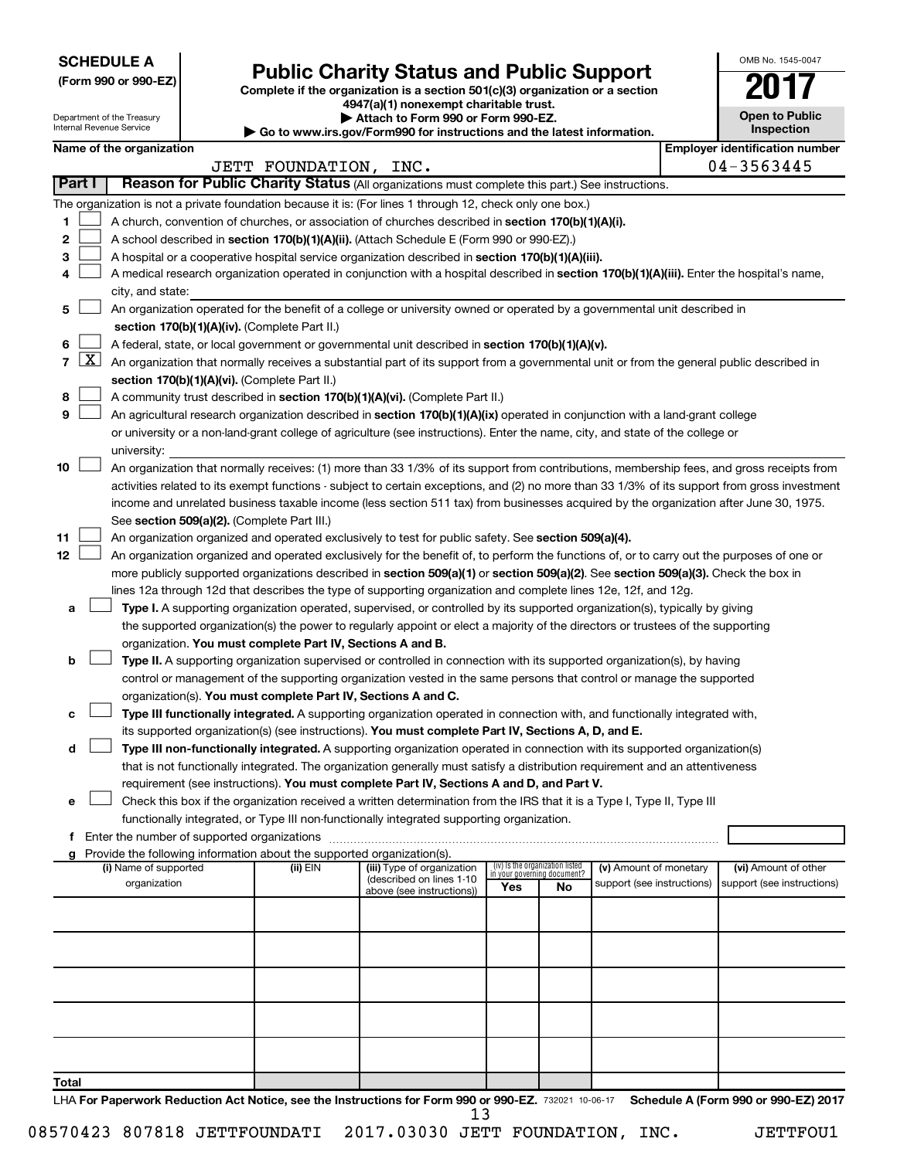**SCHEDULE A**

Department of the Treasury Internal Revenue Service

# Form 990 or 990-EZ)<br>
Complete if the organization is a section 501(c)(3) organization or a section<br> **Public Charity Status and Public Support**

**4947(a)(1) nonexempt charitable trust. | Attach to Form 990 or Form 990-EZ.** 

**| Go to www.irs.gov/Form990 for instructions and the latest information.**

| <b>Open to Public</b><br>Inspection |  |  |  |  |  |  |  |
|-------------------------------------|--|--|--|--|--|--|--|
| er identification numbe             |  |  |  |  |  |  |  |

OMB No. 1545-0047

|                | as to mmmm eigern omnood for mod actions and the ratest mnormation.<br>Name of the organization<br><b>Employer identification number</b> |                                                                                                                                               |                       |                                                        |                                 |    |                                                      |  |                                                    |  |  |
|----------------|------------------------------------------------------------------------------------------------------------------------------------------|-----------------------------------------------------------------------------------------------------------------------------------------------|-----------------------|--------------------------------------------------------|---------------------------------|----|------------------------------------------------------|--|----------------------------------------------------|--|--|
|                |                                                                                                                                          |                                                                                                                                               | JETT FOUNDATION, INC. |                                                        |                                 |    |                                                      |  | 04-3563445                                         |  |  |
| Part I         |                                                                                                                                          | Reason for Public Charity Status (All organizations must complete this part.) See instructions.                                               |                       |                                                        |                                 |    |                                                      |  |                                                    |  |  |
|                |                                                                                                                                          | The organization is not a private foundation because it is: (For lines 1 through 12, check only one box.)                                     |                       |                                                        |                                 |    |                                                      |  |                                                    |  |  |
| 1              |                                                                                                                                          | A church, convention of churches, or association of churches described in section 170(b)(1)(A)(i).                                            |                       |                                                        |                                 |    |                                                      |  |                                                    |  |  |
| 2              |                                                                                                                                          | A school described in section 170(b)(1)(A)(ii). (Attach Schedule E (Form 990 or 990-EZ).)                                                     |                       |                                                        |                                 |    |                                                      |  |                                                    |  |  |
| 3              |                                                                                                                                          | A hospital or a cooperative hospital service organization described in section 170(b)(1)(A)(iii).                                             |                       |                                                        |                                 |    |                                                      |  |                                                    |  |  |
| 4              |                                                                                                                                          | A medical research organization operated in conjunction with a hospital described in section 170(b)(1)(A)(iii). Enter the hospital's name,    |                       |                                                        |                                 |    |                                                      |  |                                                    |  |  |
|                |                                                                                                                                          | city, and state:                                                                                                                              |                       |                                                        |                                 |    |                                                      |  |                                                    |  |  |
| 5              |                                                                                                                                          | An organization operated for the benefit of a college or university owned or operated by a governmental unit described in                     |                       |                                                        |                                 |    |                                                      |  |                                                    |  |  |
|                |                                                                                                                                          | section 170(b)(1)(A)(iv). (Complete Part II.)                                                                                                 |                       |                                                        |                                 |    |                                                      |  |                                                    |  |  |
| 6              |                                                                                                                                          | A federal, state, or local government or governmental unit described in section 170(b)(1)(A)(v).                                              |                       |                                                        |                                 |    |                                                      |  |                                                    |  |  |
| $\overline{7}$ | <u>  X  </u>                                                                                                                             | An organization that normally receives a substantial part of its support from a governmental unit or from the general public described in     |                       |                                                        |                                 |    |                                                      |  |                                                    |  |  |
|                |                                                                                                                                          | section 170(b)(1)(A)(vi). (Complete Part II.)                                                                                                 |                       |                                                        |                                 |    |                                                      |  |                                                    |  |  |
| 8              |                                                                                                                                          | A community trust described in section 170(b)(1)(A)(vi). (Complete Part II.)                                                                  |                       |                                                        |                                 |    |                                                      |  |                                                    |  |  |
| 9              |                                                                                                                                          | An agricultural research organization described in section 170(b)(1)(A)(ix) operated in conjunction with a land-grant college                 |                       |                                                        |                                 |    |                                                      |  |                                                    |  |  |
|                |                                                                                                                                          | or university or a non-land-grant college of agriculture (see instructions). Enter the name, city, and state of the college or                |                       |                                                        |                                 |    |                                                      |  |                                                    |  |  |
|                |                                                                                                                                          | university:                                                                                                                                   |                       |                                                        |                                 |    |                                                      |  |                                                    |  |  |
| 10             |                                                                                                                                          | An organization that normally receives: (1) more than 33 1/3% of its support from contributions, membership fees, and gross receipts from     |                       |                                                        |                                 |    |                                                      |  |                                                    |  |  |
|                |                                                                                                                                          | activities related to its exempt functions - subject to certain exceptions, and (2) no more than 33 1/3% of its support from gross investment |                       |                                                        |                                 |    |                                                      |  |                                                    |  |  |
|                |                                                                                                                                          | income and unrelated business taxable income (less section 511 tax) from businesses acquired by the organization after June 30, 1975.         |                       |                                                        |                                 |    |                                                      |  |                                                    |  |  |
|                |                                                                                                                                          | See section 509(a)(2). (Complete Part III.)                                                                                                   |                       |                                                        |                                 |    |                                                      |  |                                                    |  |  |
| 11             |                                                                                                                                          | An organization organized and operated exclusively to test for public safety. See section 509(a)(4).                                          |                       |                                                        |                                 |    |                                                      |  |                                                    |  |  |
| 12             |                                                                                                                                          | An organization organized and operated exclusively for the benefit of, to perform the functions of, or to carry out the purposes of one or    |                       |                                                        |                                 |    |                                                      |  |                                                    |  |  |
|                |                                                                                                                                          | more publicly supported organizations described in section 509(a)(1) or section 509(a)(2). See section 509(a)(3). Check the box in            |                       |                                                        |                                 |    |                                                      |  |                                                    |  |  |
|                |                                                                                                                                          | lines 12a through 12d that describes the type of supporting organization and complete lines 12e, 12f, and 12g.                                |                       |                                                        |                                 |    |                                                      |  |                                                    |  |  |
| а              |                                                                                                                                          | Type I. A supporting organization operated, supervised, or controlled by its supported organization(s), typically by giving                   |                       |                                                        |                                 |    |                                                      |  |                                                    |  |  |
|                |                                                                                                                                          | the supported organization(s) the power to regularly appoint or elect a majority of the directors or trustees of the supporting               |                       |                                                        |                                 |    |                                                      |  |                                                    |  |  |
|                |                                                                                                                                          | organization. You must complete Part IV, Sections A and B.                                                                                    |                       |                                                        |                                 |    |                                                      |  |                                                    |  |  |
| b              |                                                                                                                                          | Type II. A supporting organization supervised or controlled in connection with its supported organization(s), by having                       |                       |                                                        |                                 |    |                                                      |  |                                                    |  |  |
|                |                                                                                                                                          | control or management of the supporting organization vested in the same persons that control or manage the supported                          |                       |                                                        |                                 |    |                                                      |  |                                                    |  |  |
|                |                                                                                                                                          | organization(s). You must complete Part IV, Sections A and C.                                                                                 |                       |                                                        |                                 |    |                                                      |  |                                                    |  |  |
|                |                                                                                                                                          | Type III functionally integrated. A supporting organization operated in connection with, and functionally integrated with,                    |                       |                                                        |                                 |    |                                                      |  |                                                    |  |  |
|                |                                                                                                                                          | its supported organization(s) (see instructions). You must complete Part IV, Sections A, D, and E.                                            |                       |                                                        |                                 |    |                                                      |  |                                                    |  |  |
| d              |                                                                                                                                          | Type III non-functionally integrated. A supporting organization operated in connection with its supported organization(s)                     |                       |                                                        |                                 |    |                                                      |  |                                                    |  |  |
|                |                                                                                                                                          | that is not functionally integrated. The organization generally must satisfy a distribution requirement and an attentiveness                  |                       |                                                        |                                 |    |                                                      |  |                                                    |  |  |
|                |                                                                                                                                          | requirement (see instructions). You must complete Part IV, Sections A and D, and Part V.                                                      |                       |                                                        |                                 |    |                                                      |  |                                                    |  |  |
| е              |                                                                                                                                          | Check this box if the organization received a written determination from the IRS that it is a Type I, Type II, Type III                       |                       |                                                        |                                 |    |                                                      |  |                                                    |  |  |
|                |                                                                                                                                          | functionally integrated, or Type III non-functionally integrated supporting organization.                                                     |                       |                                                        |                                 |    |                                                      |  |                                                    |  |  |
| f.             |                                                                                                                                          | Enter the number of supported organizations                                                                                                   |                       |                                                        |                                 |    |                                                      |  |                                                    |  |  |
| g              |                                                                                                                                          | Provide the following information about the supported organization(s).                                                                        |                       |                                                        | (iv) Is the organization listed |    |                                                      |  |                                                    |  |  |
|                |                                                                                                                                          | (i) Name of supported<br>organization                                                                                                         | (ii) EIN              | (iii) Type of organization<br>(described on lines 1-10 | in your governing document?     |    | (v) Amount of monetary<br>support (see instructions) |  | (vi) Amount of other<br>support (see instructions) |  |  |
|                |                                                                                                                                          |                                                                                                                                               |                       | above (see instructions))                              | Yes                             | No |                                                      |  |                                                    |  |  |
|                |                                                                                                                                          |                                                                                                                                               |                       |                                                        |                                 |    |                                                      |  |                                                    |  |  |
|                |                                                                                                                                          |                                                                                                                                               |                       |                                                        |                                 |    |                                                      |  |                                                    |  |  |
|                |                                                                                                                                          |                                                                                                                                               |                       |                                                        |                                 |    |                                                      |  |                                                    |  |  |
|                |                                                                                                                                          |                                                                                                                                               |                       |                                                        |                                 |    |                                                      |  |                                                    |  |  |
|                |                                                                                                                                          |                                                                                                                                               |                       |                                                        |                                 |    |                                                      |  |                                                    |  |  |
|                |                                                                                                                                          |                                                                                                                                               |                       |                                                        |                                 |    |                                                      |  |                                                    |  |  |
|                |                                                                                                                                          |                                                                                                                                               |                       |                                                        |                                 |    |                                                      |  |                                                    |  |  |
|                |                                                                                                                                          |                                                                                                                                               |                       |                                                        |                                 |    |                                                      |  |                                                    |  |  |
| Total          |                                                                                                                                          |                                                                                                                                               |                       |                                                        |                                 |    |                                                      |  |                                                    |  |  |

LHA For Paperwork Reduction Act Notice, see the Instructions for Form 990 or 990-EZ. 732021 10-06-17 Schedule A (Form 990 or 990-EZ) 2017 13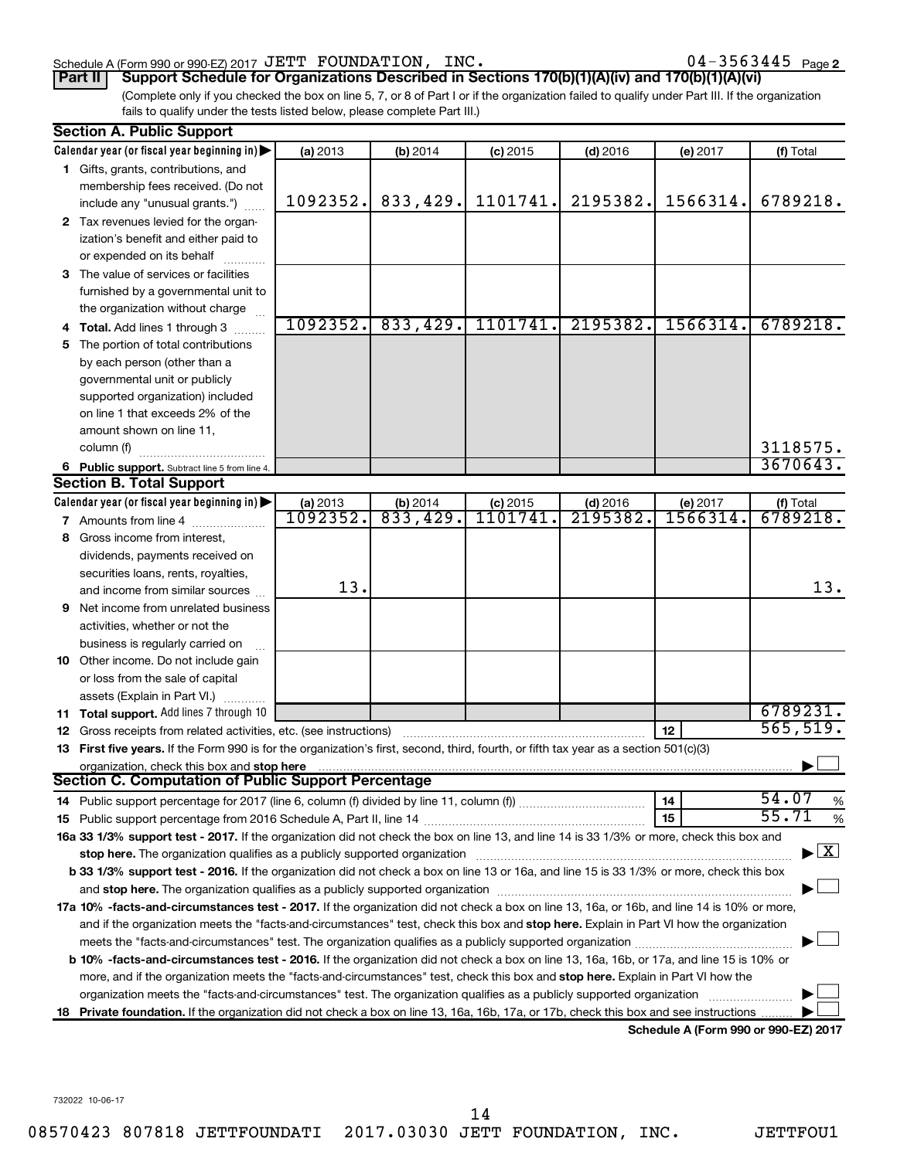#### Schedule A (Form 990 or 990-EZ) 2017 Page JETT FOUNDATION, INC. 04-3563445

 $04 - 3563445$  Page 2

(Complete only if you checked the box on line 5, 7, or 8 of Part I or if the organization failed to qualify under Part III. If the organization fails to qualify under the tests listed below, please complete Part III.) **Part II Support Schedule for Organizations Described in Sections 170(b)(1)(A)(iv) and 170(b)(1)(A)(vi)**

| Calendar year (or fiscal year beginning in)<br>(a) 2013<br>(b) 2014<br>(f) Total<br>$(c)$ 2015<br>(d) 2016<br>(e) 2017<br>1 Gifts, grants, contributions, and<br>membership fees received. (Do not<br>833,429.<br>1101741.<br>2195382.<br>1566314.<br>1092352.<br>include any "unusual grants.")<br>2 Tax revenues levied for the organ-<br>ization's benefit and either paid to<br>or expended on its behalf<br>3 The value of services or facilities<br>furnished by a governmental unit to<br>the organization without charge<br>1092352.<br>833,429.<br>1101741.<br>2195382.<br>1566314.<br>6789218.<br>Total. Add lines 1 through 3<br>The portion of total contributions<br>5<br>by each person (other than a<br>governmental unit or publicly<br>supported organization) included<br>on line 1 that exceeds 2% of the<br>amount shown on line 11,<br>3118575.<br>column (f)<br>3670643.<br>6 Public support. Subtract line 5 from line 4.<br>Calendar year (or fiscal year beginning in)<br>(a) 2013<br>$(d)$ 2016<br>(f) Total<br>$(b)$ 2014<br>$(c)$ 2015<br>(e) 2017<br>1092352.<br>833,429.<br>1101741<br>2195382.<br>6789218.<br>1566314<br>7 Amounts from line 4<br>Gross income from interest,<br>8<br>dividends, payments received on<br>securities loans, rents, royalties,<br>13.<br>13.<br>and income from similar sources<br>Net income from unrelated business<br>9<br>activities, whether or not the<br>business is regularly carried on<br>10 Other income. Do not include gain<br>or loss from the sale of capital<br>assets (Explain in Part VI.)<br>6789231.<br>11 Total support. Add lines 7 through 10<br>565,519.<br>12<br><b>12</b> Gross receipts from related activities, etc. (see instructions)<br>13 First five years. If the Form 990 is for the organization's first, second, third, fourth, or fifth tax year as a section 501(c)(3)<br>organization, check this box and stop here<br>54.07<br>14<br>55.71<br>15<br>16a 33 1/3% support test - 2017. If the organization did not check the box on line 13, and line 14 is 33 1/3% or more, check this box and<br>$\blacktriangleright$ $\mid$ X<br>stop here. The organization qualifies as a publicly supported organization manufactured content and the organization of the state of the state of the state of the state of the state of the state of the state of the state o<br>b 33 1/3% support test - 2016. If the organization did not check a box on line 13 or 16a, and line 15 is 33 1/3% or more, check this box |  | <b>Section A. Public Support</b>                                                                                                           |  |  |  |  |  |          |  |  |  |
|--------------------------------------------------------------------------------------------------------------------------------------------------------------------------------------------------------------------------------------------------------------------------------------------------------------------------------------------------------------------------------------------------------------------------------------------------------------------------------------------------------------------------------------------------------------------------------------------------------------------------------------------------------------------------------------------------------------------------------------------------------------------------------------------------------------------------------------------------------------------------------------------------------------------------------------------------------------------------------------------------------------------------------------------------------------------------------------------------------------------------------------------------------------------------------------------------------------------------------------------------------------------------------------------------------------------------------------------------------------------------------------------------------------------------------------------------------------------------------------------------------------------------------------------------------------------------------------------------------------------------------------------------------------------------------------------------------------------------------------------------------------------------------------------------------------------------------------------------------------------------------------------------------------------------------------------------------------------------------------------------------------------------------------------------------------------------------------------------------------------------------------------------------------------------------------------------------------------------------------------------------------------------------------------------------------------------------------------------------------------------------------------------------------------------------------------------------------------------------------------------------------------|--|--------------------------------------------------------------------------------------------------------------------------------------------|--|--|--|--|--|----------|--|--|--|
| <b>Section B. Total Support</b><br>Section C. Computation of Public Support Percentage                                                                                                                                                                                                                                                                                                                                                                                                                                                                                                                                                                                                                                                                                                                                                                                                                                                                                                                                                                                                                                                                                                                                                                                                                                                                                                                                                                                                                                                                                                                                                                                                                                                                                                                                                                                                                                                                                                                                                                                                                                                                                                                                                                                                                                                                                                                                                                                                                             |  |                                                                                                                                            |  |  |  |  |  |          |  |  |  |
|                                                                                                                                                                                                                                                                                                                                                                                                                                                                                                                                                                                                                                                                                                                                                                                                                                                                                                                                                                                                                                                                                                                                                                                                                                                                                                                                                                                                                                                                                                                                                                                                                                                                                                                                                                                                                                                                                                                                                                                                                                                                                                                                                                                                                                                                                                                                                                                                                                                                                                                    |  |                                                                                                                                            |  |  |  |  |  |          |  |  |  |
|                                                                                                                                                                                                                                                                                                                                                                                                                                                                                                                                                                                                                                                                                                                                                                                                                                                                                                                                                                                                                                                                                                                                                                                                                                                                                                                                                                                                                                                                                                                                                                                                                                                                                                                                                                                                                                                                                                                                                                                                                                                                                                                                                                                                                                                                                                                                                                                                                                                                                                                    |  |                                                                                                                                            |  |  |  |  |  |          |  |  |  |
|                                                                                                                                                                                                                                                                                                                                                                                                                                                                                                                                                                                                                                                                                                                                                                                                                                                                                                                                                                                                                                                                                                                                                                                                                                                                                                                                                                                                                                                                                                                                                                                                                                                                                                                                                                                                                                                                                                                                                                                                                                                                                                                                                                                                                                                                                                                                                                                                                                                                                                                    |  |                                                                                                                                            |  |  |  |  |  | 6789218. |  |  |  |
|                                                                                                                                                                                                                                                                                                                                                                                                                                                                                                                                                                                                                                                                                                                                                                                                                                                                                                                                                                                                                                                                                                                                                                                                                                                                                                                                                                                                                                                                                                                                                                                                                                                                                                                                                                                                                                                                                                                                                                                                                                                                                                                                                                                                                                                                                                                                                                                                                                                                                                                    |  |                                                                                                                                            |  |  |  |  |  |          |  |  |  |
|                                                                                                                                                                                                                                                                                                                                                                                                                                                                                                                                                                                                                                                                                                                                                                                                                                                                                                                                                                                                                                                                                                                                                                                                                                                                                                                                                                                                                                                                                                                                                                                                                                                                                                                                                                                                                                                                                                                                                                                                                                                                                                                                                                                                                                                                                                                                                                                                                                                                                                                    |  |                                                                                                                                            |  |  |  |  |  |          |  |  |  |
|                                                                                                                                                                                                                                                                                                                                                                                                                                                                                                                                                                                                                                                                                                                                                                                                                                                                                                                                                                                                                                                                                                                                                                                                                                                                                                                                                                                                                                                                                                                                                                                                                                                                                                                                                                                                                                                                                                                                                                                                                                                                                                                                                                                                                                                                                                                                                                                                                                                                                                                    |  |                                                                                                                                            |  |  |  |  |  |          |  |  |  |
|                                                                                                                                                                                                                                                                                                                                                                                                                                                                                                                                                                                                                                                                                                                                                                                                                                                                                                                                                                                                                                                                                                                                                                                                                                                                                                                                                                                                                                                                                                                                                                                                                                                                                                                                                                                                                                                                                                                                                                                                                                                                                                                                                                                                                                                                                                                                                                                                                                                                                                                    |  |                                                                                                                                            |  |  |  |  |  |          |  |  |  |
|                                                                                                                                                                                                                                                                                                                                                                                                                                                                                                                                                                                                                                                                                                                                                                                                                                                                                                                                                                                                                                                                                                                                                                                                                                                                                                                                                                                                                                                                                                                                                                                                                                                                                                                                                                                                                                                                                                                                                                                                                                                                                                                                                                                                                                                                                                                                                                                                                                                                                                                    |  |                                                                                                                                            |  |  |  |  |  |          |  |  |  |
|                                                                                                                                                                                                                                                                                                                                                                                                                                                                                                                                                                                                                                                                                                                                                                                                                                                                                                                                                                                                                                                                                                                                                                                                                                                                                                                                                                                                                                                                                                                                                                                                                                                                                                                                                                                                                                                                                                                                                                                                                                                                                                                                                                                                                                                                                                                                                                                                                                                                                                                    |  |                                                                                                                                            |  |  |  |  |  |          |  |  |  |
|                                                                                                                                                                                                                                                                                                                                                                                                                                                                                                                                                                                                                                                                                                                                                                                                                                                                                                                                                                                                                                                                                                                                                                                                                                                                                                                                                                                                                                                                                                                                                                                                                                                                                                                                                                                                                                                                                                                                                                                                                                                                                                                                                                                                                                                                                                                                                                                                                                                                                                                    |  |                                                                                                                                            |  |  |  |  |  |          |  |  |  |
|                                                                                                                                                                                                                                                                                                                                                                                                                                                                                                                                                                                                                                                                                                                                                                                                                                                                                                                                                                                                                                                                                                                                                                                                                                                                                                                                                                                                                                                                                                                                                                                                                                                                                                                                                                                                                                                                                                                                                                                                                                                                                                                                                                                                                                                                                                                                                                                                                                                                                                                    |  |                                                                                                                                            |  |  |  |  |  |          |  |  |  |
|                                                                                                                                                                                                                                                                                                                                                                                                                                                                                                                                                                                                                                                                                                                                                                                                                                                                                                                                                                                                                                                                                                                                                                                                                                                                                                                                                                                                                                                                                                                                                                                                                                                                                                                                                                                                                                                                                                                                                                                                                                                                                                                                                                                                                                                                                                                                                                                                                                                                                                                    |  |                                                                                                                                            |  |  |  |  |  |          |  |  |  |
|                                                                                                                                                                                                                                                                                                                                                                                                                                                                                                                                                                                                                                                                                                                                                                                                                                                                                                                                                                                                                                                                                                                                                                                                                                                                                                                                                                                                                                                                                                                                                                                                                                                                                                                                                                                                                                                                                                                                                                                                                                                                                                                                                                                                                                                                                                                                                                                                                                                                                                                    |  |                                                                                                                                            |  |  |  |  |  |          |  |  |  |
|                                                                                                                                                                                                                                                                                                                                                                                                                                                                                                                                                                                                                                                                                                                                                                                                                                                                                                                                                                                                                                                                                                                                                                                                                                                                                                                                                                                                                                                                                                                                                                                                                                                                                                                                                                                                                                                                                                                                                                                                                                                                                                                                                                                                                                                                                                                                                                                                                                                                                                                    |  |                                                                                                                                            |  |  |  |  |  |          |  |  |  |
|                                                                                                                                                                                                                                                                                                                                                                                                                                                                                                                                                                                                                                                                                                                                                                                                                                                                                                                                                                                                                                                                                                                                                                                                                                                                                                                                                                                                                                                                                                                                                                                                                                                                                                                                                                                                                                                                                                                                                                                                                                                                                                                                                                                                                                                                                                                                                                                                                                                                                                                    |  |                                                                                                                                            |  |  |  |  |  |          |  |  |  |
|                                                                                                                                                                                                                                                                                                                                                                                                                                                                                                                                                                                                                                                                                                                                                                                                                                                                                                                                                                                                                                                                                                                                                                                                                                                                                                                                                                                                                                                                                                                                                                                                                                                                                                                                                                                                                                                                                                                                                                                                                                                                                                                                                                                                                                                                                                                                                                                                                                                                                                                    |  |                                                                                                                                            |  |  |  |  |  |          |  |  |  |
|                                                                                                                                                                                                                                                                                                                                                                                                                                                                                                                                                                                                                                                                                                                                                                                                                                                                                                                                                                                                                                                                                                                                                                                                                                                                                                                                                                                                                                                                                                                                                                                                                                                                                                                                                                                                                                                                                                                                                                                                                                                                                                                                                                                                                                                                                                                                                                                                                                                                                                                    |  |                                                                                                                                            |  |  |  |  |  |          |  |  |  |
|                                                                                                                                                                                                                                                                                                                                                                                                                                                                                                                                                                                                                                                                                                                                                                                                                                                                                                                                                                                                                                                                                                                                                                                                                                                                                                                                                                                                                                                                                                                                                                                                                                                                                                                                                                                                                                                                                                                                                                                                                                                                                                                                                                                                                                                                                                                                                                                                                                                                                                                    |  |                                                                                                                                            |  |  |  |  |  |          |  |  |  |
|                                                                                                                                                                                                                                                                                                                                                                                                                                                                                                                                                                                                                                                                                                                                                                                                                                                                                                                                                                                                                                                                                                                                                                                                                                                                                                                                                                                                                                                                                                                                                                                                                                                                                                                                                                                                                                                                                                                                                                                                                                                                                                                                                                                                                                                                                                                                                                                                                                                                                                                    |  |                                                                                                                                            |  |  |  |  |  |          |  |  |  |
|                                                                                                                                                                                                                                                                                                                                                                                                                                                                                                                                                                                                                                                                                                                                                                                                                                                                                                                                                                                                                                                                                                                                                                                                                                                                                                                                                                                                                                                                                                                                                                                                                                                                                                                                                                                                                                                                                                                                                                                                                                                                                                                                                                                                                                                                                                                                                                                                                                                                                                                    |  |                                                                                                                                            |  |  |  |  |  |          |  |  |  |
|                                                                                                                                                                                                                                                                                                                                                                                                                                                                                                                                                                                                                                                                                                                                                                                                                                                                                                                                                                                                                                                                                                                                                                                                                                                                                                                                                                                                                                                                                                                                                                                                                                                                                                                                                                                                                                                                                                                                                                                                                                                                                                                                                                                                                                                                                                                                                                                                                                                                                                                    |  |                                                                                                                                            |  |  |  |  |  |          |  |  |  |
|                                                                                                                                                                                                                                                                                                                                                                                                                                                                                                                                                                                                                                                                                                                                                                                                                                                                                                                                                                                                                                                                                                                                                                                                                                                                                                                                                                                                                                                                                                                                                                                                                                                                                                                                                                                                                                                                                                                                                                                                                                                                                                                                                                                                                                                                                                                                                                                                                                                                                                                    |  |                                                                                                                                            |  |  |  |  |  |          |  |  |  |
|                                                                                                                                                                                                                                                                                                                                                                                                                                                                                                                                                                                                                                                                                                                                                                                                                                                                                                                                                                                                                                                                                                                                                                                                                                                                                                                                                                                                                                                                                                                                                                                                                                                                                                                                                                                                                                                                                                                                                                                                                                                                                                                                                                                                                                                                                                                                                                                                                                                                                                                    |  |                                                                                                                                            |  |  |  |  |  |          |  |  |  |
|                                                                                                                                                                                                                                                                                                                                                                                                                                                                                                                                                                                                                                                                                                                                                                                                                                                                                                                                                                                                                                                                                                                                                                                                                                                                                                                                                                                                                                                                                                                                                                                                                                                                                                                                                                                                                                                                                                                                                                                                                                                                                                                                                                                                                                                                                                                                                                                                                                                                                                                    |  |                                                                                                                                            |  |  |  |  |  |          |  |  |  |
|                                                                                                                                                                                                                                                                                                                                                                                                                                                                                                                                                                                                                                                                                                                                                                                                                                                                                                                                                                                                                                                                                                                                                                                                                                                                                                                                                                                                                                                                                                                                                                                                                                                                                                                                                                                                                                                                                                                                                                                                                                                                                                                                                                                                                                                                                                                                                                                                                                                                                                                    |  |                                                                                                                                            |  |  |  |  |  |          |  |  |  |
|                                                                                                                                                                                                                                                                                                                                                                                                                                                                                                                                                                                                                                                                                                                                                                                                                                                                                                                                                                                                                                                                                                                                                                                                                                                                                                                                                                                                                                                                                                                                                                                                                                                                                                                                                                                                                                                                                                                                                                                                                                                                                                                                                                                                                                                                                                                                                                                                                                                                                                                    |  |                                                                                                                                            |  |  |  |  |  |          |  |  |  |
|                                                                                                                                                                                                                                                                                                                                                                                                                                                                                                                                                                                                                                                                                                                                                                                                                                                                                                                                                                                                                                                                                                                                                                                                                                                                                                                                                                                                                                                                                                                                                                                                                                                                                                                                                                                                                                                                                                                                                                                                                                                                                                                                                                                                                                                                                                                                                                                                                                                                                                                    |  |                                                                                                                                            |  |  |  |  |  |          |  |  |  |
|                                                                                                                                                                                                                                                                                                                                                                                                                                                                                                                                                                                                                                                                                                                                                                                                                                                                                                                                                                                                                                                                                                                                                                                                                                                                                                                                                                                                                                                                                                                                                                                                                                                                                                                                                                                                                                                                                                                                                                                                                                                                                                                                                                                                                                                                                                                                                                                                                                                                                                                    |  |                                                                                                                                            |  |  |  |  |  |          |  |  |  |
|                                                                                                                                                                                                                                                                                                                                                                                                                                                                                                                                                                                                                                                                                                                                                                                                                                                                                                                                                                                                                                                                                                                                                                                                                                                                                                                                                                                                                                                                                                                                                                                                                                                                                                                                                                                                                                                                                                                                                                                                                                                                                                                                                                                                                                                                                                                                                                                                                                                                                                                    |  |                                                                                                                                            |  |  |  |  |  |          |  |  |  |
|                                                                                                                                                                                                                                                                                                                                                                                                                                                                                                                                                                                                                                                                                                                                                                                                                                                                                                                                                                                                                                                                                                                                                                                                                                                                                                                                                                                                                                                                                                                                                                                                                                                                                                                                                                                                                                                                                                                                                                                                                                                                                                                                                                                                                                                                                                                                                                                                                                                                                                                    |  |                                                                                                                                            |  |  |  |  |  |          |  |  |  |
|                                                                                                                                                                                                                                                                                                                                                                                                                                                                                                                                                                                                                                                                                                                                                                                                                                                                                                                                                                                                                                                                                                                                                                                                                                                                                                                                                                                                                                                                                                                                                                                                                                                                                                                                                                                                                                                                                                                                                                                                                                                                                                                                                                                                                                                                                                                                                                                                                                                                                                                    |  |                                                                                                                                            |  |  |  |  |  |          |  |  |  |
|                                                                                                                                                                                                                                                                                                                                                                                                                                                                                                                                                                                                                                                                                                                                                                                                                                                                                                                                                                                                                                                                                                                                                                                                                                                                                                                                                                                                                                                                                                                                                                                                                                                                                                                                                                                                                                                                                                                                                                                                                                                                                                                                                                                                                                                                                                                                                                                                                                                                                                                    |  |                                                                                                                                            |  |  |  |  |  |          |  |  |  |
|                                                                                                                                                                                                                                                                                                                                                                                                                                                                                                                                                                                                                                                                                                                                                                                                                                                                                                                                                                                                                                                                                                                                                                                                                                                                                                                                                                                                                                                                                                                                                                                                                                                                                                                                                                                                                                                                                                                                                                                                                                                                                                                                                                                                                                                                                                                                                                                                                                                                                                                    |  |                                                                                                                                            |  |  |  |  |  |          |  |  |  |
|                                                                                                                                                                                                                                                                                                                                                                                                                                                                                                                                                                                                                                                                                                                                                                                                                                                                                                                                                                                                                                                                                                                                                                                                                                                                                                                                                                                                                                                                                                                                                                                                                                                                                                                                                                                                                                                                                                                                                                                                                                                                                                                                                                                                                                                                                                                                                                                                                                                                                                                    |  |                                                                                                                                            |  |  |  |  |  |          |  |  |  |
|                                                                                                                                                                                                                                                                                                                                                                                                                                                                                                                                                                                                                                                                                                                                                                                                                                                                                                                                                                                                                                                                                                                                                                                                                                                                                                                                                                                                                                                                                                                                                                                                                                                                                                                                                                                                                                                                                                                                                                                                                                                                                                                                                                                                                                                                                                                                                                                                                                                                                                                    |  |                                                                                                                                            |  |  |  |  |  |          |  |  |  |
|                                                                                                                                                                                                                                                                                                                                                                                                                                                                                                                                                                                                                                                                                                                                                                                                                                                                                                                                                                                                                                                                                                                                                                                                                                                                                                                                                                                                                                                                                                                                                                                                                                                                                                                                                                                                                                                                                                                                                                                                                                                                                                                                                                                                                                                                                                                                                                                                                                                                                                                    |  |                                                                                                                                            |  |  |  |  |  |          |  |  |  |
|                                                                                                                                                                                                                                                                                                                                                                                                                                                                                                                                                                                                                                                                                                                                                                                                                                                                                                                                                                                                                                                                                                                                                                                                                                                                                                                                                                                                                                                                                                                                                                                                                                                                                                                                                                                                                                                                                                                                                                                                                                                                                                                                                                                                                                                                                                                                                                                                                                                                                                                    |  |                                                                                                                                            |  |  |  |  |  | %        |  |  |  |
|                                                                                                                                                                                                                                                                                                                                                                                                                                                                                                                                                                                                                                                                                                                                                                                                                                                                                                                                                                                                                                                                                                                                                                                                                                                                                                                                                                                                                                                                                                                                                                                                                                                                                                                                                                                                                                                                                                                                                                                                                                                                                                                                                                                                                                                                                                                                                                                                                                                                                                                    |  |                                                                                                                                            |  |  |  |  |  | %        |  |  |  |
|                                                                                                                                                                                                                                                                                                                                                                                                                                                                                                                                                                                                                                                                                                                                                                                                                                                                                                                                                                                                                                                                                                                                                                                                                                                                                                                                                                                                                                                                                                                                                                                                                                                                                                                                                                                                                                                                                                                                                                                                                                                                                                                                                                                                                                                                                                                                                                                                                                                                                                                    |  |                                                                                                                                            |  |  |  |  |  |          |  |  |  |
|                                                                                                                                                                                                                                                                                                                                                                                                                                                                                                                                                                                                                                                                                                                                                                                                                                                                                                                                                                                                                                                                                                                                                                                                                                                                                                                                                                                                                                                                                                                                                                                                                                                                                                                                                                                                                                                                                                                                                                                                                                                                                                                                                                                                                                                                                                                                                                                                                                                                                                                    |  |                                                                                                                                            |  |  |  |  |  |          |  |  |  |
|                                                                                                                                                                                                                                                                                                                                                                                                                                                                                                                                                                                                                                                                                                                                                                                                                                                                                                                                                                                                                                                                                                                                                                                                                                                                                                                                                                                                                                                                                                                                                                                                                                                                                                                                                                                                                                                                                                                                                                                                                                                                                                                                                                                                                                                                                                                                                                                                                                                                                                                    |  |                                                                                                                                            |  |  |  |  |  |          |  |  |  |
|                                                                                                                                                                                                                                                                                                                                                                                                                                                                                                                                                                                                                                                                                                                                                                                                                                                                                                                                                                                                                                                                                                                                                                                                                                                                                                                                                                                                                                                                                                                                                                                                                                                                                                                                                                                                                                                                                                                                                                                                                                                                                                                                                                                                                                                                                                                                                                                                                                                                                                                    |  |                                                                                                                                            |  |  |  |  |  |          |  |  |  |
|                                                                                                                                                                                                                                                                                                                                                                                                                                                                                                                                                                                                                                                                                                                                                                                                                                                                                                                                                                                                                                                                                                                                                                                                                                                                                                                                                                                                                                                                                                                                                                                                                                                                                                                                                                                                                                                                                                                                                                                                                                                                                                                                                                                                                                                                                                                                                                                                                                                                                                                    |  | 17a 10% -facts-and-circumstances test - 2017. If the organization did not check a box on line 13, 16a, or 16b, and line 14 is 10% or more, |  |  |  |  |  |          |  |  |  |
| and if the organization meets the "facts-and-circumstances" test, check this box and stop here. Explain in Part VI how the organization                                                                                                                                                                                                                                                                                                                                                                                                                                                                                                                                                                                                                                                                                                                                                                                                                                                                                                                                                                                                                                                                                                                                                                                                                                                                                                                                                                                                                                                                                                                                                                                                                                                                                                                                                                                                                                                                                                                                                                                                                                                                                                                                                                                                                                                                                                                                                                            |  |                                                                                                                                            |  |  |  |  |  |          |  |  |  |
| meets the "facts-and-circumstances" test. The organization qualifies as a publicly supported organization <i>manumumum</i>                                                                                                                                                                                                                                                                                                                                                                                                                                                                                                                                                                                                                                                                                                                                                                                                                                                                                                                                                                                                                                                                                                                                                                                                                                                                                                                                                                                                                                                                                                                                                                                                                                                                                                                                                                                                                                                                                                                                                                                                                                                                                                                                                                                                                                                                                                                                                                                         |  |                                                                                                                                            |  |  |  |  |  |          |  |  |  |
| b 10% -facts-and-circumstances test - 2016. If the organization did not check a box on line 13, 16a, 16b, or 17a, and line 15 is 10% or                                                                                                                                                                                                                                                                                                                                                                                                                                                                                                                                                                                                                                                                                                                                                                                                                                                                                                                                                                                                                                                                                                                                                                                                                                                                                                                                                                                                                                                                                                                                                                                                                                                                                                                                                                                                                                                                                                                                                                                                                                                                                                                                                                                                                                                                                                                                                                            |  |                                                                                                                                            |  |  |  |  |  |          |  |  |  |
| more, and if the organization meets the "facts-and-circumstances" test, check this box and stop here. Explain in Part VI how the                                                                                                                                                                                                                                                                                                                                                                                                                                                                                                                                                                                                                                                                                                                                                                                                                                                                                                                                                                                                                                                                                                                                                                                                                                                                                                                                                                                                                                                                                                                                                                                                                                                                                                                                                                                                                                                                                                                                                                                                                                                                                                                                                                                                                                                                                                                                                                                   |  |                                                                                                                                            |  |  |  |  |  |          |  |  |  |
| organization meets the "facts-and-circumstances" test. The organization qualifies as a publicly supported organization                                                                                                                                                                                                                                                                                                                                                                                                                                                                                                                                                                                                                                                                                                                                                                                                                                                                                                                                                                                                                                                                                                                                                                                                                                                                                                                                                                                                                                                                                                                                                                                                                                                                                                                                                                                                                                                                                                                                                                                                                                                                                                                                                                                                                                                                                                                                                                                             |  |                                                                                                                                            |  |  |  |  |  |          |  |  |  |
| 18 Private foundation. If the organization did not check a box on line 13, 16a, 16b, 17a, or 17b, check this box and see instructions<br><b>Cohodulo A (Form 000 or 000 E7) 2017</b>                                                                                                                                                                                                                                                                                                                                                                                                                                                                                                                                                                                                                                                                                                                                                                                                                                                                                                                                                                                                                                                                                                                                                                                                                                                                                                                                                                                                                                                                                                                                                                                                                                                                                                                                                                                                                                                                                                                                                                                                                                                                                                                                                                                                                                                                                                                               |  |                                                                                                                                            |  |  |  |  |  |          |  |  |  |

**Schedule A (Form 990 or 990-EZ) 2017**

732022 10-06-17

14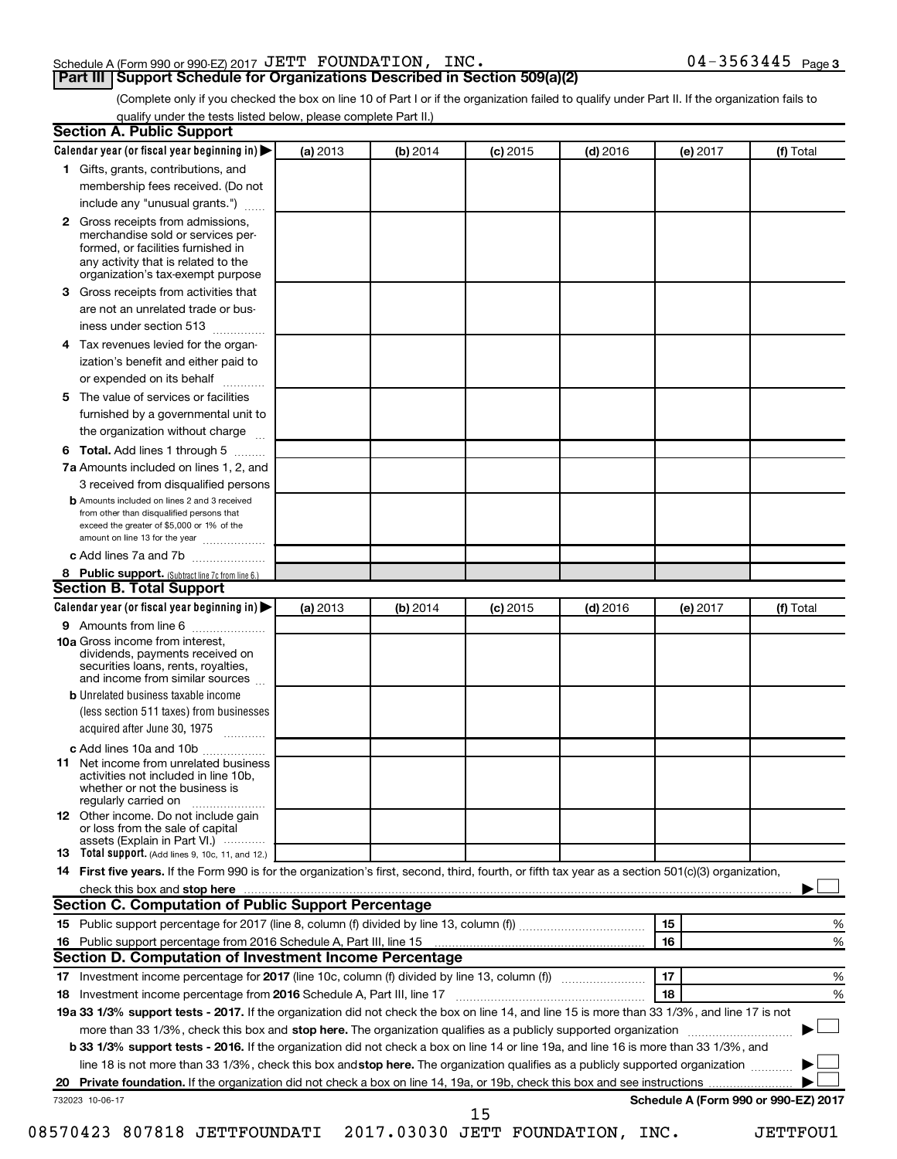### Schedule A (Form 990 or 990-EZ) 2017 Page JETT FOUNDATION, INC. 04-3563445

(Complete only if you checked the box on line 10 of Part I or if the organization failed to qualify under Part II. If the organization fails to qualify under the tests listed below, please complete Part II.)

| <b>Section A. Public Support</b>                                                                                                                                                         |          |          |            |            |          |                                      |  |  |
|------------------------------------------------------------------------------------------------------------------------------------------------------------------------------------------|----------|----------|------------|------------|----------|--------------------------------------|--|--|
| Calendar year (or fiscal year beginning in)                                                                                                                                              | (a) 2013 | (b) 2014 | $(c)$ 2015 | $(d)$ 2016 | (e) 2017 | (f) Total                            |  |  |
| 1 Gifts, grants, contributions, and                                                                                                                                                      |          |          |            |            |          |                                      |  |  |
| membership fees received. (Do not                                                                                                                                                        |          |          |            |            |          |                                      |  |  |
| include any "unusual grants.")                                                                                                                                                           |          |          |            |            |          |                                      |  |  |
| 2 Gross receipts from admissions,<br>merchandise sold or services per-<br>formed, or facilities furnished in<br>any activity that is related to the<br>organization's tax-exempt purpose |          |          |            |            |          |                                      |  |  |
| <b>3</b> Gross receipts from activities that                                                                                                                                             |          |          |            |            |          |                                      |  |  |
| are not an unrelated trade or bus-                                                                                                                                                       |          |          |            |            |          |                                      |  |  |
| iness under section 513                                                                                                                                                                  |          |          |            |            |          |                                      |  |  |
| 4 Tax revenues levied for the organ-                                                                                                                                                     |          |          |            |            |          |                                      |  |  |
| ization's benefit and either paid to                                                                                                                                                     |          |          |            |            |          |                                      |  |  |
| or expended on its behalf                                                                                                                                                                |          |          |            |            |          |                                      |  |  |
| 5 The value of services or facilities                                                                                                                                                    |          |          |            |            |          |                                      |  |  |
| furnished by a governmental unit to                                                                                                                                                      |          |          |            |            |          |                                      |  |  |
| the organization without charge                                                                                                                                                          |          |          |            |            |          |                                      |  |  |
| <b>6 Total.</b> Add lines 1 through 5                                                                                                                                                    |          |          |            |            |          |                                      |  |  |
| 7a Amounts included on lines 1, 2, and                                                                                                                                                   |          |          |            |            |          |                                      |  |  |
| 3 received from disqualified persons                                                                                                                                                     |          |          |            |            |          |                                      |  |  |
| <b>b</b> Amounts included on lines 2 and 3 received<br>from other than disqualified persons that<br>exceed the greater of \$5,000 or 1% of the<br>amount on line 13 for the year         |          |          |            |            |          |                                      |  |  |
| c Add lines 7a and 7b                                                                                                                                                                    |          |          |            |            |          |                                      |  |  |
| 8 Public support. (Subtract line 7c from line 6.)                                                                                                                                        |          |          |            |            |          |                                      |  |  |
| <b>Section B. Total Support</b>                                                                                                                                                          |          |          |            |            |          |                                      |  |  |
| Calendar year (or fiscal year beginning in)                                                                                                                                              | (a) 2013 | (b) 2014 | $(c)$ 2015 | $(d)$ 2016 | (e) 2017 | (f) Total                            |  |  |
| <b>9</b> Amounts from line 6                                                                                                                                                             |          |          |            |            |          |                                      |  |  |
| <b>10a</b> Gross income from interest,<br>dividends, payments received on<br>securities loans, rents, royalties,<br>and income from similar sources                                      |          |          |            |            |          |                                      |  |  |
| <b>b</b> Unrelated business taxable income                                                                                                                                               |          |          |            |            |          |                                      |  |  |
| (less section 511 taxes) from businesses                                                                                                                                                 |          |          |            |            |          |                                      |  |  |
| acquired after June 30, 1975                                                                                                                                                             |          |          |            |            |          |                                      |  |  |
| c Add lines 10a and 10b                                                                                                                                                                  |          |          |            |            |          |                                      |  |  |
| <b>11</b> Net income from unrelated business<br>activities not included in line 10b.<br>whether or not the business is<br>regularly carried on                                           |          |          |            |            |          |                                      |  |  |
| <b>12</b> Other income. Do not include gain<br>or loss from the sale of capital<br>assets (Explain in Part VI.)                                                                          |          |          |            |            |          |                                      |  |  |
| <b>13</b> Total support. (Add lines 9, 10c, 11, and 12.)                                                                                                                                 |          |          |            |            |          |                                      |  |  |
| 14 First five years. If the Form 990 is for the organization's first, second, third, fourth, or fifth tax year as a section 501(c)(3) organization,                                      |          |          |            |            |          |                                      |  |  |
|                                                                                                                                                                                          |          |          |            |            |          |                                      |  |  |
| Section C. Computation of Public Support Percentage                                                                                                                                      |          |          |            |            |          |                                      |  |  |
|                                                                                                                                                                                          |          |          |            |            | 15       | ℅                                    |  |  |
| 16 Public support percentage from 2016 Schedule A, Part III, line 15                                                                                                                     |          |          |            |            | 16       | %                                    |  |  |
| Section D. Computation of Investment Income Percentage                                                                                                                                   |          |          |            |            |          |                                      |  |  |
|                                                                                                                                                                                          |          |          |            |            | 17       | %                                    |  |  |
| 18 Investment income percentage from 2016 Schedule A, Part III, line 17                                                                                                                  |          |          |            |            | 18       | %                                    |  |  |
| 19a 33 1/3% support tests - 2017. If the organization did not check the box on line 14, and line 15 is more than 33 1/3%, and line 17 is not                                             |          |          |            |            |          |                                      |  |  |
| more than 33 1/3%, check this box and stop here. The organization qualifies as a publicly supported organization                                                                         |          |          |            |            |          |                                      |  |  |
| b 33 1/3% support tests - 2016. If the organization did not check a box on line 14 or line 19a, and line 16 is more than 33 1/3%, and                                                    |          |          |            |            |          |                                      |  |  |
| line 18 is not more than 33 1/3%, check this box and stop here. The organization qualifies as a publicly supported organization                                                          |          |          |            |            |          |                                      |  |  |
|                                                                                                                                                                                          |          |          |            |            |          |                                      |  |  |
| 732023 10-06-17                                                                                                                                                                          |          |          | 15         |            |          | Schedule A (Form 990 or 990-EZ) 2017 |  |  |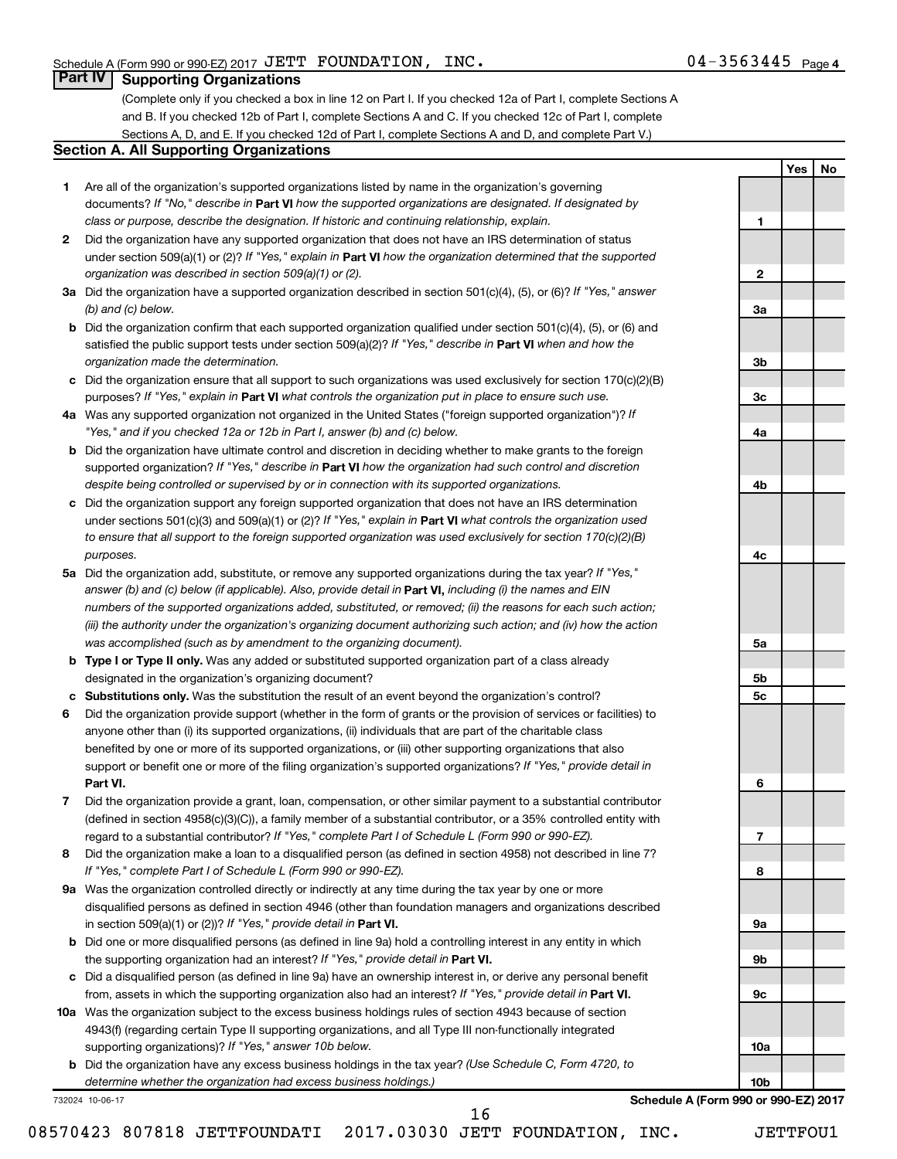**1**

**2**

**3a**

**3b**

**3c**

**4a**

**4b**

**4c**

**5a**

**5b 5c**

**6**

**7**

**8**

**9a**

**9b**

**9c**

**10a**

**10b**

**Yes No**

## **Part IV Supporting Organizations**

(Complete only if you checked a box in line 12 on Part I. If you checked 12a of Part I, complete Sections A and B. If you checked 12b of Part I, complete Sections A and C. If you checked 12c of Part I, complete Sections A, D, and E. If you checked 12d of Part I, complete Sections A and D, and complete Part V.)

#### **Section A. All Supporting Organizations**

- **1** Are all of the organization's supported organizations listed by name in the organization's governing documents? If "No," describe in Part VI how the supported organizations are designated. If designated by *class or purpose, describe the designation. If historic and continuing relationship, explain.*
- **2** Did the organization have any supported organization that does not have an IRS determination of status under section 509(a)(1) or (2)? If "Yes," explain in Part **VI** how the organization determined that the supported *organization was described in section 509(a)(1) or (2).*
- **3a** Did the organization have a supported organization described in section 501(c)(4), (5), or (6)? If "Yes," answer *(b) and (c) below.*
- **b** Did the organization confirm that each supported organization qualified under section 501(c)(4), (5), or (6) and satisfied the public support tests under section 509(a)(2)? If "Yes," describe in Part VI when and how the *organization made the determination.*
- **c** Did the organization ensure that all support to such organizations was used exclusively for section 170(c)(2)(B) purposes? If "Yes," explain in Part VI what controls the organization put in place to ensure such use.
- **4 a** *If* Was any supported organization not organized in the United States ("foreign supported organization")? *"Yes," and if you checked 12a or 12b in Part I, answer (b) and (c) below.*
- **b** Did the organization have ultimate control and discretion in deciding whether to make grants to the foreign supported organization? If "Yes," describe in Part VI how the organization had such control and discretion *despite being controlled or supervised by or in connection with its supported organizations.*
- **c** Did the organization support any foreign supported organization that does not have an IRS determination under sections 501(c)(3) and 509(a)(1) or (2)? If "Yes," explain in Part VI what controls the organization used *to ensure that all support to the foreign supported organization was used exclusively for section 170(c)(2)(B) purposes.*
- **5a** Did the organization add, substitute, or remove any supported organizations during the tax year? If "Yes," answer (b) and (c) below (if applicable). Also, provide detail in **Part VI,** including (i) the names and EIN *numbers of the supported organizations added, substituted, or removed; (ii) the reasons for each such action; (iii) the authority under the organization's organizing document authorizing such action; and (iv) how the action was accomplished (such as by amendment to the organizing document).*
- **b** Type I or Type II only. Was any added or substituted supported organization part of a class already designated in the organization's organizing document?
- **c Substitutions only.**  Was the substitution the result of an event beyond the organization's control?
- **6** Did the organization provide support (whether in the form of grants or the provision of services or facilities) to **Part VI.** support or benefit one or more of the filing organization's supported organizations? If "Yes," provide detail in anyone other than (i) its supported organizations, (ii) individuals that are part of the charitable class benefited by one or more of its supported organizations, or (iii) other supporting organizations that also
- **7** Did the organization provide a grant, loan, compensation, or other similar payment to a substantial contributor regard to a substantial contributor? If "Yes," complete Part I of Schedule L (Form 990 or 990-EZ). (defined in section 4958(c)(3)(C)), a family member of a substantial contributor, or a 35% controlled entity with
- **8** Did the organization make a loan to a disqualified person (as defined in section 4958) not described in line 7? *If "Yes," complete Part I of Schedule L (Form 990 or 990-EZ).*
- **9 a** Was the organization controlled directly or indirectly at any time during the tax year by one or more in section 509(a)(1) or (2))? If "Yes," provide detail in **Part VI.** disqualified persons as defined in section 4946 (other than foundation managers and organizations described
- **b** Did one or more disqualified persons (as defined in line 9a) hold a controlling interest in any entity in which the supporting organization had an interest? If "Yes," provide detail in Part VI.
- **c** Did a disqualified person (as defined in line 9a) have an ownership interest in, or derive any personal benefit from, assets in which the supporting organization also had an interest? If "Yes," provide detail in Part VI.
- **10 a** Was the organization subject to the excess business holdings rules of section 4943 because of section supporting organizations)? If "Yes," answer 10b below. 4943(f) (regarding certain Type II supporting organizations, and all Type III non-functionally integrated
	- **b** Did the organization have any excess business holdings in the tax year? (Use Schedule C, Form 4720, to *determine whether the organization had excess business holdings.)*

16

732024 10-06-17

**Schedule A (Form 990 or 990-EZ) 2017**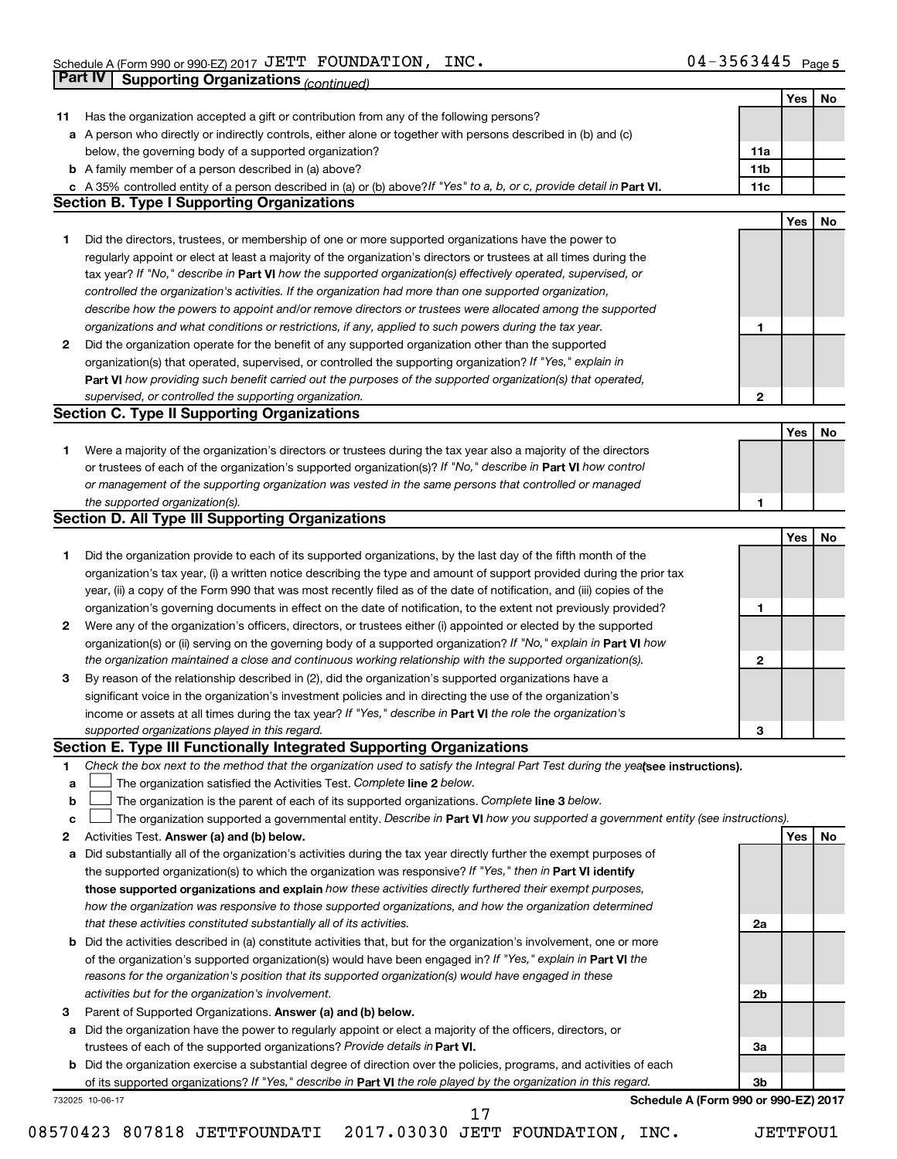|    | Part IV<br><b>Supporting Organizations (continued)</b>                                                                                                    |                 |     |    |
|----|-----------------------------------------------------------------------------------------------------------------------------------------------------------|-----------------|-----|----|
|    |                                                                                                                                                           |                 | Yes | No |
| 11 | Has the organization accepted a gift or contribution from any of the following persons?                                                                   |                 |     |    |
|    | a A person who directly or indirectly controls, either alone or together with persons described in (b) and (c)                                            |                 |     |    |
|    | below, the governing body of a supported organization?                                                                                                    | 11a             |     |    |
|    | <b>b</b> A family member of a person described in (a) above?                                                                                              | 11 <sub>b</sub> |     |    |
|    | c A 35% controlled entity of a person described in (a) or (b) above? If "Yes" to a, b, or c, provide detail in Part VI.                                   | 11c             |     |    |
|    | <b>Section B. Type I Supporting Organizations</b>                                                                                                         |                 |     |    |
|    |                                                                                                                                                           |                 | Yes | No |
| 1  | Did the directors, trustees, or membership of one or more supported organizations have the power to                                                       |                 |     |    |
|    | regularly appoint or elect at least a majority of the organization's directors or trustees at all times during the                                        |                 |     |    |
|    | tax year? If "No," describe in Part VI how the supported organization(s) effectively operated, supervised, or                                             |                 |     |    |
|    | controlled the organization's activities. If the organization had more than one supported organization,                                                   |                 |     |    |
|    | describe how the powers to appoint and/or remove directors or trustees were allocated among the supported                                                 |                 |     |    |
|    |                                                                                                                                                           |                 |     |    |
|    | organizations and what conditions or restrictions, if any, applied to such powers during the tax year.                                                    | 1               |     |    |
| 2  | Did the organization operate for the benefit of any supported organization other than the supported                                                       |                 |     |    |
|    | organization(s) that operated, supervised, or controlled the supporting organization? If "Yes," explain in                                                |                 |     |    |
|    | Part VI how providing such benefit carried out the purposes of the supported organization(s) that operated,                                               |                 |     |    |
|    | supervised, or controlled the supporting organization.                                                                                                    | 2               |     |    |
|    | <b>Section C. Type II Supporting Organizations</b>                                                                                                        |                 |     |    |
|    |                                                                                                                                                           |                 | Yes | No |
| 1. | Were a majority of the organization's directors or trustees during the tax year also a majority of the directors                                          |                 |     |    |
|    | or trustees of each of the organization's supported organization(s)? If "No," describe in Part VI how control                                             |                 |     |    |
|    | or management of the supporting organization was vested in the same persons that controlled or managed                                                    |                 |     |    |
|    | the supported organization(s).                                                                                                                            | 1               |     |    |
|    | <b>Section D. All Type III Supporting Organizations</b>                                                                                                   |                 |     |    |
|    |                                                                                                                                                           |                 | Yes | No |
| 1  | Did the organization provide to each of its supported organizations, by the last day of the fifth month of the                                            |                 |     |    |
|    | organization's tax year, (i) a written notice describing the type and amount of support provided during the prior tax                                     |                 |     |    |
|    | year, (ii) a copy of the Form 990 that was most recently filed as of the date of notification, and (iii) copies of the                                    |                 |     |    |
|    | organization's governing documents in effect on the date of notification, to the extent not previously provided?                                          | 1               |     |    |
| 2  | Were any of the organization's officers, directors, or trustees either (i) appointed or elected by the supported                                          |                 |     |    |
|    | organization(s) or (ii) serving on the governing body of a supported organization? If "No," explain in Part VI how                                        |                 |     |    |
|    | the organization maintained a close and continuous working relationship with the supported organization(s).                                               | $\mathbf{2}$    |     |    |
| 3  | By reason of the relationship described in (2), did the organization's supported organizations have a                                                     |                 |     |    |
|    | significant voice in the organization's investment policies and in directing the use of the organization's                                                |                 |     |    |
|    | income or assets at all times during the tax year? If "Yes," describe in Part VI the role the organization's                                              |                 |     |    |
|    | supported organizations played in this regard.                                                                                                            | з               |     |    |
|    | Section E. Type III Functionally Integrated Supporting Organizations                                                                                      |                 |     |    |
| 1  | Check the box next to the method that the organization used to satisfy the Integral Part Test during the yealsee instructions).                           |                 |     |    |
| a  | The organization satisfied the Activities Test. Complete line 2 below.                                                                                    |                 |     |    |
| b  | The organization is the parent of each of its supported organizations. Complete line 3 below.                                                             |                 |     |    |
| c  | The organization supported a governmental entity. Describe in Part VI how you supported a government entity (see instructions).                           |                 |     |    |
| 2  | Activities Test. Answer (a) and (b) below.                                                                                                                |                 | Yes | No |
| а  | Did substantially all of the organization's activities during the tax year directly further the exempt purposes of                                        |                 |     |    |
|    | the supported organization(s) to which the organization was responsive? If "Yes," then in Part VI identify                                                |                 |     |    |
|    | those supported organizations and explain how these activities directly furthered their exempt purposes,                                                  |                 |     |    |
|    | how the organization was responsive to those supported organizations, and how the organization determined                                                 |                 |     |    |
|    | that these activities constituted substantially all of its activities.                                                                                    | 2a              |     |    |
| b  | Did the activities described in (a) constitute activities that, but for the organization's involvement, one or more                                       |                 |     |    |
|    | of the organization's supported organization(s) would have been engaged in? If "Yes," explain in Part VI the                                              |                 |     |    |
|    | reasons for the organization's position that its supported organization(s) would have engaged in these                                                    |                 |     |    |
|    | activities but for the organization's involvement.                                                                                                        | 2b              |     |    |
| 3  | Parent of Supported Organizations. Answer (a) and (b) below.                                                                                              |                 |     |    |
| а  | Did the organization have the power to regularly appoint or elect a majority of the officers, directors, or                                               |                 |     |    |
|    | trustees of each of the supported organizations? Provide details in Part VI.                                                                              | За              |     |    |
|    | <b>b</b> Did the organization exercise a substantial degree of direction over the policies, programs, and activities of each                              |                 |     |    |
|    |                                                                                                                                                           | 3b              |     |    |
|    | of its supported organizations? If "Yes," describe in Part VI the role played by the organization in this regard.<br>Schedule A (Form 990 or 990-EZ) 2017 |                 |     |    |
|    | 732025 10-06-17<br>17                                                                                                                                     |                 |     |    |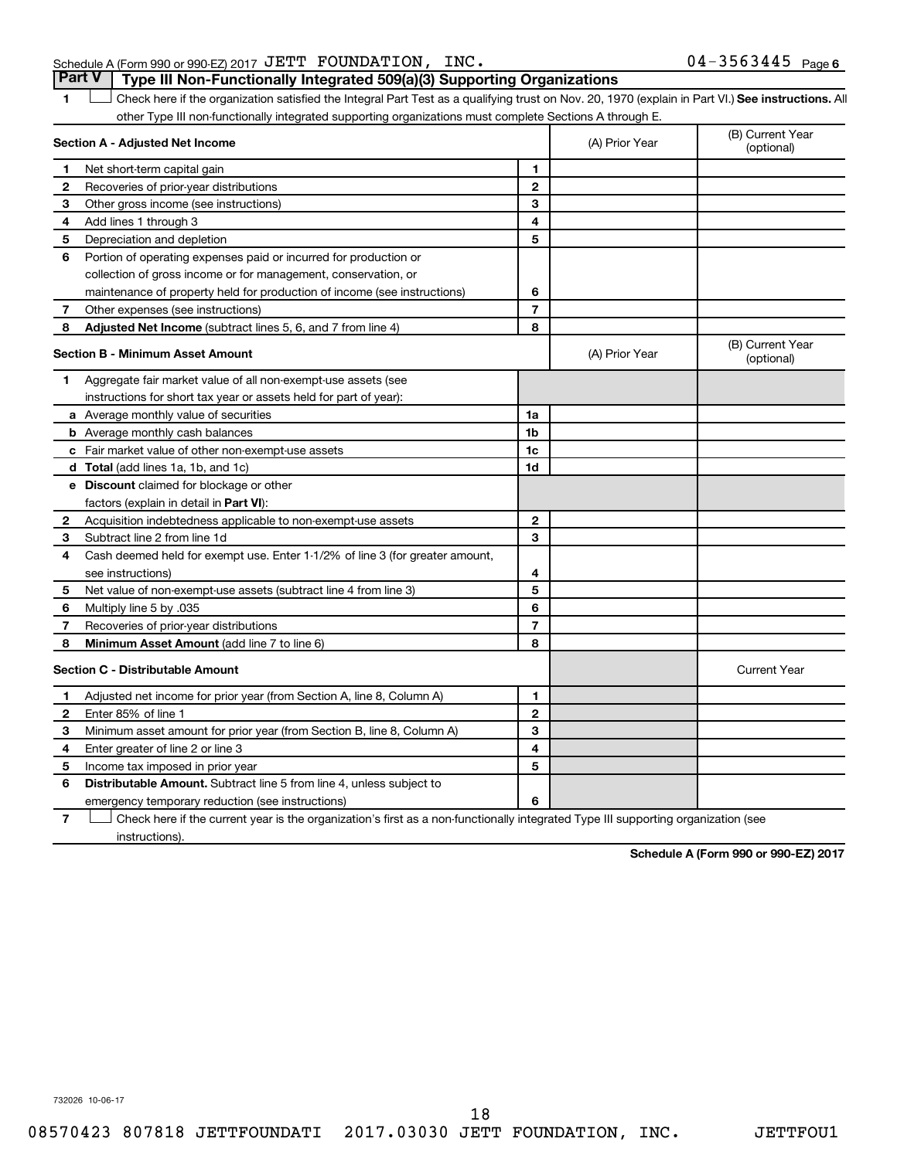#### Schedule A (Form 990 or 990-EZ) 2017 Page JETT FOUNDATION, INC. 04-3563445 **Part V Type III Non-Functionally Integrated 509(a)(3) Supporting Organizations**

1 **Letter See instructions.** All Check here if the organization satisfied the Integral Part Test as a qualifying trust on Nov. 20, 1970 (explain in Part VI.) See instructions. All other Type III non-functionally integrated supporting organizations must complete Sections A through E.

|              | Section A - Adjusted Net Income                                                                                                   |                | (A) Prior Year | (B) Current Year<br>(optional) |
|--------------|-----------------------------------------------------------------------------------------------------------------------------------|----------------|----------------|--------------------------------|
| 1            | Net short-term capital gain                                                                                                       | 1              |                |                                |
| 2            | Recoveries of prior-year distributions                                                                                            | $\mathbf{2}$   |                |                                |
| 3            | Other gross income (see instructions)                                                                                             | 3              |                |                                |
| 4            | Add lines 1 through 3                                                                                                             | 4              |                |                                |
| 5            | Depreciation and depletion                                                                                                        | 5              |                |                                |
| 6            | Portion of operating expenses paid or incurred for production or                                                                  |                |                |                                |
|              | collection of gross income or for management, conservation, or                                                                    |                |                |                                |
|              | maintenance of property held for production of income (see instructions)                                                          | 6              |                |                                |
| 7            | Other expenses (see instructions)                                                                                                 | $\overline{7}$ |                |                                |
| 8            | Adjusted Net Income (subtract lines 5, 6, and 7 from line 4)                                                                      | 8              |                |                                |
|              | <b>Section B - Minimum Asset Amount</b>                                                                                           |                | (A) Prior Year | (B) Current Year<br>(optional) |
| 1            | Aggregate fair market value of all non-exempt-use assets (see                                                                     |                |                |                                |
|              | instructions for short tax year or assets held for part of year):                                                                 |                |                |                                |
|              | <b>a</b> Average monthly value of securities                                                                                      | 1a             |                |                                |
|              | <b>b</b> Average monthly cash balances                                                                                            | 1b             |                |                                |
|              | <b>c</b> Fair market value of other non-exempt-use assets                                                                         | 1c             |                |                                |
|              | <b>d</b> Total (add lines 1a, 1b, and 1c)                                                                                         | 1d             |                |                                |
|              | e Discount claimed for blockage or other                                                                                          |                |                |                                |
|              | factors (explain in detail in Part VI):                                                                                           |                |                |                                |
| $\mathbf{2}$ | Acquisition indebtedness applicable to non-exempt-use assets                                                                      | $\mathbf{2}$   |                |                                |
| З            | Subtract line 2 from line 1d                                                                                                      | 3              |                |                                |
| 4            | Cash deemed held for exempt use. Enter 1-1/2% of line 3 (for greater amount,                                                      |                |                |                                |
|              | see instructions)                                                                                                                 | 4              |                |                                |
| 5            | Net value of non-exempt-use assets (subtract line 4 from line 3)                                                                  | 5              |                |                                |
| 6            | 035. Multiply line 5 by                                                                                                           | 6              |                |                                |
| 7            | Recoveries of prior-year distributions                                                                                            | $\overline{7}$ |                |                                |
| 8            | <b>Minimum Asset Amount (add line 7 to line 6)</b>                                                                                | 8              |                |                                |
|              | <b>Section C - Distributable Amount</b>                                                                                           |                |                | <b>Current Year</b>            |
| 1            | Adjusted net income for prior year (from Section A, line 8, Column A)                                                             | 1              |                |                                |
| 2            | Enter 85% of line 1                                                                                                               | $\mathbf{2}$   |                |                                |
| з            | Minimum asset amount for prior year (from Section B, line 8, Column A)                                                            | 3              |                |                                |
| 4            | Enter greater of line 2 or line 3                                                                                                 | 4              |                |                                |
| 5            | Income tax imposed in prior year                                                                                                  | 5              |                |                                |
| 6            | <b>Distributable Amount.</b> Subtract line 5 from line 4, unless subject to                                                       |                |                |                                |
|              | emergency temporary reduction (see instructions)                                                                                  | 6              |                |                                |
| 7            | Check here if the current year is the organization's first as a non-functionally integrated Type III supporting organization (see |                |                |                                |

instructions).

**Schedule A (Form 990 or 990-EZ) 2017**

732026 10-06-17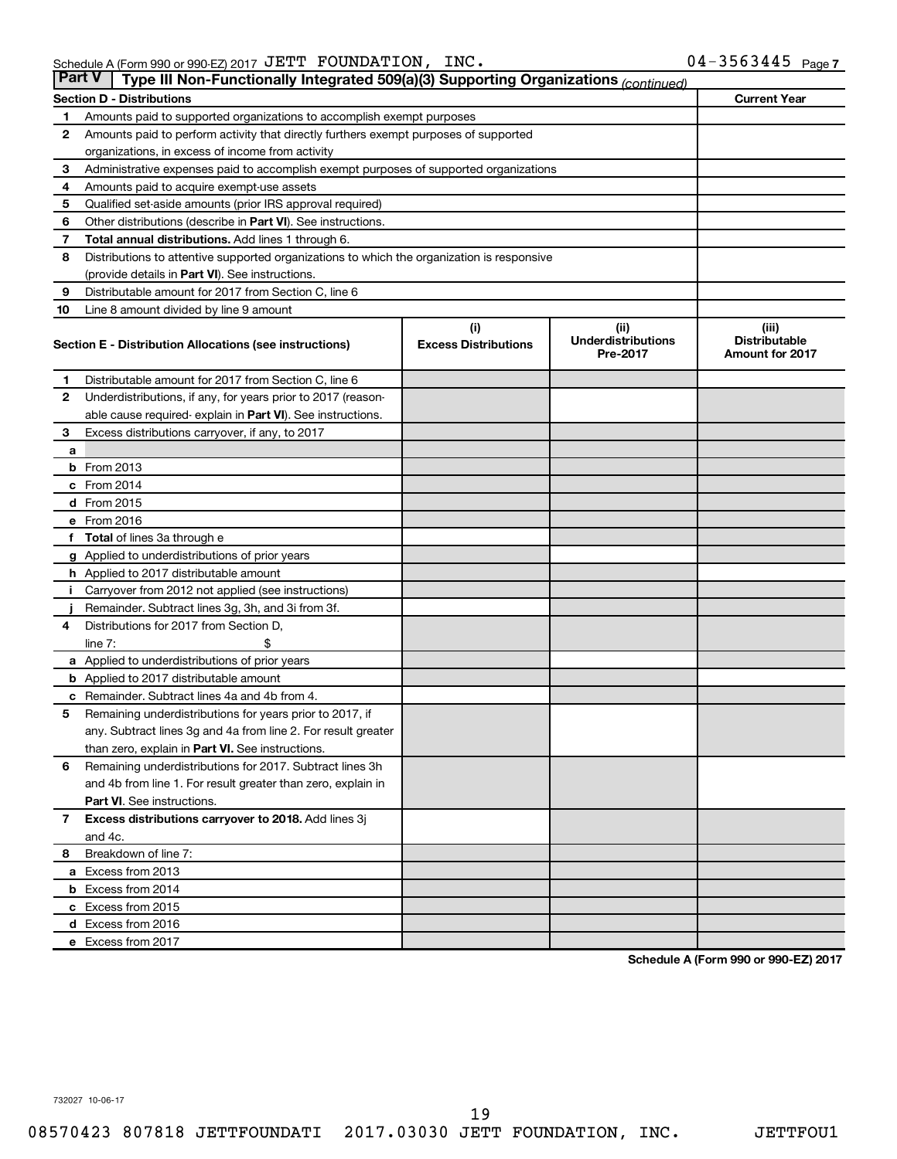|              | <b>Part V</b><br>Type III Non-Functionally Integrated 509(a)(3) Supporting Organizations (continued) |                             |                                       |                                                |  |  |  |  |  |  |
|--------------|------------------------------------------------------------------------------------------------------|-----------------------------|---------------------------------------|------------------------------------------------|--|--|--|--|--|--|
|              | <b>Section D - Distributions</b>                                                                     |                             |                                       | <b>Current Year</b>                            |  |  |  |  |  |  |
| 1            | Amounts paid to supported organizations to accomplish exempt purposes                                |                             |                                       |                                                |  |  |  |  |  |  |
| $\mathbf{2}$ | Amounts paid to perform activity that directly furthers exempt purposes of supported                 |                             |                                       |                                                |  |  |  |  |  |  |
|              | organizations, in excess of income from activity                                                     |                             |                                       |                                                |  |  |  |  |  |  |
| 3            | Administrative expenses paid to accomplish exempt purposes of supported organizations                |                             |                                       |                                                |  |  |  |  |  |  |
| 4            | Amounts paid to acquire exempt-use assets                                                            |                             |                                       |                                                |  |  |  |  |  |  |
| 5            | Qualified set-aside amounts (prior IRS approval required)                                            |                             |                                       |                                                |  |  |  |  |  |  |
| 6            | Other distributions (describe in <b>Part VI</b> ). See instructions.                                 |                             |                                       |                                                |  |  |  |  |  |  |
| 7            | <b>Total annual distributions.</b> Add lines 1 through 6.                                            |                             |                                       |                                                |  |  |  |  |  |  |
| 8            | Distributions to attentive supported organizations to which the organization is responsive           |                             |                                       |                                                |  |  |  |  |  |  |
|              | (provide details in Part VI). See instructions.                                                      |                             |                                       |                                                |  |  |  |  |  |  |
| 9            | Distributable amount for 2017 from Section C, line 6                                                 |                             |                                       |                                                |  |  |  |  |  |  |
| 10           | Line 8 amount divided by line 9 amount                                                               |                             |                                       |                                                |  |  |  |  |  |  |
|              |                                                                                                      | (i)                         | (ii)                                  | (iii)                                          |  |  |  |  |  |  |
|              | Section E - Distribution Allocations (see instructions)                                              | <b>Excess Distributions</b> | <b>Underdistributions</b><br>Pre-2017 | <b>Distributable</b><br><b>Amount for 2017</b> |  |  |  |  |  |  |
| 1            | Distributable amount for 2017 from Section C, line 6                                                 |                             |                                       |                                                |  |  |  |  |  |  |
| $\mathbf{2}$ | Underdistributions, if any, for years prior to 2017 (reason-                                         |                             |                                       |                                                |  |  |  |  |  |  |
|              | able cause required- explain in Part VI). See instructions.                                          |                             |                                       |                                                |  |  |  |  |  |  |
| 3            | Excess distributions carryover, if any, to 2017                                                      |                             |                                       |                                                |  |  |  |  |  |  |
| a            |                                                                                                      |                             |                                       |                                                |  |  |  |  |  |  |
|              | <b>b</b> From 2013                                                                                   |                             |                                       |                                                |  |  |  |  |  |  |
|              | c From 2014                                                                                          |                             |                                       |                                                |  |  |  |  |  |  |
|              | d From 2015                                                                                          |                             |                                       |                                                |  |  |  |  |  |  |
|              | e From 2016                                                                                          |                             |                                       |                                                |  |  |  |  |  |  |
|              | f Total of lines 3a through e                                                                        |                             |                                       |                                                |  |  |  |  |  |  |
|              | <b>g</b> Applied to underdistributions of prior years                                                |                             |                                       |                                                |  |  |  |  |  |  |
|              | h Applied to 2017 distributable amount                                                               |                             |                                       |                                                |  |  |  |  |  |  |
| Ť.           | Carryover from 2012 not applied (see instructions)                                                   |                             |                                       |                                                |  |  |  |  |  |  |
|              | Remainder. Subtract lines 3g, 3h, and 3i from 3f.                                                    |                             |                                       |                                                |  |  |  |  |  |  |
| 4            | Distributions for 2017 from Section D,                                                               |                             |                                       |                                                |  |  |  |  |  |  |
|              | line $7:$                                                                                            |                             |                                       |                                                |  |  |  |  |  |  |
|              | a Applied to underdistributions of prior years                                                       |                             |                                       |                                                |  |  |  |  |  |  |
|              | <b>b</b> Applied to 2017 distributable amount                                                        |                             |                                       |                                                |  |  |  |  |  |  |
| с            | Remainder. Subtract lines 4a and 4b from 4.                                                          |                             |                                       |                                                |  |  |  |  |  |  |
| 5            | Remaining underdistributions for years prior to 2017, if                                             |                             |                                       |                                                |  |  |  |  |  |  |
|              | any. Subtract lines 3g and 4a from line 2. For result greater                                        |                             |                                       |                                                |  |  |  |  |  |  |
|              | than zero, explain in Part VI. See instructions.                                                     |                             |                                       |                                                |  |  |  |  |  |  |
| 6            | Remaining underdistributions for 2017. Subtract lines 3h                                             |                             |                                       |                                                |  |  |  |  |  |  |
|              | and 4b from line 1. For result greater than zero, explain in                                         |                             |                                       |                                                |  |  |  |  |  |  |
|              | <b>Part VI.</b> See instructions.                                                                    |                             |                                       |                                                |  |  |  |  |  |  |
| $\mathbf{7}$ | Excess distributions carryover to 2018. Add lines 3j                                                 |                             |                                       |                                                |  |  |  |  |  |  |
|              | and 4c.                                                                                              |                             |                                       |                                                |  |  |  |  |  |  |
| 8            | Breakdown of line 7:                                                                                 |                             |                                       |                                                |  |  |  |  |  |  |
|              | a Excess from 2013                                                                                   |                             |                                       |                                                |  |  |  |  |  |  |
|              | <b>b</b> Excess from 2014                                                                            |                             |                                       |                                                |  |  |  |  |  |  |
|              | c Excess from 2015                                                                                   |                             |                                       |                                                |  |  |  |  |  |  |
|              | d Excess from 2016                                                                                   |                             |                                       |                                                |  |  |  |  |  |  |
|              | e Excess from 2017                                                                                   |                             |                                       |                                                |  |  |  |  |  |  |

**Schedule A (Form 990 or 990-EZ) 2017**

732027 10-06-17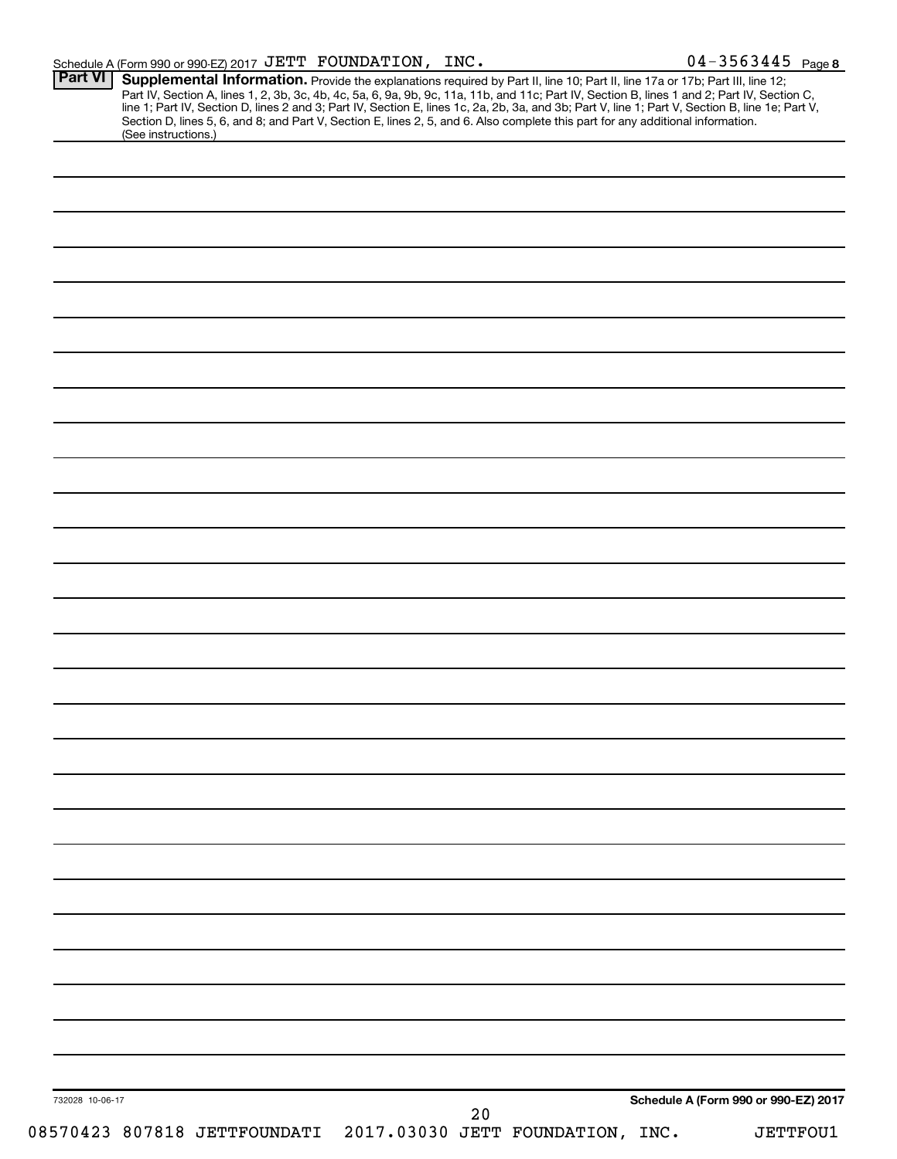|  |  |  | Schedule A (Form 990 or 990-EZ) 2017 $JETT$ FOUNDATION, INC. |  | $04 - 3563445$ Page 8 |
|--|--|--|--------------------------------------------------------------|--|-----------------------|
|--|--|--|--------------------------------------------------------------|--|-----------------------|

|                 | (See instructions.) | <b>Supplemental Information.</b> Provide the explanations required by Part II, line 10; Part II, line 17a or 17b; Part III, line 12;<br>Part IV, Section A, lines 1, 2, 3b, 3c, 4b, 4c, 5a, 6, 9a, 9b, 9c, 11a, 11b, and 11c; Part IV,<br>Section D, lines 5, 6, and 8; and Part V, Section E, lines 2, 5, and 6. Also complete this part for any additional information. |    |                                                               |                                      |                 |
|-----------------|---------------------|---------------------------------------------------------------------------------------------------------------------------------------------------------------------------------------------------------------------------------------------------------------------------------------------------------------------------------------------------------------------------|----|---------------------------------------------------------------|--------------------------------------|-----------------|
|                 |                     |                                                                                                                                                                                                                                                                                                                                                                           |    |                                                               |                                      |                 |
|                 |                     |                                                                                                                                                                                                                                                                                                                                                                           |    |                                                               |                                      |                 |
|                 |                     |                                                                                                                                                                                                                                                                                                                                                                           |    |                                                               |                                      |                 |
|                 |                     |                                                                                                                                                                                                                                                                                                                                                                           |    |                                                               |                                      |                 |
|                 |                     |                                                                                                                                                                                                                                                                                                                                                                           |    |                                                               |                                      |                 |
|                 |                     |                                                                                                                                                                                                                                                                                                                                                                           |    |                                                               |                                      |                 |
|                 |                     |                                                                                                                                                                                                                                                                                                                                                                           |    |                                                               |                                      |                 |
|                 |                     |                                                                                                                                                                                                                                                                                                                                                                           |    |                                                               |                                      |                 |
|                 |                     |                                                                                                                                                                                                                                                                                                                                                                           |    |                                                               |                                      |                 |
|                 |                     |                                                                                                                                                                                                                                                                                                                                                                           |    |                                                               |                                      |                 |
|                 |                     |                                                                                                                                                                                                                                                                                                                                                                           |    |                                                               |                                      |                 |
|                 |                     |                                                                                                                                                                                                                                                                                                                                                                           |    |                                                               |                                      |                 |
|                 |                     |                                                                                                                                                                                                                                                                                                                                                                           |    |                                                               |                                      |                 |
|                 |                     |                                                                                                                                                                                                                                                                                                                                                                           |    |                                                               |                                      |                 |
|                 |                     |                                                                                                                                                                                                                                                                                                                                                                           |    |                                                               |                                      |                 |
|                 |                     |                                                                                                                                                                                                                                                                                                                                                                           |    |                                                               |                                      |                 |
|                 |                     |                                                                                                                                                                                                                                                                                                                                                                           |    |                                                               |                                      |                 |
|                 |                     |                                                                                                                                                                                                                                                                                                                                                                           |    |                                                               |                                      |                 |
|                 |                     |                                                                                                                                                                                                                                                                                                                                                                           |    |                                                               |                                      |                 |
|                 |                     |                                                                                                                                                                                                                                                                                                                                                                           |    |                                                               |                                      |                 |
|                 |                     |                                                                                                                                                                                                                                                                                                                                                                           |    |                                                               |                                      |                 |
|                 |                     |                                                                                                                                                                                                                                                                                                                                                                           |    |                                                               |                                      |                 |
|                 |                     |                                                                                                                                                                                                                                                                                                                                                                           |    |                                                               |                                      |                 |
|                 |                     |                                                                                                                                                                                                                                                                                                                                                                           |    |                                                               |                                      |                 |
|                 |                     |                                                                                                                                                                                                                                                                                                                                                                           |    |                                                               |                                      |                 |
|                 |                     |                                                                                                                                                                                                                                                                                                                                                                           |    |                                                               |                                      |                 |
|                 |                     |                                                                                                                                                                                                                                                                                                                                                                           |    |                                                               |                                      |                 |
|                 |                     |                                                                                                                                                                                                                                                                                                                                                                           |    |                                                               |                                      |                 |
|                 |                     |                                                                                                                                                                                                                                                                                                                                                                           |    |                                                               |                                      |                 |
|                 |                     |                                                                                                                                                                                                                                                                                                                                                                           |    |                                                               |                                      |                 |
|                 |                     |                                                                                                                                                                                                                                                                                                                                                                           |    |                                                               |                                      |                 |
|                 |                     |                                                                                                                                                                                                                                                                                                                                                                           |    |                                                               |                                      |                 |
|                 |                     |                                                                                                                                                                                                                                                                                                                                                                           |    |                                                               |                                      |                 |
|                 |                     |                                                                                                                                                                                                                                                                                                                                                                           |    |                                                               |                                      |                 |
|                 |                     |                                                                                                                                                                                                                                                                                                                                                                           |    |                                                               |                                      |                 |
|                 |                     |                                                                                                                                                                                                                                                                                                                                                                           |    |                                                               |                                      |                 |
|                 |                     |                                                                                                                                                                                                                                                                                                                                                                           |    |                                                               |                                      |                 |
|                 |                     |                                                                                                                                                                                                                                                                                                                                                                           |    |                                                               |                                      |                 |
|                 |                     |                                                                                                                                                                                                                                                                                                                                                                           |    |                                                               |                                      |                 |
|                 |                     |                                                                                                                                                                                                                                                                                                                                                                           |    |                                                               |                                      |                 |
|                 |                     |                                                                                                                                                                                                                                                                                                                                                                           |    |                                                               |                                      |                 |
| 732028 10-06-17 |                     |                                                                                                                                                                                                                                                                                                                                                                           |    |                                                               | Schedule A (Form 990 or 990-EZ) 2017 |                 |
|                 |                     |                                                                                                                                                                                                                                                                                                                                                                           | 20 | 08570423 807818 JETTFOUNDATI 2017.03030 JETT FOUNDATION, INC. |                                      | <b>JETTFOU1</b> |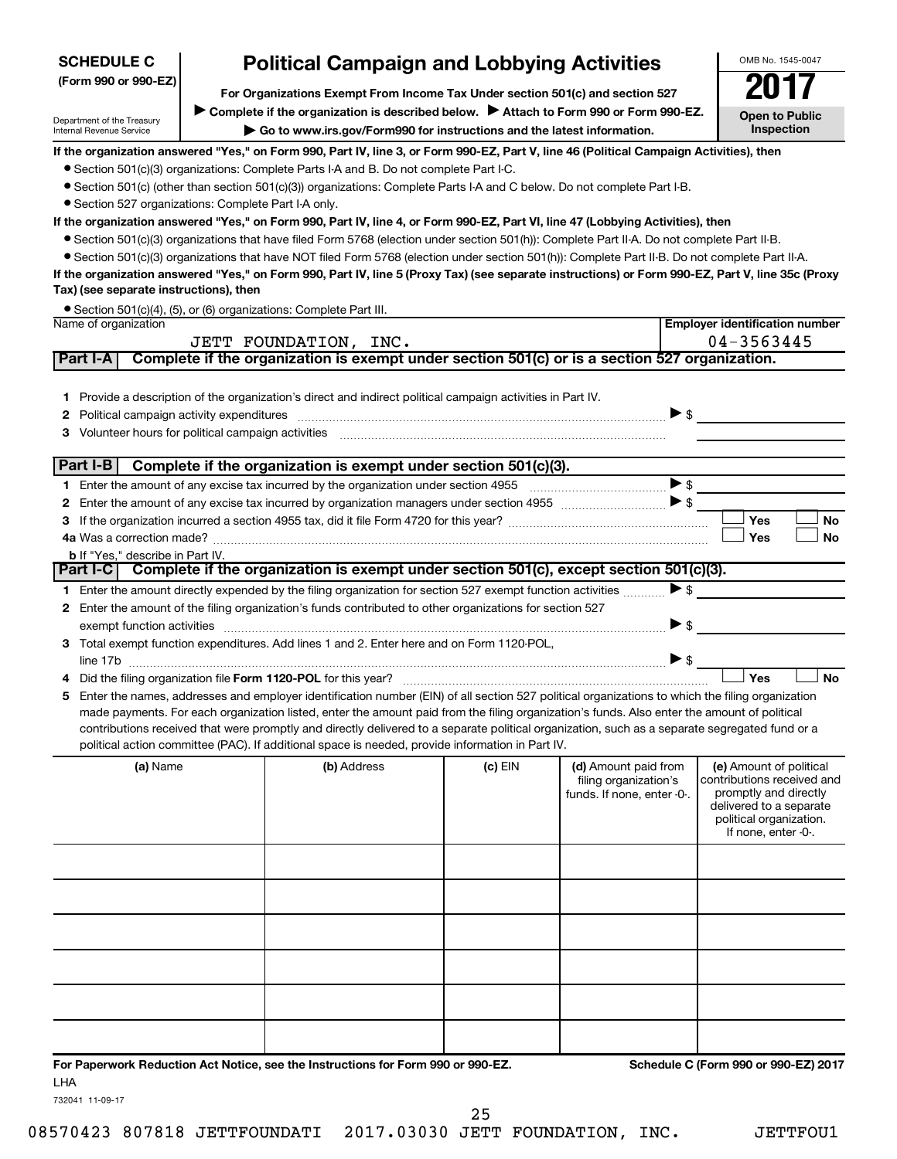| <b>Political Campaign and Lobbying Activities</b><br><b>SCHEDULE C</b> |  |                                                                                                                                                                                                                                |           | OMB No. 1545-0047                             |                                                       |
|------------------------------------------------------------------------|--|--------------------------------------------------------------------------------------------------------------------------------------------------------------------------------------------------------------------------------|-----------|-----------------------------------------------|-------------------------------------------------------|
| (Form 990 or 990-EZ)                                                   |  | For Organizations Exempt From Income Tax Under section 501(c) and section 527                                                                                                                                                  |           |                                               |                                                       |
|                                                                        |  | Complete if the organization is described below. Attach to Form 990 or Form 990-EZ.                                                                                                                                            |           |                                               |                                                       |
| Department of the Treasury<br>Internal Revenue Service                 |  | Go to www.irs.gov/Form990 for instructions and the latest information.                                                                                                                                                         |           |                                               | <b>Open to Public</b><br>Inspection                   |
|                                                                        |  | If the organization answered "Yes," on Form 990, Part IV, line 3, or Form 990-EZ, Part V, line 46 (Political Campaign Activities), then                                                                                        |           |                                               |                                                       |
|                                                                        |  | • Section 501(c)(3) organizations: Complete Parts I-A and B. Do not complete Part I-C.                                                                                                                                         |           |                                               |                                                       |
|                                                                        |  | • Section 501(c) (other than section 501(c)(3)) organizations: Complete Parts I-A and C below. Do not complete Part I-B.                                                                                                       |           |                                               |                                                       |
| • Section 527 organizations: Complete Part I-A only.                   |  |                                                                                                                                                                                                                                |           |                                               |                                                       |
|                                                                        |  | If the organization answered "Yes," on Form 990, Part IV, line 4, or Form 990-EZ, Part VI, line 47 (Lobbying Activities), then                                                                                                 |           |                                               |                                                       |
|                                                                        |  | • Section 501(c)(3) organizations that have filed Form 5768 (election under section 501(h)): Complete Part II-A. Do not complete Part II-B.                                                                                    |           |                                               |                                                       |
|                                                                        |  | • Section 501(c)(3) organizations that have NOT filed Form 5768 (election under section 501(h)): Complete Part II-B. Do not complete Part II-A.                                                                                |           |                                               |                                                       |
|                                                                        |  | If the organization answered "Yes," on Form 990, Part IV, line 5 (Proxy Tax) (see separate instructions) or Form 990-EZ, Part V, line 35c (Proxy                                                                               |           |                                               |                                                       |
| Tax) (see separate instructions), then                                 |  |                                                                                                                                                                                                                                |           |                                               |                                                       |
| Name of organization                                                   |  | • Section 501(c)(4), (5), or (6) organizations: Complete Part III.                                                                                                                                                             |           |                                               | <b>Employer identification number</b>                 |
|                                                                        |  | JETT FOUNDATION, INC.                                                                                                                                                                                                          |           |                                               | 04-3563445                                            |
| Part I-A                                                               |  | Complete if the organization is exempt under section 501(c) or is a section 527 organization.                                                                                                                                  |           |                                               |                                                       |
|                                                                        |  |                                                                                                                                                                                                                                |           |                                               |                                                       |
|                                                                        |  | 1 Provide a description of the organization's direct and indirect political campaign activities in Part IV.                                                                                                                    |           |                                               |                                                       |
| 2                                                                      |  | Political campaign activity expenditures [11] matter contract to the contract of the contract of the contract of the contract of the contract of the contract of the contract of the contract of the contract of the contract  |           | $\triangleright$ \$                           |                                                       |
| 3.                                                                     |  | Volunteer hours for political campaign activities [11] matter content to the content of the content of the content of the content of the content of the content of the content of the content of the content of the content of |           |                                               |                                                       |
|                                                                        |  |                                                                                                                                                                                                                                |           |                                               |                                                       |
| Part I-B                                                               |  | Complete if the organization is exempt under section 501(c)(3).                                                                                                                                                                |           |                                               |                                                       |
|                                                                        |  |                                                                                                                                                                                                                                |           | $\blacktriangleright$ \$                      |                                                       |
| 2                                                                      |  |                                                                                                                                                                                                                                |           |                                               |                                                       |
| 3                                                                      |  |                                                                                                                                                                                                                                |           |                                               | Yes<br><b>No</b>                                      |
|                                                                        |  |                                                                                                                                                                                                                                |           |                                               | Yes<br>No                                             |
| <b>b</b> If "Yes," describe in Part IV.                                |  | Part I-C Complete if the organization is exempt under section 501(c), except section 501(c)(3).                                                                                                                                |           |                                               |                                                       |
|                                                                        |  | 1 Enter the amount directly expended by the filing organization for section 527 exempt function activities                                                                                                                     |           | $\blacktriangleright$ \$                      |                                                       |
|                                                                        |  | 2 Enter the amount of the filing organization's funds contributed to other organizations for section 527                                                                                                                       |           |                                               |                                                       |
|                                                                        |  |                                                                                                                                                                                                                                |           | $\blacktriangleright$ \$                      |                                                       |
|                                                                        |  | 3 Total exempt function expenditures. Add lines 1 and 2. Enter here and on Form 1120-POL,                                                                                                                                      |           |                                               |                                                       |
|                                                                        |  |                                                                                                                                                                                                                                |           | ▶ \$                                          |                                                       |
|                                                                        |  |                                                                                                                                                                                                                                |           |                                               | Yes<br><b>No</b>                                      |
| 5.                                                                     |  | Enter the names, addresses and employer identification number (EIN) of all section 527 political organizations to which the filing organization                                                                                |           |                                               |                                                       |
|                                                                        |  | made payments. For each organization listed, enter the amount paid from the filing organization's funds. Also enter the amount of political                                                                                    |           |                                               |                                                       |
|                                                                        |  | contributions received that were promptly and directly delivered to a separate political organization, such as a separate segregated fund or a                                                                                 |           |                                               |                                                       |
|                                                                        |  | political action committee (PAC). If additional space is needed, provide information in Part IV.                                                                                                                               |           |                                               |                                                       |
| (a) Name                                                               |  | (b) Address                                                                                                                                                                                                                    | $(c)$ EIN | (d) Amount paid from<br>filing organization's | (e) Amount of political<br>contributions received and |
|                                                                        |  |                                                                                                                                                                                                                                |           | funds. If none, enter -0-.                    | promptly and directly                                 |
|                                                                        |  |                                                                                                                                                                                                                                |           |                                               | delivered to a separate<br>political organization.    |
|                                                                        |  |                                                                                                                                                                                                                                |           |                                               | If none, enter -0-.                                   |
|                                                                        |  |                                                                                                                                                                                                                                |           |                                               |                                                       |
|                                                                        |  |                                                                                                                                                                                                                                |           |                                               |                                                       |
|                                                                        |  |                                                                                                                                                                                                                                |           |                                               |                                                       |
|                                                                        |  |                                                                                                                                                                                                                                |           |                                               |                                                       |
|                                                                        |  |                                                                                                                                                                                                                                |           |                                               |                                                       |
|                                                                        |  |                                                                                                                                                                                                                                |           |                                               |                                                       |
|                                                                        |  |                                                                                                                                                                                                                                |           |                                               |                                                       |
|                                                                        |  |                                                                                                                                                                                                                                |           |                                               |                                                       |
|                                                                        |  |                                                                                                                                                                                                                                |           |                                               |                                                       |
|                                                                        |  |                                                                                                                                                                                                                                |           |                                               |                                                       |
|                                                                        |  |                                                                                                                                                                                                                                |           |                                               |                                                       |

**For Paperwork Reduction Act Notice, see the Instructions for Form 990 or 990-EZ. Schedule C (Form 990 or 990-EZ) 2017** LHA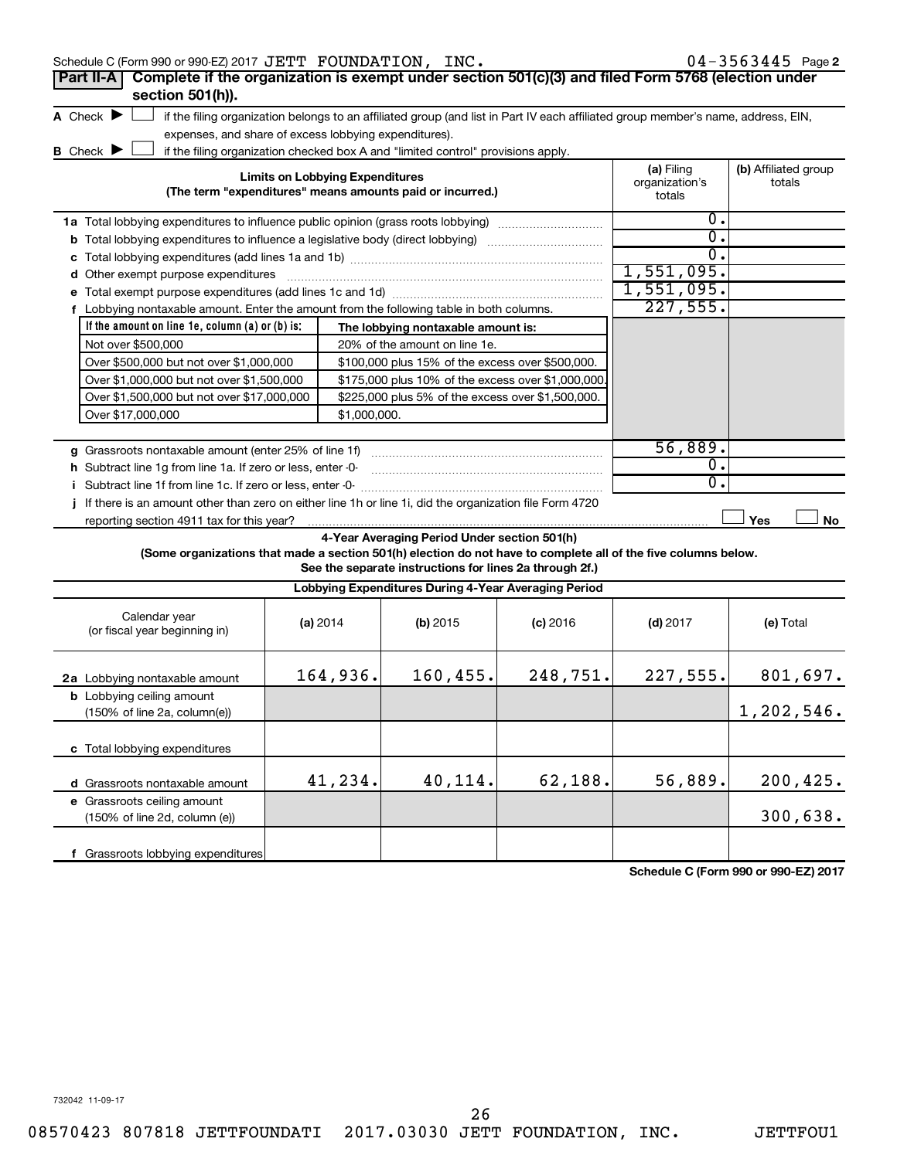| Schedule C (Form 990 or 990-EZ) 2017 JETT FOUNDATION, INC.                                                                                                         |                                        |                                                                                                         |            |                                        | $04 - 3563445$ Page 2          |
|--------------------------------------------------------------------------------------------------------------------------------------------------------------------|----------------------------------------|---------------------------------------------------------------------------------------------------------|------------|----------------------------------------|--------------------------------|
| Complete if the organization is exempt under section 501(c)(3) and filed Form 5768 (election under<br>Part II-A                                                    |                                        |                                                                                                         |            |                                        |                                |
| section 501(h)).                                                                                                                                                   |                                        |                                                                                                         |            |                                        |                                |
| A Check $\blacktriangleright$<br>if the filing organization belongs to an affiliated group (and list in Part IV each affiliated group member's name, address, EIN, |                                        |                                                                                                         |            |                                        |                                |
| expenses, and share of excess lobbying expenditures).                                                                                                              |                                        |                                                                                                         |            |                                        |                                |
| <b>B</b> Check $\blacktriangleright$<br>if the filing organization checked box A and "limited control" provisions apply.                                           |                                        |                                                                                                         |            |                                        |                                |
| (The term "expenditures" means amounts paid or incurred.)                                                                                                          | <b>Limits on Lobbying Expenditures</b> |                                                                                                         |            | (a) Filing<br>organization's<br>totals | (b) Affiliated group<br>totals |
| <b>1a</b> Total lobbying expenditures to influence public opinion (grass roots lobbying)                                                                           |                                        |                                                                                                         |            | σ.                                     |                                |
| <b>b</b> Total lobbying expenditures to influence a legislative body (direct lobbying)                                                                             |                                        |                                                                                                         |            | $\overline{0}$ .                       |                                |
|                                                                                                                                                                    |                                        |                                                                                                         |            | 0.                                     |                                |
| d Other exempt purpose expenditures                                                                                                                                |                                        |                                                                                                         |            | 1,551,095.                             |                                |
|                                                                                                                                                                    |                                        |                                                                                                         |            | 1,551,095.                             |                                |
| f Lobbying nontaxable amount. Enter the amount from the following table in both columns.                                                                           |                                        |                                                                                                         |            | 227,555.                               |                                |
| If the amount on line 1e, column (a) or (b) is:                                                                                                                    |                                        | The lobbying nontaxable amount is:                                                                      |            |                                        |                                |
| Not over \$500,000                                                                                                                                                 |                                        | 20% of the amount on line 1e.                                                                           |            |                                        |                                |
| Over \$500,000 but not over \$1,000,000                                                                                                                            |                                        | \$100,000 plus 15% of the excess over \$500,000.                                                        |            |                                        |                                |
| Over \$1,000,000 but not over \$1,500,000                                                                                                                          |                                        | \$175,000 plus 10% of the excess over \$1,000,000                                                       |            |                                        |                                |
| Over \$1,500,000 but not over \$17,000,000                                                                                                                         |                                        | \$225,000 plus 5% of the excess over \$1,500,000.                                                       |            |                                        |                                |
| Over \$17,000,000                                                                                                                                                  | \$1,000,000.                           |                                                                                                         |            |                                        |                                |
|                                                                                                                                                                    |                                        |                                                                                                         |            |                                        |                                |
| g Grassroots nontaxable amount (enter 25% of line 1f)                                                                                                              |                                        |                                                                                                         |            | 56,889.                                |                                |
| <b>h</b> Subtract line 1g from line 1a. If zero or less, enter -0-                                                                                                 |                                        |                                                                                                         |            | $\overline{0}$ .                       |                                |
| i Subtract line 1f from line 1c. If zero or less, enter -0-                                                                                                        |                                        |                                                                                                         |            | 0.                                     |                                |
| j If there is an amount other than zero on either line 1h or line 1i, did the organization file Form 4720                                                          |                                        |                                                                                                         |            |                                        |                                |
| reporting section 4911 tax for this year?                                                                                                                          |                                        |                                                                                                         |            |                                        | Yes<br>No                      |
| (Some organizations that made a section 501(h) election do not have to complete all of the five columns below.                                                     |                                        | 4-Year Averaging Period Under section 501(h)<br>See the separate instructions for lines 2a through 2f.) |            |                                        |                                |
|                                                                                                                                                                    |                                        | Lobbying Expenditures During 4-Year Averaging Period                                                    |            |                                        |                                |
| Calendar year<br>(or fiscal year beginning in)                                                                                                                     | (a) $2014$                             | (b) 2015                                                                                                | $(c)$ 2016 | $(d)$ 2017                             | (e) Total                      |
| 2a Lobbying nontaxable amount                                                                                                                                      | 164,936.                               | 160,455.                                                                                                | 248,751.   | 227,555.                               | 801,697.                       |
| <b>b</b> Lobbying ceiling amount<br>(150% of line 2a, column(e))                                                                                                   |                                        |                                                                                                         |            |                                        | 1,202,546.                     |
| c Total lobbying expenditures                                                                                                                                      |                                        |                                                                                                         |            |                                        |                                |

**Schedule C (Form 990 or 990-EZ) 2017**

 $41,234.$   $40,114.$   $62,188.$   $56,889.$   $200,425.$ 

**d** Grassroots nontaxable amount **e** Grassroots ceiling amount

(150% of line 2d, column (e))

**f** Grassroots lobbying expenditures

26

300,638.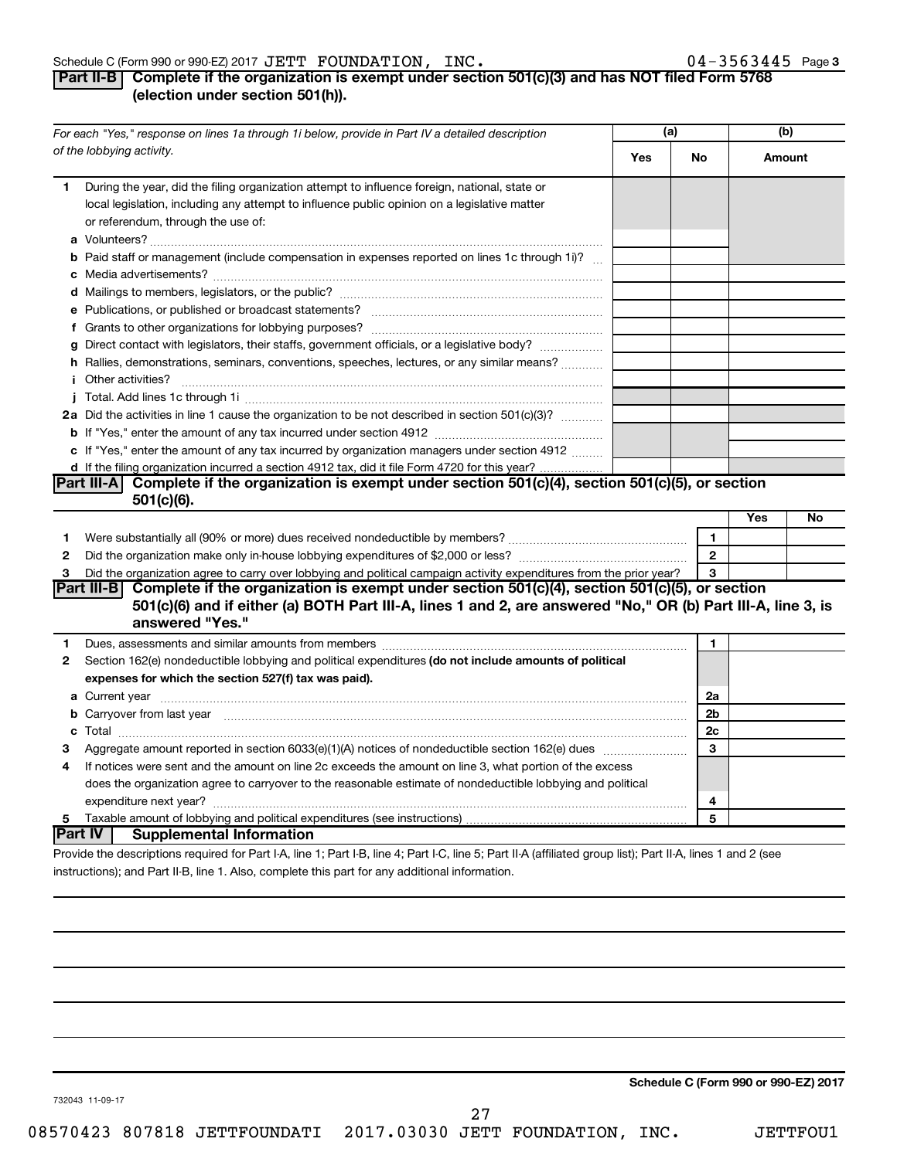#### Schedule C (Form 990 or 990-EZ) 2017  $\bf JETT$   $\bf FOUNDATION$ ,  $\bf INC$  .  $\bf 04-3563445$  Page

# **Part II-B Complete if the organization is exempt under section 501(c)(3) and has NOT filed Form 5768 (election under section 501(h)).**

|              | For each "Yes," response on lines 1a through 1i below, provide in Part IV a detailed description                                                                                                                                                                                                                                                                                                                                                                                                                                                                                                                                                                          | (a) |              | (b)    |    |
|--------------|---------------------------------------------------------------------------------------------------------------------------------------------------------------------------------------------------------------------------------------------------------------------------------------------------------------------------------------------------------------------------------------------------------------------------------------------------------------------------------------------------------------------------------------------------------------------------------------------------------------------------------------------------------------------------|-----|--------------|--------|----|
|              | of the lobbying activity.                                                                                                                                                                                                                                                                                                                                                                                                                                                                                                                                                                                                                                                 | Yes | No           | Amount |    |
| 1.           | During the year, did the filing organization attempt to influence foreign, national, state or<br>local legislation, including any attempt to influence public opinion on a legislative matter<br>or referendum, through the use of:                                                                                                                                                                                                                                                                                                                                                                                                                                       |     |              |        |    |
|              | <b>b</b> Paid staff or management (include compensation in expenses reported on lines 1c through 1i)?                                                                                                                                                                                                                                                                                                                                                                                                                                                                                                                                                                     |     |              |        |    |
|              |                                                                                                                                                                                                                                                                                                                                                                                                                                                                                                                                                                                                                                                                           |     |              |        |    |
|              | g Direct contact with legislators, their staffs, government officials, or a legislative body?<br>h Rallies, demonstrations, seminars, conventions, speeches, lectures, or any similar means?<br><i>i</i> Other activities?<br>$\begin{minipage}{0.5\textwidth} \begin{tabular}{ l l l } \hline \multicolumn{1}{ l l l } \hline \multicolumn{1}{ l l } \multicolumn{1}{ l } \multicolumn{1}{ l } \multicolumn{1}{ l } \multicolumn{1}{ l } \multicolumn{1}{ l } \multicolumn{1}{ l } \multicolumn{1}{ l } \multicolumn{1}{ l } \multicolumn{1}{ l } \multicolumn{1}{ l } \multicolumn{1}{ l } \multicolumn{1}{ l } \multicolumn{1}{ l } \multicolumn{1}{ l } \multicolumn$ |     |              |        |    |
|              |                                                                                                                                                                                                                                                                                                                                                                                                                                                                                                                                                                                                                                                                           |     |              |        |    |
|              | 2a Did the activities in line 1 cause the organization to be not described in section 501(c)(3)?                                                                                                                                                                                                                                                                                                                                                                                                                                                                                                                                                                          |     |              |        |    |
|              | c If "Yes," enter the amount of any tax incurred by organization managers under section 4912<br>d If the filing organization incurred a section 4912 tax, did it file Form 4720 for this year?                                                                                                                                                                                                                                                                                                                                                                                                                                                                            |     |              |        |    |
|              | Part III-A Complete if the organization is exempt under section $501(c)(4)$ , section $501(c)(5)$ , or section                                                                                                                                                                                                                                                                                                                                                                                                                                                                                                                                                            |     |              |        |    |
|              | $501(c)(6)$ .                                                                                                                                                                                                                                                                                                                                                                                                                                                                                                                                                                                                                                                             |     |              |        |    |
| 1            |                                                                                                                                                                                                                                                                                                                                                                                                                                                                                                                                                                                                                                                                           |     | 1            | Yes    | No |
| $\mathbf{2}$ |                                                                                                                                                                                                                                                                                                                                                                                                                                                                                                                                                                                                                                                                           |     | $\mathbf{2}$ |        |    |
| 3            | Did the organization agree to carry over lobbying and political campaign activity expenditures from the prior year?                                                                                                                                                                                                                                                                                                                                                                                                                                                                                                                                                       |     | 3            |        |    |
|              | Part III-B Complete if the organization is exempt under section 501(c)(4), section 501(c)(5), or section<br>501(c)(6) and if either (a) BOTH Part III-A, lines 1 and 2, are answered "No," OR (b) Part III-A, line 3, is<br>answered "Yes."                                                                                                                                                                                                                                                                                                                                                                                                                               |     |              |        |    |
| 1            |                                                                                                                                                                                                                                                                                                                                                                                                                                                                                                                                                                                                                                                                           |     | $\mathbf{1}$ |        |    |
| 2            | Section 162(e) nondeductible lobbying and political expenditures (do not include amounts of political<br>expenses for which the section 527(f) tax was paid).                                                                                                                                                                                                                                                                                                                                                                                                                                                                                                             |     |              |        |    |
|              |                                                                                                                                                                                                                                                                                                                                                                                                                                                                                                                                                                                                                                                                           |     | 2a           |        |    |
|              | <b>b</b> Carryover from last year manufactured contains and contained a contained and contained a contained and contained a contained a contained and contained a contained a contained and contained a contained a contained and c                                                                                                                                                                                                                                                                                                                                                                                                                                       |     | 2b           |        |    |
|              |                                                                                                                                                                                                                                                                                                                                                                                                                                                                                                                                                                                                                                                                           |     | 2c           |        |    |
| З            | Aggregate amount reported in section 6033(e)(1)(A) notices of nondeductible section 162(e) dues manufactured                                                                                                                                                                                                                                                                                                                                                                                                                                                                                                                                                              |     | 3            |        |    |
| 4            | If notices were sent and the amount on line 2c exceeds the amount on line 3, what portion of the excess                                                                                                                                                                                                                                                                                                                                                                                                                                                                                                                                                                   |     |              |        |    |
|              | does the organization agree to carryover to the reasonable estimate of nondeductible lobbying and political                                                                                                                                                                                                                                                                                                                                                                                                                                                                                                                                                               |     |              |        |    |
|              |                                                                                                                                                                                                                                                                                                                                                                                                                                                                                                                                                                                                                                                                           |     | 4            |        |    |
| 5            | Part IV  <br><b>Supplemental Information</b>                                                                                                                                                                                                                                                                                                                                                                                                                                                                                                                                                                                                                              |     | 5            |        |    |
|              | Provide the descriptions required for Part I-A, line 1; Part I-B, line 4; Part I-C, line 5; Part II-A (affiliated group list); Part II-A, lines 1 and 2 (see                                                                                                                                                                                                                                                                                                                                                                                                                                                                                                              |     |              |        |    |

instructions); and Part II-B, line 1. Also, complete this part for any additional information.

**Schedule C (Form 990 or 990-EZ) 2017**

732043 11-09-17

27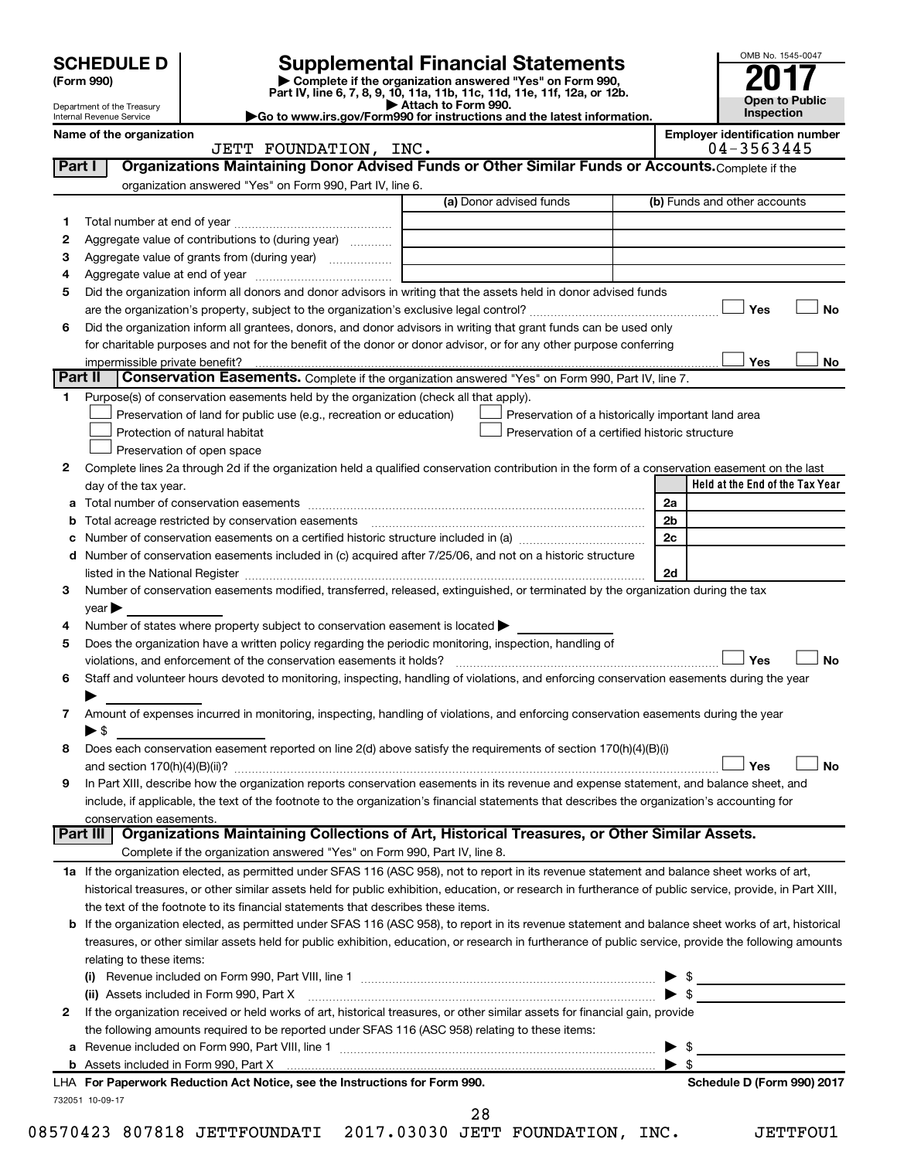|        | <b>SCHEDULE D</b>                                      |                                                                                                        | <b>Supplemental Financial Statements</b>                                                                                                                                                                                      |                         | OMB No. 1545-0047                                   |
|--------|--------------------------------------------------------|--------------------------------------------------------------------------------------------------------|-------------------------------------------------------------------------------------------------------------------------------------------------------------------------------------------------------------------------------|-------------------------|-----------------------------------------------------|
|        | (Form 990)                                             |                                                                                                        | Complete if the organization answered "Yes" on Form 990,                                                                                                                                                                      |                         |                                                     |
|        |                                                        |                                                                                                        | Part IV, line 6, 7, 8, 9, 10, 11a, 11b, 11c, 11d, 11e, 11f, 12a, or 12b.<br>Attach to Form 990.                                                                                                                               |                         | <b>Open to Public</b>                               |
|        | Department of the Treasury<br>Internal Revenue Service |                                                                                                        | Go to www.irs.gov/Form990 for instructions and the latest information.                                                                                                                                                        |                         | <b>Inspection</b>                                   |
|        | Name of the organization                               | JETT FOUNDATION, INC.                                                                                  |                                                                                                                                                                                                                               |                         | <b>Employer identification number</b><br>04-3563445 |
| Part I |                                                        |                                                                                                        | Organizations Maintaining Donor Advised Funds or Other Similar Funds or Accounts. Complete if the                                                                                                                             |                         |                                                     |
|        |                                                        | organization answered "Yes" on Form 990, Part IV, line 6.                                              |                                                                                                                                                                                                                               |                         |                                                     |
|        |                                                        |                                                                                                        | (a) Donor advised funds                                                                                                                                                                                                       |                         | (b) Funds and other accounts                        |
| 1      |                                                        |                                                                                                        |                                                                                                                                                                                                                               |                         |                                                     |
| 2      |                                                        | Aggregate value of contributions to (during year)                                                      |                                                                                                                                                                                                                               |                         |                                                     |
| з      |                                                        | Aggregate value of grants from (during year)                                                           |                                                                                                                                                                                                                               |                         |                                                     |
| 4      |                                                        |                                                                                                        |                                                                                                                                                                                                                               |                         |                                                     |
| 5      |                                                        |                                                                                                        | Did the organization inform all donors and donor advisors in writing that the assets held in donor advised funds                                                                                                              |                         |                                                     |
|        |                                                        |                                                                                                        |                                                                                                                                                                                                                               |                         | Yes<br>No                                           |
| 6      |                                                        |                                                                                                        | Did the organization inform all grantees, donors, and donor advisors in writing that grant funds can be used only                                                                                                             |                         |                                                     |
|        |                                                        |                                                                                                        | for charitable purposes and not for the benefit of the donor or donor advisor, or for any other purpose conferring                                                                                                            |                         |                                                     |
|        | impermissible private benefit?                         |                                                                                                        |                                                                                                                                                                                                                               |                         | Yes<br>No                                           |
|        | Part II                                                |                                                                                                        | Conservation Easements. Complete if the organization answered "Yes" on Form 990, Part IV, line 7.                                                                                                                             |                         |                                                     |
| 1.     |                                                        | Purpose(s) of conservation easements held by the organization (check all that apply).                  |                                                                                                                                                                                                                               |                         |                                                     |
|        |                                                        | Preservation of land for public use (e.g., recreation or education)                                    | Preservation of a historically important land area                                                                                                                                                                            |                         |                                                     |
|        |                                                        | Protection of natural habitat                                                                          | Preservation of a certified historic structure                                                                                                                                                                                |                         |                                                     |
|        |                                                        | Preservation of open space                                                                             |                                                                                                                                                                                                                               |                         |                                                     |
| 2      |                                                        |                                                                                                        | Complete lines 2a through 2d if the organization held a qualified conservation contribution in the form of a conservation easement on the last                                                                                |                         |                                                     |
|        | day of the tax year.                                   |                                                                                                        |                                                                                                                                                                                                                               |                         | Held at the End of the Tax Year                     |
| a      |                                                        |                                                                                                        |                                                                                                                                                                                                                               | 2a                      |                                                     |
| b      |                                                        | Total acreage restricted by conservation easements                                                     |                                                                                                                                                                                                                               | 2b                      |                                                     |
| с      |                                                        |                                                                                                        |                                                                                                                                                                                                                               | 2c                      |                                                     |
|        |                                                        |                                                                                                        | d Number of conservation easements included in (c) acquired after 7/25/06, and not on a historic structure                                                                                                                    |                         |                                                     |
|        |                                                        |                                                                                                        | listed in the National Register [111] Marshall Register [11] Marshall Register [11] Marshall Register [11] Marshall Register [11] Marshall Register [11] Marshall Register [11] Marshall Register [11] Marshall Register [11] | 2d                      |                                                     |
| 3      |                                                        |                                                                                                        | Number of conservation easements modified, transferred, released, extinguished, or terminated by the organization during the tax                                                                                              |                         |                                                     |
|        | year                                                   |                                                                                                        |                                                                                                                                                                                                                               |                         |                                                     |
| 4      |                                                        | Number of states where property subject to conservation easement is located >                          |                                                                                                                                                                                                                               |                         |                                                     |
| 5      |                                                        | Does the organization have a written policy regarding the periodic monitoring, inspection, handling of |                                                                                                                                                                                                                               |                         |                                                     |
|        |                                                        | violations, and enforcement of the conservation easements it holds?                                    |                                                                                                                                                                                                                               |                         | <b>No</b><br>Yes                                    |
| 6      |                                                        |                                                                                                        | Staff and volunteer hours devoted to monitoring, inspecting, handling of violations, and enforcing conservation easements during the year                                                                                     |                         |                                                     |
|        |                                                        |                                                                                                        |                                                                                                                                                                                                                               |                         |                                                     |
| 7      |                                                        |                                                                                                        | Amount of expenses incurred in monitoring, inspecting, handling of violations, and enforcing conservation easements during the year                                                                                           |                         |                                                     |
|        | $\blacktriangleright$ \$                               |                                                                                                        |                                                                                                                                                                                                                               |                         |                                                     |
| 8      |                                                        |                                                                                                        | Does each conservation easement reported on line 2(d) above satisfy the requirements of section 170(h)(4)(B)(i)                                                                                                               |                         |                                                     |
|        |                                                        |                                                                                                        |                                                                                                                                                                                                                               |                         | <b>No</b><br>Yes                                    |
| 9      |                                                        |                                                                                                        | In Part XIII, describe how the organization reports conservation easements in its revenue and expense statement, and balance sheet, and                                                                                       |                         |                                                     |
|        |                                                        |                                                                                                        | include, if applicable, the text of the footnote to the organization's financial statements that describes the organization's accounting for                                                                                  |                         |                                                     |
|        | conservation easements.                                |                                                                                                        |                                                                                                                                                                                                                               |                         |                                                     |
|        |                                                        |                                                                                                        | Part III   Organizations Maintaining Collections of Art, Historical Treasures, or Other Similar Assets.                                                                                                                       |                         |                                                     |
|        |                                                        | Complete if the organization answered "Yes" on Form 990, Part IV, line 8.                              |                                                                                                                                                                                                                               |                         |                                                     |
|        |                                                        |                                                                                                        | 1a If the organization elected, as permitted under SFAS 116 (ASC 958), not to report in its revenue statement and balance sheet works of art,                                                                                 |                         |                                                     |
|        |                                                        |                                                                                                        | historical treasures, or other similar assets held for public exhibition, education, or research in furtherance of public service, provide, in Part XIII,                                                                     |                         |                                                     |
|        |                                                        | the text of the footnote to its financial statements that describes these items.                       |                                                                                                                                                                                                                               |                         |                                                     |
| b      |                                                        |                                                                                                        | If the organization elected, as permitted under SFAS 116 (ASC 958), to report in its revenue statement and balance sheet works of art, historical                                                                             |                         |                                                     |
|        |                                                        |                                                                                                        | treasures, or other similar assets held for public exhibition, education, or research in furtherance of public service, provide the following amounts                                                                         |                         |                                                     |
|        | relating to these items:                               |                                                                                                        |                                                                                                                                                                                                                               |                         |                                                     |
|        |                                                        |                                                                                                        |                                                                                                                                                                                                                               |                         |                                                     |
|        |                                                        | (ii) Assets included in Form 990, Part X                                                               |                                                                                                                                                                                                                               |                         | $\blacktriangleright$ \$                            |
| 2      |                                                        |                                                                                                        | If the organization received or held works of art, historical treasures, or other similar assets for financial gain, provide                                                                                                  |                         |                                                     |
|        |                                                        | the following amounts required to be reported under SFAS 116 (ASC 958) relating to these items:        |                                                                                                                                                                                                                               |                         |                                                     |
| а      |                                                        |                                                                                                        |                                                                                                                                                                                                                               |                         | - \$                                                |
|        |                                                        |                                                                                                        |                                                                                                                                                                                                                               | $\blacktriangleright$ s |                                                     |
|        |                                                        | LHA For Paperwork Reduction Act Notice, see the Instructions for Form 990.                             |                                                                                                                                                                                                                               |                         | Schedule D (Form 990) 2017                          |
|        | 732051 10-09-17                                        |                                                                                                        |                                                                                                                                                                                                                               |                         |                                                     |

28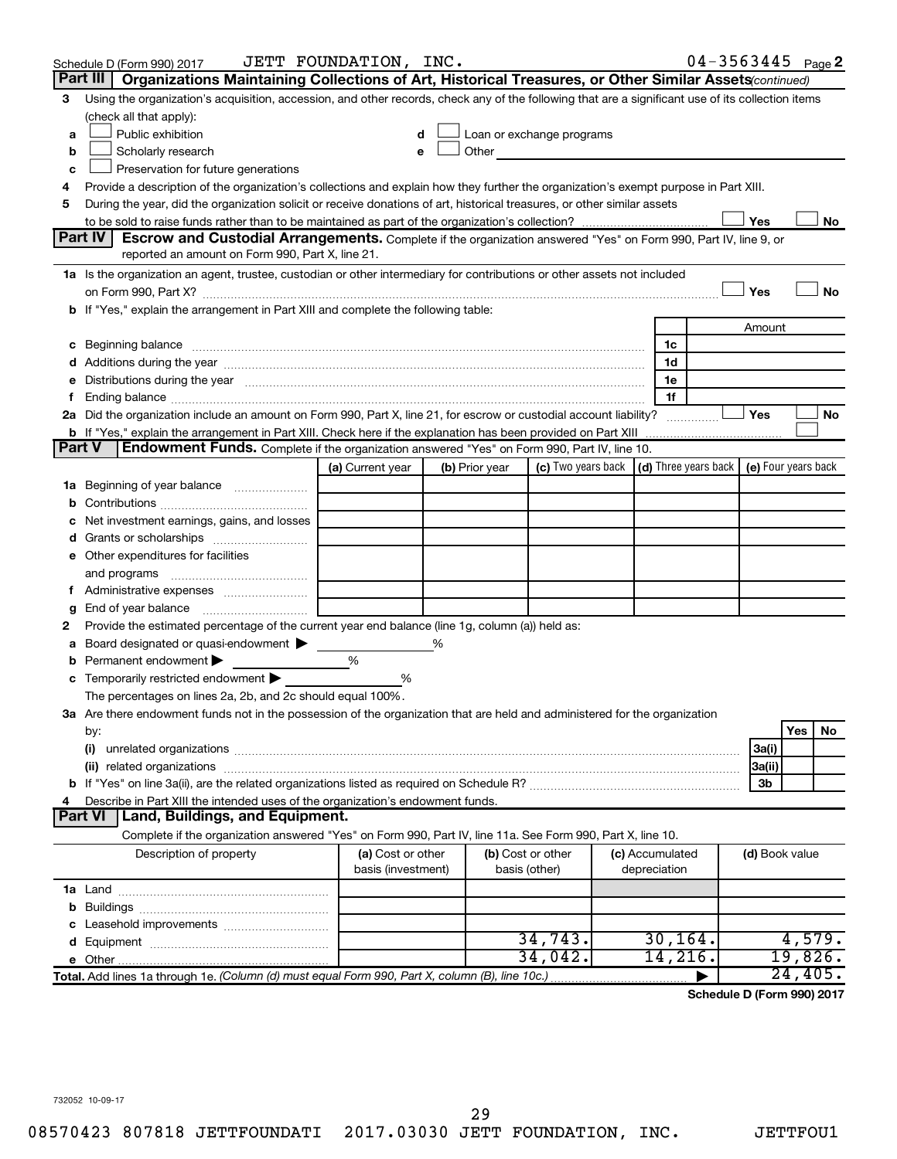|               | Schedule D (Form 990) 2017                                                                                                                                                                                                     | JETT FOUNDATION, INC.                   |   |                |                                                                             |                                 | $04 - 3563445$ Page 2 |                |                       |           |
|---------------|--------------------------------------------------------------------------------------------------------------------------------------------------------------------------------------------------------------------------------|-----------------------------------------|---|----------------|-----------------------------------------------------------------------------|---------------------------------|-----------------------|----------------|-----------------------|-----------|
|               | Part III<br>Organizations Maintaining Collections of Art, Historical Treasures, or Other Similar Assets (continued)                                                                                                            |                                         |   |                |                                                                             |                                 |                       |                |                       |           |
| 3             | Using the organization's acquisition, accession, and other records, check any of the following that are a significant use of its collection items                                                                              |                                         |   |                |                                                                             |                                 |                       |                |                       |           |
|               | (check all that apply):                                                                                                                                                                                                        |                                         |   |                |                                                                             |                                 |                       |                |                       |           |
| a             | Public exhibition                                                                                                                                                                                                              |                                         |   |                | Loan or exchange programs                                                   |                                 |                       |                |                       |           |
| b             | Scholarly research                                                                                                                                                                                                             |                                         |   | Other          |                                                                             |                                 |                       |                |                       |           |
| с             | Preservation for future generations                                                                                                                                                                                            |                                         |   |                |                                                                             |                                 |                       |                |                       |           |
| 4             | Provide a description of the organization's collections and explain how they further the organization's exempt purpose in Part XIII.                                                                                           |                                         |   |                |                                                                             |                                 |                       |                |                       |           |
| 5             | During the year, did the organization solicit or receive donations of art, historical treasures, or other similar assets                                                                                                       |                                         |   |                |                                                                             |                                 |                       |                |                       |           |
|               | Part IV I<br><b>Escrow and Custodial Arrangements.</b> Complete if the organization answered "Yes" on Form 990, Part IV, line 9, or                                                                                            |                                         |   |                |                                                                             |                                 |                       | Yes            |                       | No        |
|               | reported an amount on Form 990, Part X, line 21.                                                                                                                                                                               |                                         |   |                |                                                                             |                                 |                       |                |                       |           |
|               | 1a Is the organization an agent, trustee, custodian or other intermediary for contributions or other assets not included                                                                                                       |                                         |   |                |                                                                             |                                 |                       |                |                       |           |
|               |                                                                                                                                                                                                                                |                                         |   |                |                                                                             |                                 |                       | Yes            |                       | <b>No</b> |
|               | b If "Yes," explain the arrangement in Part XIII and complete the following table:                                                                                                                                             |                                         |   |                |                                                                             |                                 |                       |                |                       |           |
|               |                                                                                                                                                                                                                                |                                         |   |                |                                                                             |                                 |                       | Amount         |                       |           |
|               |                                                                                                                                                                                                                                |                                         |   |                |                                                                             | 1c                              |                       |                |                       |           |
|               |                                                                                                                                                                                                                                |                                         |   |                |                                                                             | 1d                              |                       |                |                       |           |
|               | e Distributions during the year measurement contained and all the control of the set of the set of the set of the set of the set of the set of the set of the set of the set of the set of the set of the set of the set of th |                                         |   |                |                                                                             | 1e                              |                       |                |                       |           |
|               |                                                                                                                                                                                                                                |                                         |   |                |                                                                             | 1f                              |                       |                |                       |           |
|               | 2a Did the organization include an amount on Form 990, Part X, line 21, for escrow or custodial account liability?                                                                                                             |                                         |   |                |                                                                             |                                 |                       | Yes            |                       | No        |
|               | <b>b</b> If "Yes," explain the arrangement in Part XIII. Check here if the explanation has been provided on Part XIII                                                                                                          |                                         |   |                |                                                                             |                                 |                       |                |                       |           |
| <b>Part V</b> | <b>Endowment Funds.</b> Complete if the organization answered "Yes" on Form 990, Part IV, line 10.                                                                                                                             |                                         |   |                |                                                                             |                                 |                       |                |                       |           |
|               |                                                                                                                                                                                                                                | (a) Current year                        |   | (b) Prior year | (c) Two years back $\vert$ (d) Three years back $\vert$ (e) Four years back |                                 |                       |                |                       |           |
|               | 1a Beginning of year balance                                                                                                                                                                                                   |                                         |   |                |                                                                             |                                 |                       |                |                       |           |
| b             |                                                                                                                                                                                                                                |                                         |   |                |                                                                             |                                 |                       |                |                       |           |
| с             | Net investment earnings, gains, and losses                                                                                                                                                                                     |                                         |   |                |                                                                             |                                 |                       |                |                       |           |
|               |                                                                                                                                                                                                                                |                                         |   |                |                                                                             |                                 |                       |                |                       |           |
|               | e Other expenditures for facilities                                                                                                                                                                                            |                                         |   |                |                                                                             |                                 |                       |                |                       |           |
|               | and programs                                                                                                                                                                                                                   |                                         |   |                |                                                                             |                                 |                       |                |                       |           |
|               |                                                                                                                                                                                                                                |                                         |   |                |                                                                             |                                 |                       |                |                       |           |
| g<br>2        | Provide the estimated percentage of the current year end balance (line 1g, column (a)) held as:                                                                                                                                |                                         |   |                |                                                                             |                                 |                       |                |                       |           |
| а             | Board designated or quasi-endowment $\blacktriangleright$                                                                                                                                                                      |                                         | % |                |                                                                             |                                 |                       |                |                       |           |
| b             | Permanent endowment                                                                                                                                                                                                            | %                                       |   |                |                                                                             |                                 |                       |                |                       |           |
|               | <b>c</b> Temporarily restricted endowment $\blacktriangleright$                                                                                                                                                                | %                                       |   |                |                                                                             |                                 |                       |                |                       |           |
|               | The percentages on lines 2a, 2b, and 2c should equal 100%.                                                                                                                                                                     |                                         |   |                |                                                                             |                                 |                       |                |                       |           |
|               | 3a Are there endowment funds not in the possession of the organization that are held and administered for the organization                                                                                                     |                                         |   |                |                                                                             |                                 |                       |                |                       |           |
|               | by:                                                                                                                                                                                                                            |                                         |   |                |                                                                             |                                 |                       |                | Yes                   | No        |
|               | (i)                                                                                                                                                                                                                            |                                         |   |                |                                                                             |                                 |                       | 3a(i)          |                       |           |
|               |                                                                                                                                                                                                                                |                                         |   |                |                                                                             |                                 |                       | 3a(ii)         |                       |           |
|               |                                                                                                                                                                                                                                |                                         |   |                |                                                                             |                                 |                       | 3b             |                       |           |
| 4             | Describe in Part XIII the intended uses of the organization's endowment funds.                                                                                                                                                 |                                         |   |                |                                                                             |                                 |                       |                |                       |           |
|               | Land, Buildings, and Equipment.<br><b>Part VI</b>                                                                                                                                                                              |                                         |   |                |                                                                             |                                 |                       |                |                       |           |
|               | Complete if the organization answered "Yes" on Form 990, Part IV, line 11a. See Form 990, Part X, line 10.                                                                                                                     |                                         |   |                |                                                                             |                                 |                       |                |                       |           |
|               | Description of property                                                                                                                                                                                                        | (a) Cost or other<br>basis (investment) |   |                | (b) Cost or other<br>basis (other)                                          | (c) Accumulated<br>depreciation |                       | (d) Book value |                       |           |
|               |                                                                                                                                                                                                                                |                                         |   |                |                                                                             |                                 |                       |                |                       |           |
| b             |                                                                                                                                                                                                                                |                                         |   |                |                                                                             |                                 |                       |                |                       |           |
|               |                                                                                                                                                                                                                                |                                         |   |                |                                                                             |                                 |                       |                |                       |           |
|               |                                                                                                                                                                                                                                |                                         |   |                | 34,743.                                                                     | 30, 164.                        |                       |                | 4,579.                |           |
|               |                                                                                                                                                                                                                                |                                         |   |                | 34,042.                                                                     | 14, 216.                        |                       |                | 19,826.               |           |
|               | Total. Add lines 1a through 1e. (Column (d) must equal Form 990, Part X, column (B), line 10c.)                                                                                                                                |                                         |   |                |                                                                             |                                 |                       |                | $\overline{24,405}$ . |           |

**Schedule D (Form 990) 2017**

732052 10-09-17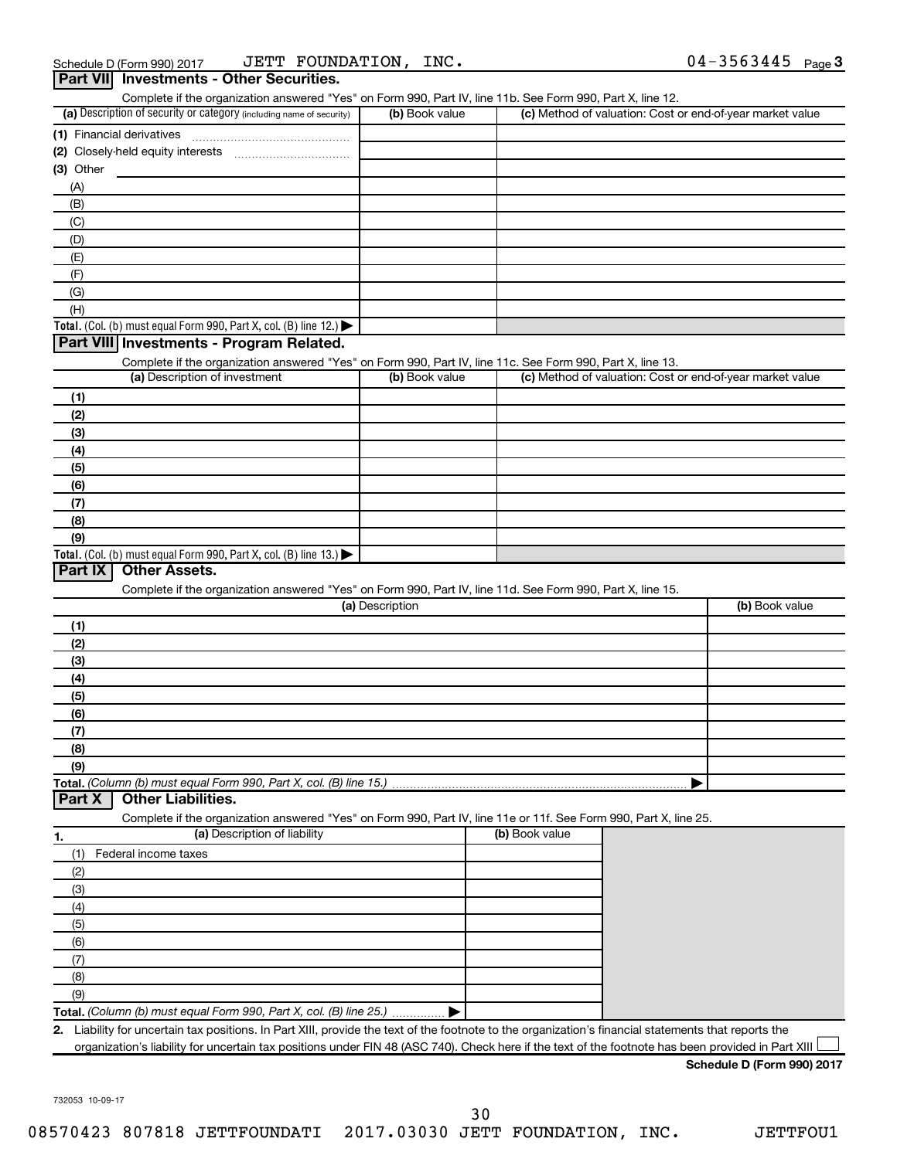| (a) Description of security or category (including name of security)                                                                        | (b) Book value  | (c) Method of valuation: Cost or end-of-year market value |                |
|---------------------------------------------------------------------------------------------------------------------------------------------|-----------------|-----------------------------------------------------------|----------------|
|                                                                                                                                             |                 |                                                           |                |
|                                                                                                                                             |                 |                                                           |                |
| $(3)$ Other                                                                                                                                 |                 |                                                           |                |
| (A)                                                                                                                                         |                 |                                                           |                |
| (B)                                                                                                                                         |                 |                                                           |                |
| (C)                                                                                                                                         |                 |                                                           |                |
| (D)                                                                                                                                         |                 |                                                           |                |
| (E)                                                                                                                                         |                 |                                                           |                |
| (F)                                                                                                                                         |                 |                                                           |                |
| (G)                                                                                                                                         |                 |                                                           |                |
| (H)                                                                                                                                         |                 |                                                           |                |
| Total. (Col. (b) must equal Form 990, Part X, col. (B) line 12.) $\blacktriangleright$                                                      |                 |                                                           |                |
| Part VIII Investments - Program Related.                                                                                                    |                 |                                                           |                |
|                                                                                                                                             |                 |                                                           |                |
| Complete if the organization answered "Yes" on Form 990, Part IV, line 11c. See Form 990, Part X, line 13.<br>(a) Description of investment | (b) Book value  | (c) Method of valuation: Cost or end-of-year market value |                |
|                                                                                                                                             |                 |                                                           |                |
| (1)                                                                                                                                         |                 |                                                           |                |
| (2)                                                                                                                                         |                 |                                                           |                |
| (3)                                                                                                                                         |                 |                                                           |                |
| (4)                                                                                                                                         |                 |                                                           |                |
| (5)                                                                                                                                         |                 |                                                           |                |
| (6)                                                                                                                                         |                 |                                                           |                |
| (7)                                                                                                                                         |                 |                                                           |                |
| (8)                                                                                                                                         |                 |                                                           |                |
| (9)                                                                                                                                         |                 |                                                           |                |
| Total. (Col. (b) must equal Form 990, Part X, col. (B) line $13.$ )                                                                         |                 |                                                           |                |
| Part IX<br><b>Other Assets.</b>                                                                                                             |                 |                                                           |                |
| Complete if the organization answered "Yes" on Form 990, Part IV, line 11d. See Form 990, Part X, line 15.                                  |                 |                                                           |                |
|                                                                                                                                             | (a) Description |                                                           | (b) Book value |
| (1)                                                                                                                                         |                 |                                                           |                |
| (2)                                                                                                                                         |                 |                                                           |                |
| (3)                                                                                                                                         |                 |                                                           |                |
| (4)                                                                                                                                         |                 |                                                           |                |
| (5)                                                                                                                                         |                 |                                                           |                |
| (6)                                                                                                                                         |                 |                                                           |                |
| (7)                                                                                                                                         |                 |                                                           |                |
|                                                                                                                                             |                 |                                                           |                |
| (8)                                                                                                                                         |                 |                                                           |                |
| (9)                                                                                                                                         |                 |                                                           |                |
| Total. (Column (b) must equal Form 990, Part X, col. (B) line 15.)<br>Part X<br><b>Other Liabilities.</b>                                   |                 |                                                           |                |
|                                                                                                                                             |                 |                                                           |                |
| Complete if the organization answered "Yes" on Form 990, Part IV, line 11e or 11f. See Form 990, Part X, line 25.                           |                 | (b) Book value                                            |                |
| (a) Description of liability<br>1.                                                                                                          |                 |                                                           |                |
| Federal income taxes<br>(1)                                                                                                                 |                 |                                                           |                |
| (2)                                                                                                                                         |                 |                                                           |                |
| (3)                                                                                                                                         |                 |                                                           |                |
| (4)                                                                                                                                         |                 |                                                           |                |
| (5)                                                                                                                                         |                 |                                                           |                |
| (6)                                                                                                                                         |                 |                                                           |                |
|                                                                                                                                             |                 |                                                           |                |
|                                                                                                                                             |                 |                                                           |                |
| (7)                                                                                                                                         |                 |                                                           |                |
| (8)                                                                                                                                         |                 |                                                           |                |
| (9)<br>Total. (Column (b) must equal Form 990, Part X, col. (B) line 25.)                                                                   |                 |                                                           |                |

**Schedule D (Form 990) 2017**

732053 10-09-17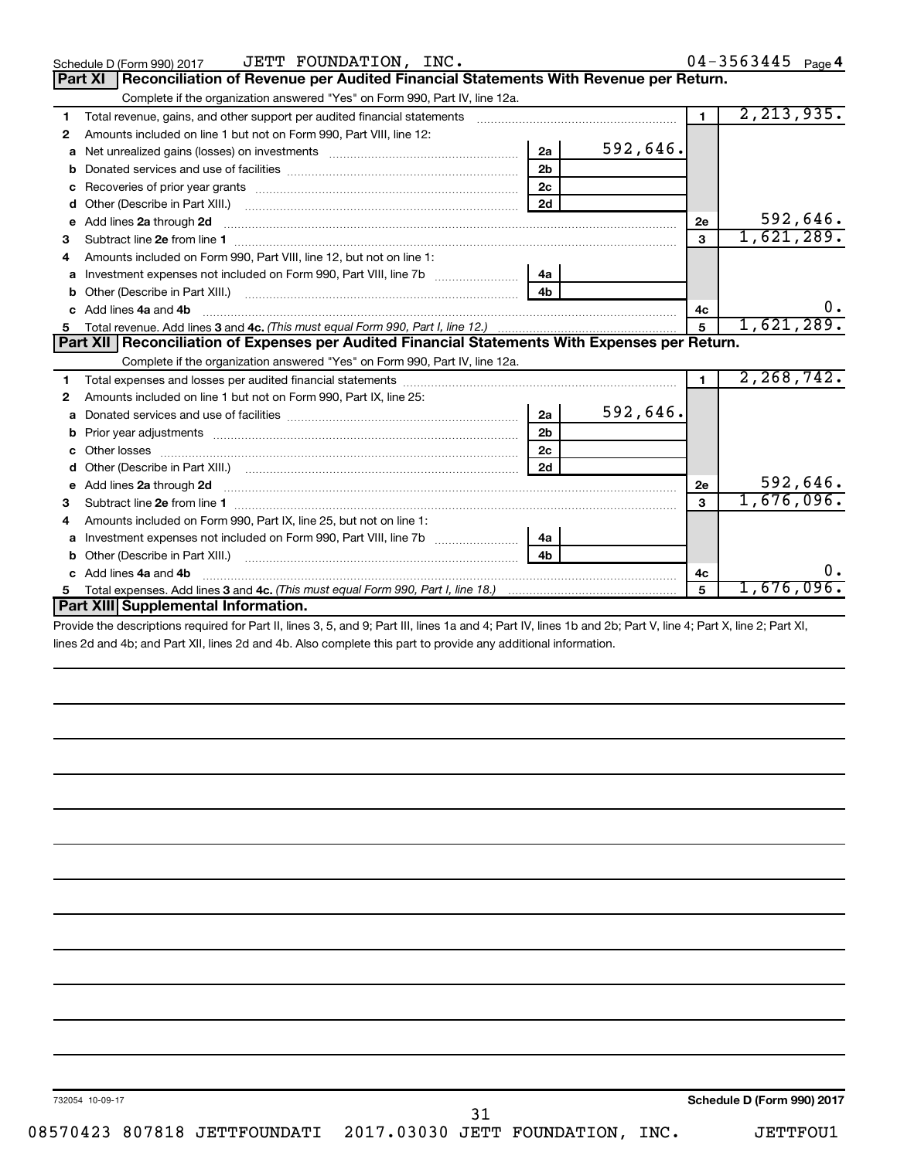| JETT FOUNDATION, INC.<br>Schedule D (Form 990) 2017                                                                                                                                                                                       |                |          |                | $04 - 3563445$ Page 4 |
|-------------------------------------------------------------------------------------------------------------------------------------------------------------------------------------------------------------------------------------------|----------------|----------|----------------|-----------------------|
| Reconciliation of Revenue per Audited Financial Statements With Revenue per Return.<br><b>Part XI</b>                                                                                                                                     |                |          |                |                       |
| Complete if the organization answered "Yes" on Form 990, Part IV, line 12a.                                                                                                                                                               |                |          |                |                       |
| Total revenue, gains, and other support per audited financial statements [[[[[[[[[[[[[[[[[[[[[[[[]]]]]]]]]]]]<br>1                                                                                                                        |                |          | $\blacksquare$ | 2, 213, 935.          |
| Amounts included on line 1 but not on Form 990, Part VIII, line 12:<br>2                                                                                                                                                                  |                |          |                |                       |
| Net unrealized gains (losses) on investments<br>a                                                                                                                                                                                         | 2a             | 592,646. |                |                       |
| b                                                                                                                                                                                                                                         | 2 <sub>b</sub> |          |                |                       |
| с                                                                                                                                                                                                                                         | 2c             |          |                |                       |
| Other (Describe in Part XIII.) <b>Construction Contract Construction</b> Chemistry Chemistry Chemistry Chemistry Chemistry<br>d                                                                                                           | 2d             |          |                |                       |
| Add lines 2a through 2d <b>continuum continuum contract and all the contract and all the contract and all the contract and all the contract of the contract of the contract of the contract of the contract of the contract of t</b><br>е |                |          | 2e             | 592,646.              |
| 3                                                                                                                                                                                                                                         |                |          | 3              | 1,621,289.            |
| Amounts included on Form 990, Part VIII, line 12, but not on line 1:<br>4                                                                                                                                                                 |                |          |                |                       |
| a                                                                                                                                                                                                                                         | 4a             |          |                |                       |
| b                                                                                                                                                                                                                                         | 4 <sub>b</sub> |          |                |                       |
| Add lines 4a and 4b<br>c.                                                                                                                                                                                                                 |                |          | 4c             |                       |
|                                                                                                                                                                                                                                           |                |          |                |                       |
|                                                                                                                                                                                                                                           |                |          | 5              | 1,621,289.            |
| Part XII   Reconciliation of Expenses per Audited Financial Statements With Expenses per Return.                                                                                                                                          |                |          |                |                       |
| Complete if the organization answered "Yes" on Form 990, Part IV, line 12a.                                                                                                                                                               |                |          |                |                       |
| 1                                                                                                                                                                                                                                         |                |          | $\mathbf{1}$   | 2, 268, 742.          |
| Amounts included on line 1 but not on Form 990, Part IX, line 25:<br>2                                                                                                                                                                    |                |          |                |                       |
| a                                                                                                                                                                                                                                         | 2a             | 592,646. |                |                       |
| b                                                                                                                                                                                                                                         | 2 <sub>b</sub> |          |                |                       |
|                                                                                                                                                                                                                                           | 2 <sub>c</sub> |          |                |                       |
| d                                                                                                                                                                                                                                         | 2d             |          |                |                       |
| Add lines 2a through 2d <b>continuum continuum contract and all the contract of the contract of the contract of the contract of the contract of the contract of the contract of the contract of the contract of the contract of </b><br>e |                |          | 2e             | 592,646.              |
| 3                                                                                                                                                                                                                                         |                |          | $\mathbf{a}$   | 1,676,096.            |
| Amounts included on Form 990, Part IX, line 25, but not on line 1:<br>4                                                                                                                                                                   |                |          |                |                       |
| Investment expenses not included on Form 990, Part VIII, line 7b [1000000000000000000000000000000000<br>a                                                                                                                                 | 4a             |          |                |                       |
| b                                                                                                                                                                                                                                         | 4 <sub>b</sub> |          |                |                       |
| Add lines 4a and 4b                                                                                                                                                                                                                       |                |          | 4с             | 0.                    |
| 5<br>Part XIII Supplemental Information.                                                                                                                                                                                                  |                |          | 5              | 1,676,096.            |

Provide the descriptions required for Part II, lines 3, 5, and 9; Part III, lines 1a and 4; Part IV, lines 1b and 2b; Part V, line 4; Part X, line 2; Part XI, lines 2d and 4b; and Part XII, lines 2d and 4b. Also complete this part to provide any additional information.

31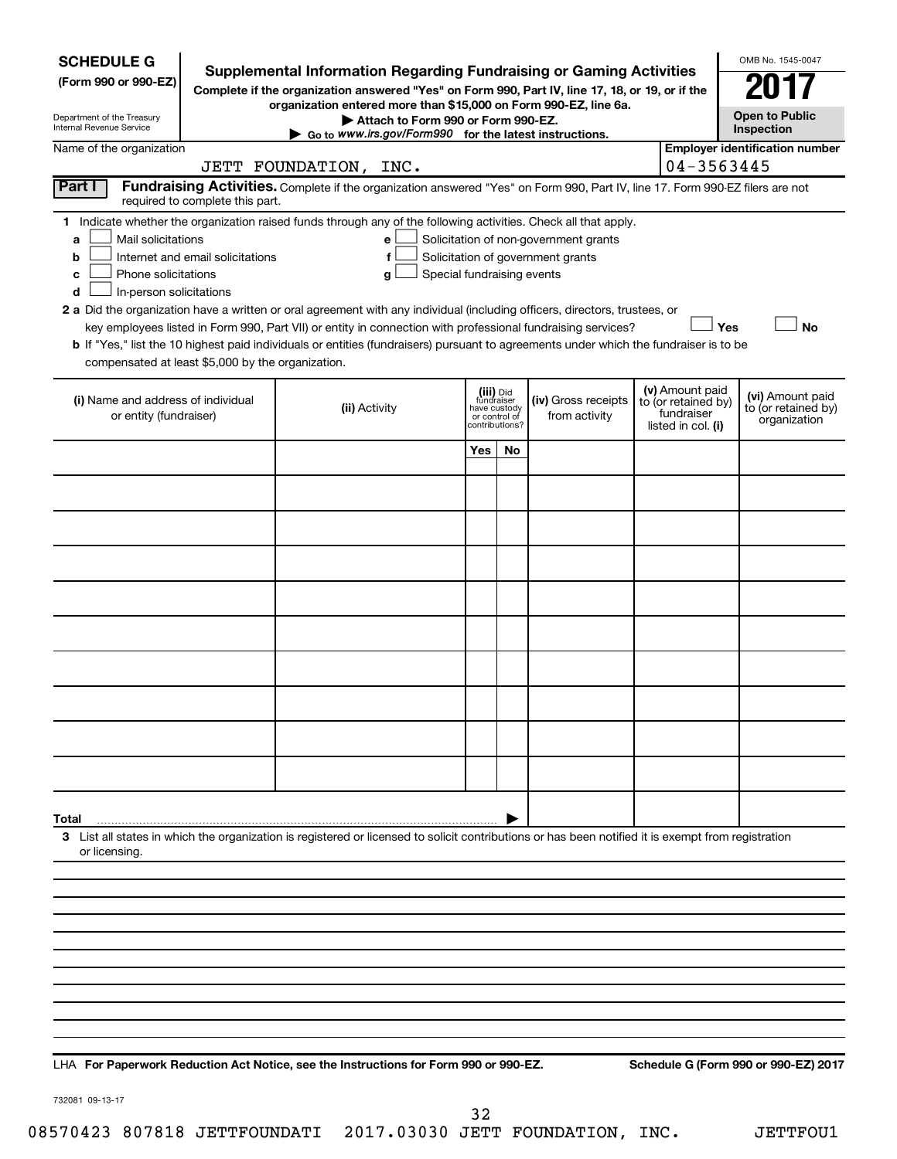| <b>SCHEDULE G</b><br>(Form 990 or 990-EZ)<br>Department of the Treasury<br>Internal Revenue Service                                                                               | <b>Supplemental Information Regarding Fundraising or Gaming Activities</b><br>Complete if the organization answered "Yes" on Form 990, Part IV, line 17, 18, or 19, or if the<br>organization entered more than \$15,000 on Form 990-EZ, line 6a.<br>Attach to Form 990 or Form 990-EZ.<br>Go to www.irs.gov/Form990 for the latest instructions.                                                                                                                                                                                                            |                                                                            |    |                                                                            |                                                                            | OMB No. 1545-0047<br><b>Open to Public</b><br>Inspection |
|-----------------------------------------------------------------------------------------------------------------------------------------------------------------------------------|--------------------------------------------------------------------------------------------------------------------------------------------------------------------------------------------------------------------------------------------------------------------------------------------------------------------------------------------------------------------------------------------------------------------------------------------------------------------------------------------------------------------------------------------------------------|----------------------------------------------------------------------------|----|----------------------------------------------------------------------------|----------------------------------------------------------------------------|----------------------------------------------------------|
| Name of the organization                                                                                                                                                          | JETT FOUNDATION, INC.                                                                                                                                                                                                                                                                                                                                                                                                                                                                                                                                        |                                                                            |    |                                                                            | 04-3563445                                                                 | <b>Employer identification number</b>                    |
| Part I<br>required to complete this part.                                                                                                                                         | Fundraising Activities. Complete if the organization answered "Yes" on Form 990, Part IV, line 17. Form 990-EZ filers are not                                                                                                                                                                                                                                                                                                                                                                                                                                |                                                                            |    |                                                                            |                                                                            |                                                          |
| Mail solicitations<br>a<br>Internet and email solicitations<br>b<br>Phone solicitations<br>с<br>In-person solicitations<br>d<br>compensated at least \$5,000 by the organization. | 1 Indicate whether the organization raised funds through any of the following activities. Check all that apply.<br>e<br>$\mathbf f$<br>Special fundraising events<br>g<br>2 a Did the organization have a written or oral agreement with any individual (including officers, directors, trustees, or<br>key employees listed in Form 990, Part VII) or entity in connection with professional fundraising services?<br>b If "Yes," list the 10 highest paid individuals or entities (fundraisers) pursuant to agreements under which the fundraiser is to be |                                                                            |    | Solicitation of non-government grants<br>Solicitation of government grants | Yes                                                                        | <b>No</b>                                                |
| (i) Name and address of individual<br>or entity (fundraiser)                                                                                                                      | (ii) Activity                                                                                                                                                                                                                                                                                                                                                                                                                                                                                                                                                | (iii) Did<br>fundraiser<br>have custody<br>or control of<br>?contributions |    | (iv) Gross receipts<br>from activity                                       | (v) Amount paid<br>to (or retained by)<br>fundraiser<br>listed in col. (i) | (vi) Amount paid<br>to (or retained by)<br>organization  |
|                                                                                                                                                                                   |                                                                                                                                                                                                                                                                                                                                                                                                                                                                                                                                                              | Yes                                                                        | No |                                                                            |                                                                            |                                                          |
|                                                                                                                                                                                   |                                                                                                                                                                                                                                                                                                                                                                                                                                                                                                                                                              |                                                                            |    |                                                                            |                                                                            |                                                          |
|                                                                                                                                                                                   |                                                                                                                                                                                                                                                                                                                                                                                                                                                                                                                                                              |                                                                            |    |                                                                            |                                                                            |                                                          |
|                                                                                                                                                                                   |                                                                                                                                                                                                                                                                                                                                                                                                                                                                                                                                                              |                                                                            |    |                                                                            |                                                                            |                                                          |
|                                                                                                                                                                                   |                                                                                                                                                                                                                                                                                                                                                                                                                                                                                                                                                              |                                                                            |    |                                                                            |                                                                            |                                                          |
|                                                                                                                                                                                   |                                                                                                                                                                                                                                                                                                                                                                                                                                                                                                                                                              |                                                                            |    |                                                                            |                                                                            |                                                          |
|                                                                                                                                                                                   |                                                                                                                                                                                                                                                                                                                                                                                                                                                                                                                                                              |                                                                            |    |                                                                            |                                                                            |                                                          |
|                                                                                                                                                                                   |                                                                                                                                                                                                                                                                                                                                                                                                                                                                                                                                                              |                                                                            |    |                                                                            |                                                                            |                                                          |
|                                                                                                                                                                                   |                                                                                                                                                                                                                                                                                                                                                                                                                                                                                                                                                              |                                                                            |    |                                                                            |                                                                            |                                                          |
|                                                                                                                                                                                   |                                                                                                                                                                                                                                                                                                                                                                                                                                                                                                                                                              |                                                                            |    |                                                                            |                                                                            |                                                          |
|                                                                                                                                                                                   |                                                                                                                                                                                                                                                                                                                                                                                                                                                                                                                                                              |                                                                            |    |                                                                            |                                                                            |                                                          |
| Total                                                                                                                                                                             |                                                                                                                                                                                                                                                                                                                                                                                                                                                                                                                                                              |                                                                            |    |                                                                            |                                                                            |                                                          |
| or licensing.                                                                                                                                                                     | 3 List all states in which the organization is registered or licensed to solicit contributions or has been notified it is exempt from registration                                                                                                                                                                                                                                                                                                                                                                                                           |                                                                            |    |                                                                            |                                                                            |                                                          |
|                                                                                                                                                                                   |                                                                                                                                                                                                                                                                                                                                                                                                                                                                                                                                                              |                                                                            |    |                                                                            |                                                                            |                                                          |
|                                                                                                                                                                                   |                                                                                                                                                                                                                                                                                                                                                                                                                                                                                                                                                              |                                                                            |    |                                                                            |                                                                            |                                                          |
|                                                                                                                                                                                   |                                                                                                                                                                                                                                                                                                                                                                                                                                                                                                                                                              |                                                                            |    |                                                                            |                                                                            |                                                          |
|                                                                                                                                                                                   |                                                                                                                                                                                                                                                                                                                                                                                                                                                                                                                                                              |                                                                            |    |                                                                            |                                                                            |                                                          |
|                                                                                                                                                                                   |                                                                                                                                                                                                                                                                                                                                                                                                                                                                                                                                                              |                                                                            |    |                                                                            |                                                                            |                                                          |
|                                                                                                                                                                                   | $In a function of a F$                                                                                                                                                                                                                                                                                                                                                                                                                                                                                                                                       |                                                                            |    |                                                                            |                                                                            | Cabadula C (Farm 000 ar 000 EZ) 2013                     |

**For Paperwork Reduction Act Notice, see the Instructions for Form 990 or 990-EZ. Schedule G (Form 990 or 990-EZ) 2017** LHA

732081 09-13-17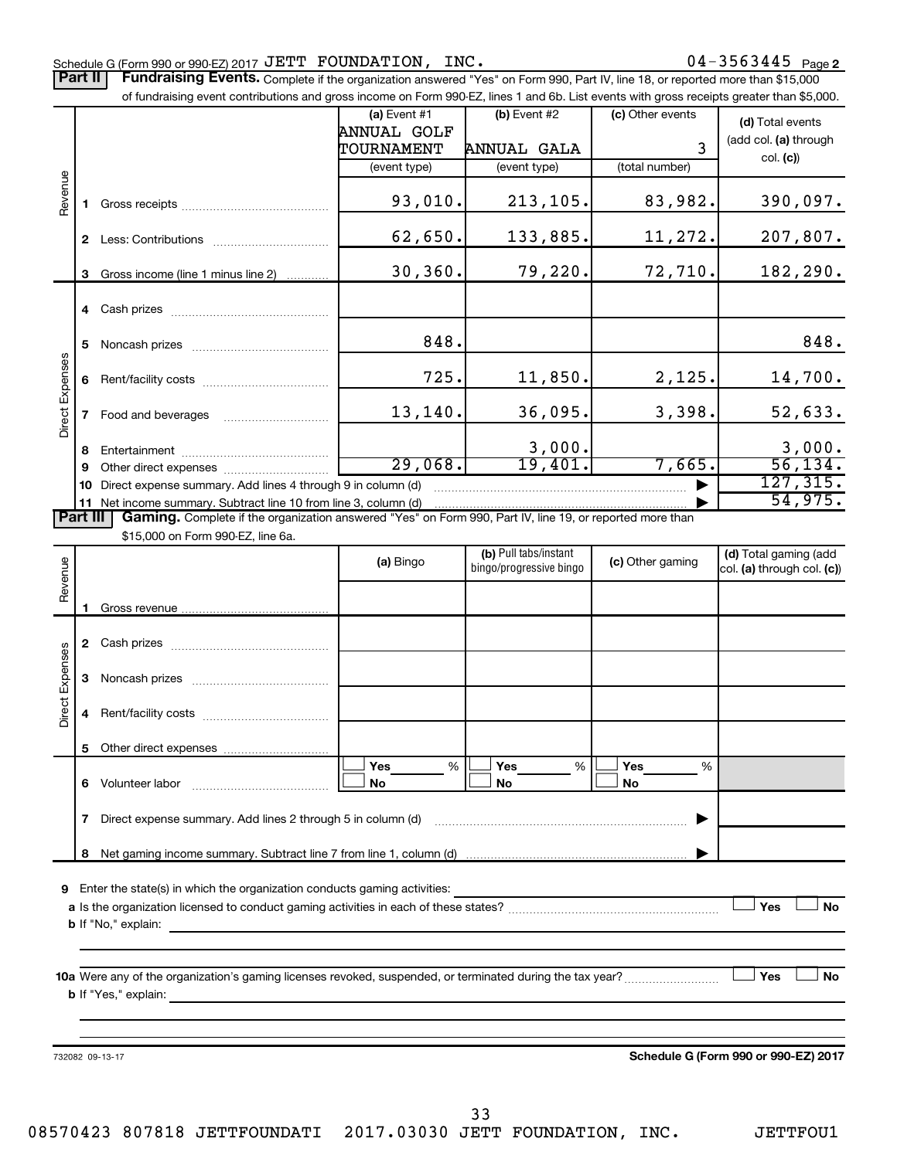#### Schedule G (Form 990 or 990-EZ) 2017  $\mathtt{JETT}$   $\mathtt{FOUNDATION}$ ,  $\mathtt{INC.}$   $\mathtt{O4-3563445}$   $\mathtt{Page}$

Part II | Fundraising Events. Complete if the organization answered "Yes" on Form 990, Part IV, line 18, or reported more than \$15,000

|                 |    | of fundraising event contributions and gross income on Form 990-EZ, lines 1 and 6b. List events with gross receipts greater than \$5,000.       |                    |                                                  |                  |                                                     |
|-----------------|----|-------------------------------------------------------------------------------------------------------------------------------------------------|--------------------|--------------------------------------------------|------------------|-----------------------------------------------------|
|                 |    |                                                                                                                                                 | (a) Event #1       | (b) Event #2                                     | (c) Other events | (d) Total events                                    |
|                 |    |                                                                                                                                                 | <b>ANNUAL GOLF</b> |                                                  |                  | (add col. (a) through                               |
|                 |    |                                                                                                                                                 | TOURNAMENT         | ANNUAL GALA                                      | 3                | col. (c))                                           |
|                 |    |                                                                                                                                                 | (event type)       | (event type)                                     | (total number)   |                                                     |
|                 |    |                                                                                                                                                 |                    |                                                  |                  |                                                     |
| Revenue         | 1. |                                                                                                                                                 | 93,010.            | 213,105.                                         | 83,982.          | 390,097.                                            |
|                 |    |                                                                                                                                                 |                    |                                                  |                  |                                                     |
|                 |    |                                                                                                                                                 | 62,650.            | 133,885.                                         | 11,272.          | 207,807.                                            |
|                 |    |                                                                                                                                                 |                    |                                                  |                  |                                                     |
|                 | 3  | Gross income (line 1 minus line 2)                                                                                                              | 30, 360.           | 79,220.                                          | 72,710.          | 182,290.                                            |
|                 |    |                                                                                                                                                 |                    |                                                  |                  |                                                     |
|                 |    |                                                                                                                                                 |                    |                                                  |                  |                                                     |
|                 | 5  |                                                                                                                                                 | 848.               |                                                  |                  | 848.                                                |
|                 |    |                                                                                                                                                 |                    |                                                  |                  |                                                     |
|                 | 6  |                                                                                                                                                 | 725.               | 11,850.                                          | 2,125.           | 14,700.                                             |
| Direct Expenses |    |                                                                                                                                                 |                    |                                                  |                  |                                                     |
|                 | 7  | Food and beverages                                                                                                                              | 13,140.            | 36,095.                                          | 3,398.           | 52,633.                                             |
|                 |    |                                                                                                                                                 |                    |                                                  |                  |                                                     |
|                 | 8  |                                                                                                                                                 |                    | 3,000.                                           |                  | $\frac{3,000}{56,134}$                              |
|                 | 9  |                                                                                                                                                 | 29,068.            | 19,401.                                          | 7,665.           |                                                     |
|                 | 10 | Direct expense summary. Add lines 4 through 9 in column (d)                                                                                     |                    |                                                  |                  | 127, 315.                                           |
|                 |    | 11 Net income summary. Subtract line 10 from line 3, column (d)                                                                                 |                    |                                                  |                  | 54,975.                                             |
| <b>Part III</b> |    | Gaming. Complete if the organization answered "Yes" on Form 990, Part IV, line 19, or reported more than                                        |                    |                                                  |                  |                                                     |
|                 |    | \$15,000 on Form 990-EZ, line 6a.                                                                                                               |                    |                                                  |                  |                                                     |
|                 |    |                                                                                                                                                 | (a) Bingo          | (b) Pull tabs/instant<br>bingo/progressive bingo | (c) Other gaming | (d) Total gaming (add<br>col. (a) through col. (c)) |
| Revenue         |    |                                                                                                                                                 |                    |                                                  |                  |                                                     |
|                 |    |                                                                                                                                                 |                    |                                                  |                  |                                                     |
|                 | 1. |                                                                                                                                                 |                    |                                                  |                  |                                                     |
|                 |    |                                                                                                                                                 |                    |                                                  |                  |                                                     |
|                 |    |                                                                                                                                                 |                    |                                                  |                  |                                                     |
|                 | 3  |                                                                                                                                                 |                    |                                                  |                  |                                                     |
| Direct Expenses |    |                                                                                                                                                 |                    |                                                  |                  |                                                     |
|                 | 4  |                                                                                                                                                 |                    |                                                  |                  |                                                     |
|                 |    |                                                                                                                                                 |                    |                                                  |                  |                                                     |
|                 |    |                                                                                                                                                 |                    |                                                  |                  |                                                     |
|                 |    |                                                                                                                                                 | Yes<br>$\%$        | Yes<br>$\%$                                      | <b>Yes</b><br>%  |                                                     |
|                 |    | 6 Volunteer labor                                                                                                                               | No                 | No                                               | No               |                                                     |
|                 |    |                                                                                                                                                 |                    |                                                  |                  |                                                     |
|                 | 7  | Direct expense summary. Add lines 2 through 5 in column (d)                                                                                     |                    |                                                  |                  |                                                     |
|                 |    |                                                                                                                                                 |                    |                                                  |                  |                                                     |
|                 | 8  |                                                                                                                                                 |                    |                                                  |                  |                                                     |
|                 |    |                                                                                                                                                 |                    |                                                  |                  |                                                     |
| 9               |    | Enter the state(s) in which the organization conducts gaming activities:                                                                        |                    |                                                  |                  | Yes<br>No                                           |
|                 |    |                                                                                                                                                 |                    |                                                  |                  |                                                     |
|                 |    | <b>b</b> If "No," explain:<br>the control of the control of the control of the control of the control of the control of                         |                    |                                                  |                  |                                                     |
|                 |    |                                                                                                                                                 |                    |                                                  |                  |                                                     |
|                 |    | 10a Were any of the organization's gaming licenses revoked, suspended, or terminated during the tax year?                                       |                    |                                                  |                  | Yes<br><b>No</b>                                    |
|                 |    | <b>b</b> If "Yes," explain:<br>and the control of the control of the control of the control of the control of the control of the control of the |                    |                                                  |                  |                                                     |
|                 |    |                                                                                                                                                 |                    |                                                  |                  |                                                     |
|                 |    |                                                                                                                                                 |                    |                                                  |                  |                                                     |
|                 |    |                                                                                                                                                 |                    |                                                  |                  |                                                     |
|                 |    | 732082 09-13-17                                                                                                                                 |                    |                                                  |                  | Schedule G (Form 990 or 990-EZ) 2017                |

33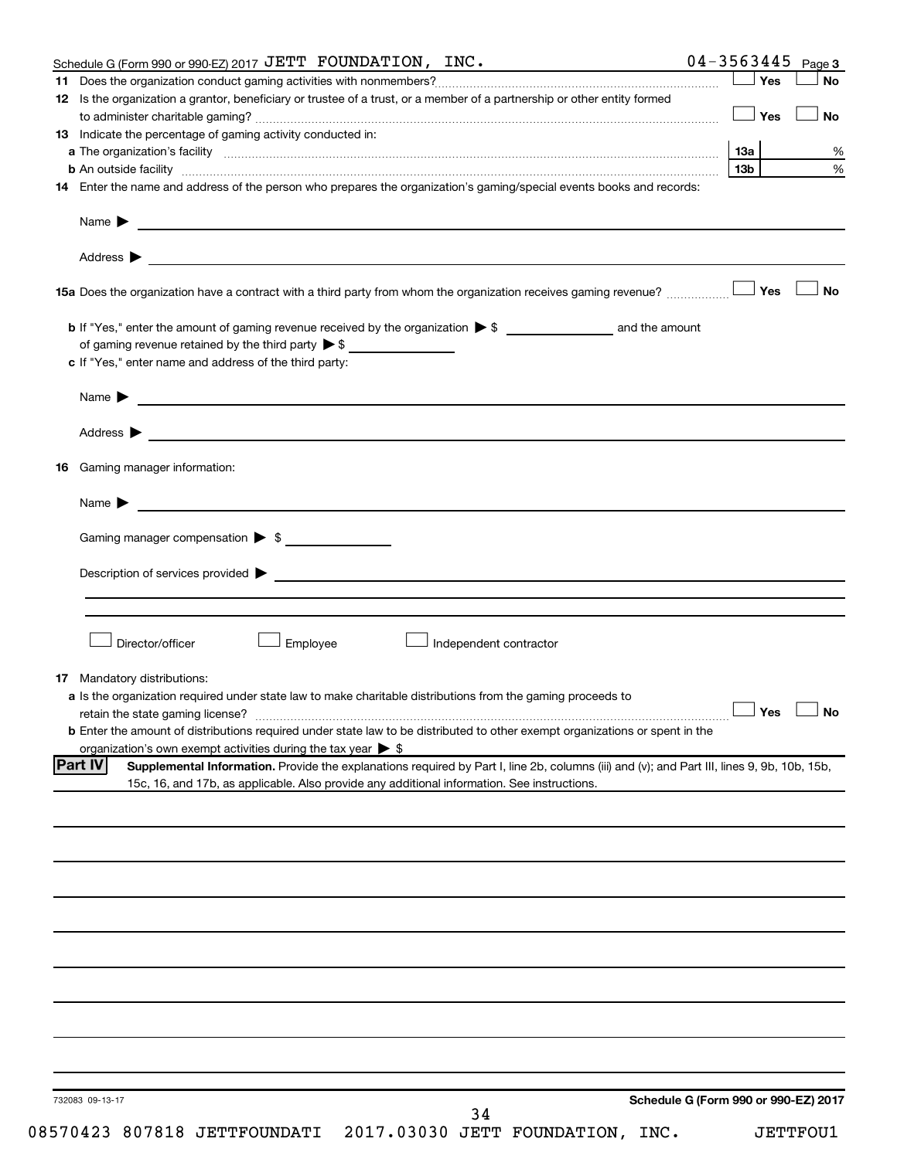| Yes<br><b>No</b><br>12 Is the organization a grantor, beneficiary or trustee of a trust, or a member of a partnership or other entity formed<br>│Yes<br><b>No</b><br>%<br>%<br>13 <sub>b</sub><br><b>b</b> An outside facility <i>www.communicality.communicality.communicality www.communicality.communicality.communicality</i><br>14 Enter the name and address of the person who prepares the organization's gaming/special events books and records:<br>Name $\blacktriangleright$<br><u> 1989 - Johann Barbara, marka a shekara ta 1989 - An tsa a shekara ta 1989 - An tsa a shekara tsa a shekara t</u><br>No<br>c If "Yes," enter name and address of the third party:<br>Gaming manager compensation > \$<br>Director/officer<br>Employee<br>Independent contractor<br><b>17</b> Mandatory distributions:<br>a Is the organization required under state law to make charitable distributions from the gaming proceeds to<br>$\Box$ Yes $\Box$ No<br><b>b</b> Enter the amount of distributions required under state law to be distributed to other exempt organizations or spent in the<br>organization's own exempt activities during the tax year $\triangleright$ \$<br>Supplemental Information. Provide the explanations required by Part I, line 2b, columns (iii) and (v); and Part III, lines 9, 9b, 10b, 15b,<br>15c, 16, and 17b, as applicable. Also provide any additional information. See instructions.<br>Schedule G (Form 990 or 990-EZ) 2017<br>732083 09-13-17<br>34 | Schedule G (Form 990 or 990-EZ) 2017 JETT FOUNDATION, INC.  |  | $04 - 3563445$ Page 3 |
|--------------------------------------------------------------------------------------------------------------------------------------------------------------------------------------------------------------------------------------------------------------------------------------------------------------------------------------------------------------------------------------------------------------------------------------------------------------------------------------------------------------------------------------------------------------------------------------------------------------------------------------------------------------------------------------------------------------------------------------------------------------------------------------------------------------------------------------------------------------------------------------------------------------------------------------------------------------------------------------------------------------------------------------------------------------------------------------------------------------------------------------------------------------------------------------------------------------------------------------------------------------------------------------------------------------------------------------------------------------------------------------------------------------------------------------------------------------------------------------------------|-------------------------------------------------------------|--|-----------------------|
|                                                                                                                                                                                                                                                                                                                                                                                                                                                                                                                                                                                                                                                                                                                                                                                                                                                                                                                                                                                                                                                                                                                                                                                                                                                                                                                                                                                                                                                                                                  |                                                             |  |                       |
|                                                                                                                                                                                                                                                                                                                                                                                                                                                                                                                                                                                                                                                                                                                                                                                                                                                                                                                                                                                                                                                                                                                                                                                                                                                                                                                                                                                                                                                                                                  |                                                             |  |                       |
|                                                                                                                                                                                                                                                                                                                                                                                                                                                                                                                                                                                                                                                                                                                                                                                                                                                                                                                                                                                                                                                                                                                                                                                                                                                                                                                                                                                                                                                                                                  |                                                             |  |                       |
|                                                                                                                                                                                                                                                                                                                                                                                                                                                                                                                                                                                                                                                                                                                                                                                                                                                                                                                                                                                                                                                                                                                                                                                                                                                                                                                                                                                                                                                                                                  | 13 Indicate the percentage of gaming activity conducted in: |  |                       |
|                                                                                                                                                                                                                                                                                                                                                                                                                                                                                                                                                                                                                                                                                                                                                                                                                                                                                                                                                                                                                                                                                                                                                                                                                                                                                                                                                                                                                                                                                                  |                                                             |  |                       |
|                                                                                                                                                                                                                                                                                                                                                                                                                                                                                                                                                                                                                                                                                                                                                                                                                                                                                                                                                                                                                                                                                                                                                                                                                                                                                                                                                                                                                                                                                                  |                                                             |  |                       |
|                                                                                                                                                                                                                                                                                                                                                                                                                                                                                                                                                                                                                                                                                                                                                                                                                                                                                                                                                                                                                                                                                                                                                                                                                                                                                                                                                                                                                                                                                                  |                                                             |  |                       |
|                                                                                                                                                                                                                                                                                                                                                                                                                                                                                                                                                                                                                                                                                                                                                                                                                                                                                                                                                                                                                                                                                                                                                                                                                                                                                                                                                                                                                                                                                                  |                                                             |  |                       |
|                                                                                                                                                                                                                                                                                                                                                                                                                                                                                                                                                                                                                                                                                                                                                                                                                                                                                                                                                                                                                                                                                                                                                                                                                                                                                                                                                                                                                                                                                                  |                                                             |  |                       |
|                                                                                                                                                                                                                                                                                                                                                                                                                                                                                                                                                                                                                                                                                                                                                                                                                                                                                                                                                                                                                                                                                                                                                                                                                                                                                                                                                                                                                                                                                                  |                                                             |  |                       |
|                                                                                                                                                                                                                                                                                                                                                                                                                                                                                                                                                                                                                                                                                                                                                                                                                                                                                                                                                                                                                                                                                                                                                                                                                                                                                                                                                                                                                                                                                                  |                                                             |  |                       |
|                                                                                                                                                                                                                                                                                                                                                                                                                                                                                                                                                                                                                                                                                                                                                                                                                                                                                                                                                                                                                                                                                                                                                                                                                                                                                                                                                                                                                                                                                                  |                                                             |  |                       |
|                                                                                                                                                                                                                                                                                                                                                                                                                                                                                                                                                                                                                                                                                                                                                                                                                                                                                                                                                                                                                                                                                                                                                                                                                                                                                                                                                                                                                                                                                                  |                                                             |  |                       |
|                                                                                                                                                                                                                                                                                                                                                                                                                                                                                                                                                                                                                                                                                                                                                                                                                                                                                                                                                                                                                                                                                                                                                                                                                                                                                                                                                                                                                                                                                                  |                                                             |  |                       |
|                                                                                                                                                                                                                                                                                                                                                                                                                                                                                                                                                                                                                                                                                                                                                                                                                                                                                                                                                                                                                                                                                                                                                                                                                                                                                                                                                                                                                                                                                                  |                                                             |  |                       |
|                                                                                                                                                                                                                                                                                                                                                                                                                                                                                                                                                                                                                                                                                                                                                                                                                                                                                                                                                                                                                                                                                                                                                                                                                                                                                                                                                                                                                                                                                                  |                                                             |  |                       |
|                                                                                                                                                                                                                                                                                                                                                                                                                                                                                                                                                                                                                                                                                                                                                                                                                                                                                                                                                                                                                                                                                                                                                                                                                                                                                                                                                                                                                                                                                                  |                                                             |  |                       |
|                                                                                                                                                                                                                                                                                                                                                                                                                                                                                                                                                                                                                                                                                                                                                                                                                                                                                                                                                                                                                                                                                                                                                                                                                                                                                                                                                                                                                                                                                                  |                                                             |  |                       |
|                                                                                                                                                                                                                                                                                                                                                                                                                                                                                                                                                                                                                                                                                                                                                                                                                                                                                                                                                                                                                                                                                                                                                                                                                                                                                                                                                                                                                                                                                                  |                                                             |  |                       |
|                                                                                                                                                                                                                                                                                                                                                                                                                                                                                                                                                                                                                                                                                                                                                                                                                                                                                                                                                                                                                                                                                                                                                                                                                                                                                                                                                                                                                                                                                                  |                                                             |  |                       |
|                                                                                                                                                                                                                                                                                                                                                                                                                                                                                                                                                                                                                                                                                                                                                                                                                                                                                                                                                                                                                                                                                                                                                                                                                                                                                                                                                                                                                                                                                                  |                                                             |  |                       |
|                                                                                                                                                                                                                                                                                                                                                                                                                                                                                                                                                                                                                                                                                                                                                                                                                                                                                                                                                                                                                                                                                                                                                                                                                                                                                                                                                                                                                                                                                                  | <b>16</b> Gaming manager information:                       |  |                       |
|                                                                                                                                                                                                                                                                                                                                                                                                                                                                                                                                                                                                                                                                                                                                                                                                                                                                                                                                                                                                                                                                                                                                                                                                                                                                                                                                                                                                                                                                                                  |                                                             |  |                       |
|                                                                                                                                                                                                                                                                                                                                                                                                                                                                                                                                                                                                                                                                                                                                                                                                                                                                                                                                                                                                                                                                                                                                                                                                                                                                                                                                                                                                                                                                                                  |                                                             |  |                       |
|                                                                                                                                                                                                                                                                                                                                                                                                                                                                                                                                                                                                                                                                                                                                                                                                                                                                                                                                                                                                                                                                                                                                                                                                                                                                                                                                                                                                                                                                                                  |                                                             |  |                       |
|                                                                                                                                                                                                                                                                                                                                                                                                                                                                                                                                                                                                                                                                                                                                                                                                                                                                                                                                                                                                                                                                                                                                                                                                                                                                                                                                                                                                                                                                                                  |                                                             |  |                       |
|                                                                                                                                                                                                                                                                                                                                                                                                                                                                                                                                                                                                                                                                                                                                                                                                                                                                                                                                                                                                                                                                                                                                                                                                                                                                                                                                                                                                                                                                                                  |                                                             |  |                       |
|                                                                                                                                                                                                                                                                                                                                                                                                                                                                                                                                                                                                                                                                                                                                                                                                                                                                                                                                                                                                                                                                                                                                                                                                                                                                                                                                                                                                                                                                                                  |                                                             |  |                       |
|                                                                                                                                                                                                                                                                                                                                                                                                                                                                                                                                                                                                                                                                                                                                                                                                                                                                                                                                                                                                                                                                                                                                                                                                                                                                                                                                                                                                                                                                                                  |                                                             |  |                       |
|                                                                                                                                                                                                                                                                                                                                                                                                                                                                                                                                                                                                                                                                                                                                                                                                                                                                                                                                                                                                                                                                                                                                                                                                                                                                                                                                                                                                                                                                                                  |                                                             |  |                       |
|                                                                                                                                                                                                                                                                                                                                                                                                                                                                                                                                                                                                                                                                                                                                                                                                                                                                                                                                                                                                                                                                                                                                                                                                                                                                                                                                                                                                                                                                                                  |                                                             |  |                       |
|                                                                                                                                                                                                                                                                                                                                                                                                                                                                                                                                                                                                                                                                                                                                                                                                                                                                                                                                                                                                                                                                                                                                                                                                                                                                                                                                                                                                                                                                                                  |                                                             |  |                       |
|                                                                                                                                                                                                                                                                                                                                                                                                                                                                                                                                                                                                                                                                                                                                                                                                                                                                                                                                                                                                                                                                                                                                                                                                                                                                                                                                                                                                                                                                                                  |                                                             |  |                       |
|                                                                                                                                                                                                                                                                                                                                                                                                                                                                                                                                                                                                                                                                                                                                                                                                                                                                                                                                                                                                                                                                                                                                                                                                                                                                                                                                                                                                                                                                                                  |                                                             |  |                       |
|                                                                                                                                                                                                                                                                                                                                                                                                                                                                                                                                                                                                                                                                                                                                                                                                                                                                                                                                                                                                                                                                                                                                                                                                                                                                                                                                                                                                                                                                                                  |                                                             |  |                       |
|                                                                                                                                                                                                                                                                                                                                                                                                                                                                                                                                                                                                                                                                                                                                                                                                                                                                                                                                                                                                                                                                                                                                                                                                                                                                                                                                                                                                                                                                                                  |                                                             |  |                       |
|                                                                                                                                                                                                                                                                                                                                                                                                                                                                                                                                                                                                                                                                                                                                                                                                                                                                                                                                                                                                                                                                                                                                                                                                                                                                                                                                                                                                                                                                                                  |                                                             |  |                       |
|                                                                                                                                                                                                                                                                                                                                                                                                                                                                                                                                                                                                                                                                                                                                                                                                                                                                                                                                                                                                                                                                                                                                                                                                                                                                                                                                                                                                                                                                                                  | <b>Part IV</b>                                              |  |                       |
|                                                                                                                                                                                                                                                                                                                                                                                                                                                                                                                                                                                                                                                                                                                                                                                                                                                                                                                                                                                                                                                                                                                                                                                                                                                                                                                                                                                                                                                                                                  |                                                             |  |                       |
|                                                                                                                                                                                                                                                                                                                                                                                                                                                                                                                                                                                                                                                                                                                                                                                                                                                                                                                                                                                                                                                                                                                                                                                                                                                                                                                                                                                                                                                                                                  |                                                             |  |                       |
|                                                                                                                                                                                                                                                                                                                                                                                                                                                                                                                                                                                                                                                                                                                                                                                                                                                                                                                                                                                                                                                                                                                                                                                                                                                                                                                                                                                                                                                                                                  |                                                             |  |                       |
|                                                                                                                                                                                                                                                                                                                                                                                                                                                                                                                                                                                                                                                                                                                                                                                                                                                                                                                                                                                                                                                                                                                                                                                                                                                                                                                                                                                                                                                                                                  |                                                             |  |                       |
|                                                                                                                                                                                                                                                                                                                                                                                                                                                                                                                                                                                                                                                                                                                                                                                                                                                                                                                                                                                                                                                                                                                                                                                                                                                                                                                                                                                                                                                                                                  |                                                             |  |                       |
|                                                                                                                                                                                                                                                                                                                                                                                                                                                                                                                                                                                                                                                                                                                                                                                                                                                                                                                                                                                                                                                                                                                                                                                                                                                                                                                                                                                                                                                                                                  |                                                             |  |                       |
|                                                                                                                                                                                                                                                                                                                                                                                                                                                                                                                                                                                                                                                                                                                                                                                                                                                                                                                                                                                                                                                                                                                                                                                                                                                                                                                                                                                                                                                                                                  |                                                             |  |                       |
|                                                                                                                                                                                                                                                                                                                                                                                                                                                                                                                                                                                                                                                                                                                                                                                                                                                                                                                                                                                                                                                                                                                                                                                                                                                                                                                                                                                                                                                                                                  |                                                             |  |                       |
|                                                                                                                                                                                                                                                                                                                                                                                                                                                                                                                                                                                                                                                                                                                                                                                                                                                                                                                                                                                                                                                                                                                                                                                                                                                                                                                                                                                                                                                                                                  |                                                             |  |                       |
|                                                                                                                                                                                                                                                                                                                                                                                                                                                                                                                                                                                                                                                                                                                                                                                                                                                                                                                                                                                                                                                                                                                                                                                                                                                                                                                                                                                                                                                                                                  |                                                             |  |                       |
|                                                                                                                                                                                                                                                                                                                                                                                                                                                                                                                                                                                                                                                                                                                                                                                                                                                                                                                                                                                                                                                                                                                                                                                                                                                                                                                                                                                                                                                                                                  |                                                             |  |                       |
|                                                                                                                                                                                                                                                                                                                                                                                                                                                                                                                                                                                                                                                                                                                                                                                                                                                                                                                                                                                                                                                                                                                                                                                                                                                                                                                                                                                                                                                                                                  |                                                             |  |                       |
|                                                                                                                                                                                                                                                                                                                                                                                                                                                                                                                                                                                                                                                                                                                                                                                                                                                                                                                                                                                                                                                                                                                                                                                                                                                                                                                                                                                                                                                                                                  |                                                             |  |                       |
|                                                                                                                                                                                                                                                                                                                                                                                                                                                                                                                                                                                                                                                                                                                                                                                                                                                                                                                                                                                                                                                                                                                                                                                                                                                                                                                                                                                                                                                                                                  |                                                             |  |                       |
|                                                                                                                                                                                                                                                                                                                                                                                                                                                                                                                                                                                                                                                                                                                                                                                                                                                                                                                                                                                                                                                                                                                                                                                                                                                                                                                                                                                                                                                                                                  |                                                             |  |                       |
|                                                                                                                                                                                                                                                                                                                                                                                                                                                                                                                                                                                                                                                                                                                                                                                                                                                                                                                                                                                                                                                                                                                                                                                                                                                                                                                                                                                                                                                                                                  |                                                             |  |                       |
|                                                                                                                                                                                                                                                                                                                                                                                                                                                                                                                                                                                                                                                                                                                                                                                                                                                                                                                                                                                                                                                                                                                                                                                                                                                                                                                                                                                                                                                                                                  |                                                             |  |                       |
|                                                                                                                                                                                                                                                                                                                                                                                                                                                                                                                                                                                                                                                                                                                                                                                                                                                                                                                                                                                                                                                                                                                                                                                                                                                                                                                                                                                                                                                                                                  |                                                             |  |                       |
|                                                                                                                                                                                                                                                                                                                                                                                                                                                                                                                                                                                                                                                                                                                                                                                                                                                                                                                                                                                                                                                                                                                                                                                                                                                                                                                                                                                                                                                                                                  |                                                             |  |                       |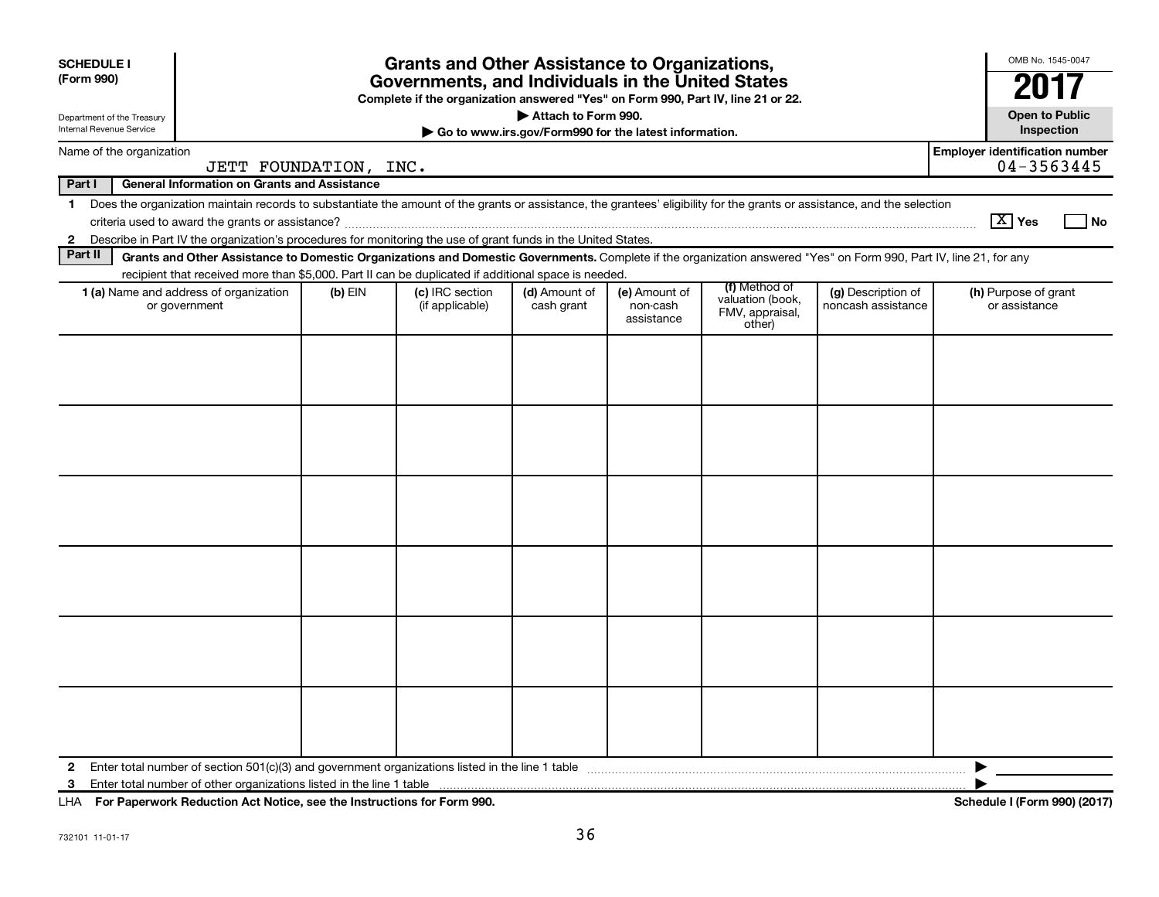| <b>SCHEDULE I</b><br>(Form 990)                        |                                                                                                                                                                                                                                                                                                             |           | <b>Grants and Other Assistance to Organizations,</b><br>Governments, and Individuals in the United States |                                                                              |                                         |                                                                |                                          | OMB No. 1545-0047<br>20                             |
|--------------------------------------------------------|-------------------------------------------------------------------------------------------------------------------------------------------------------------------------------------------------------------------------------------------------------------------------------------------------------------|-----------|-----------------------------------------------------------------------------------------------------------|------------------------------------------------------------------------------|-----------------------------------------|----------------------------------------------------------------|------------------------------------------|-----------------------------------------------------|
| Department of the Treasury<br>Internal Revenue Service |                                                                                                                                                                                                                                                                                                             |           | Complete if the organization answered "Yes" on Form 990, Part IV, line 21 or 22.                          | Attach to Form 990.<br>Go to www.irs.gov/Form990 for the latest information. |                                         |                                                                |                                          | <b>Open to Public</b><br>Inspection                 |
|                                                        | Name of the organization<br>JETT FOUNDATION, INC.                                                                                                                                                                                                                                                           |           |                                                                                                           |                                                                              |                                         |                                                                |                                          | <b>Employer identification number</b><br>04-3563445 |
| Part I                                                 | <b>General Information on Grants and Assistance</b>                                                                                                                                                                                                                                                         |           |                                                                                                           |                                                                              |                                         |                                                                |                                          |                                                     |
| $\mathbf 1$<br>$\mathbf{2}$                            | Does the organization maintain records to substantiate the amount of the grants or assistance, the grantees' eligibility for the grants or assistance, and the selection<br>Describe in Part IV the organization's procedures for monitoring the use of grant funds in the United States.                   |           |                                                                                                           |                                                                              |                                         |                                                                |                                          | $\boxed{\text{X}}$ Yes<br>l No                      |
| Part II                                                | Grants and Other Assistance to Domestic Organizations and Domestic Governments. Complete if the organization answered "Yes" on Form 990, Part IV, line 21, for any                                                                                                                                          |           |                                                                                                           |                                                                              |                                         |                                                                |                                          |                                                     |
|                                                        | recipient that received more than \$5,000. Part II can be duplicated if additional space is needed.<br><b>1 (a)</b> Name and address of organization<br>or government                                                                                                                                       | $(b)$ EIN | (c) IRC section<br>(if applicable)                                                                        | (d) Amount of<br>cash grant                                                  | (e) Amount of<br>non-cash<br>assistance | (f) Method of<br>valuation (book,<br>FMV, appraisal,<br>other) | (g) Description of<br>noncash assistance | (h) Purpose of grant<br>or assistance               |
|                                                        |                                                                                                                                                                                                                                                                                                             |           |                                                                                                           |                                                                              |                                         |                                                                |                                          |                                                     |
|                                                        |                                                                                                                                                                                                                                                                                                             |           |                                                                                                           |                                                                              |                                         |                                                                |                                          |                                                     |
|                                                        |                                                                                                                                                                                                                                                                                                             |           |                                                                                                           |                                                                              |                                         |                                                                |                                          |                                                     |
|                                                        |                                                                                                                                                                                                                                                                                                             |           |                                                                                                           |                                                                              |                                         |                                                                |                                          |                                                     |
|                                                        |                                                                                                                                                                                                                                                                                                             |           |                                                                                                           |                                                                              |                                         |                                                                |                                          |                                                     |
|                                                        |                                                                                                                                                                                                                                                                                                             |           |                                                                                                           |                                                                              |                                         |                                                                |                                          |                                                     |
| 2<br>3                                                 | $\mathbf{r}$ , $\mathbf{r}$ , $\mathbf{r}$ , $\mathbf{r}$ , $\mathbf{r}$ , $\mathbf{r}$ , $\mathbf{r}$ , $\mathbf{r}$ , $\mathbf{r}$ , $\mathbf{r}$ , $\mathbf{r}$ , $\mathbf{r}$ , $\mathbf{r}$ , $\mathbf{r}$ , $\mathbf{r}$ , $\mathbf{r}$ , $\mathbf{r}$ , $\mathbf{r}$ , $\mathbf{r}$ , $\mathbf{r}$ , |           |                                                                                                           |                                                                              |                                         |                                                                |                                          | ▶<br>$1.1.177 - 0.001 (0.017)$                      |

**For Paperwork Reduction Act Notice, see the Instructions for Form 990. Schedule I (Form 990) (2017)** LHA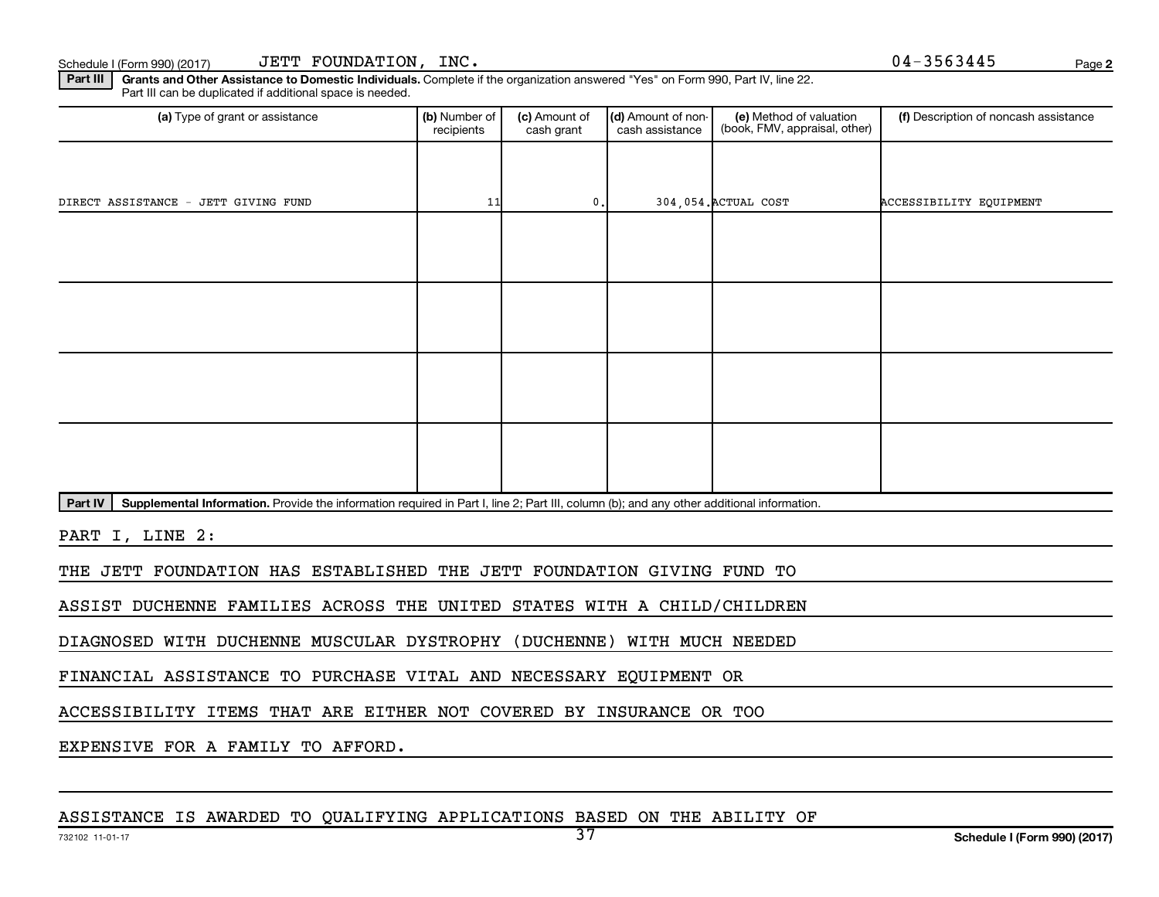Part III | Grants and Other Assistance to Domestic Individuals. Complete if the organization answered "Yes" on Form 990, Part IV, line 22. Part III can be duplicated if additional space is needed.

| (a) Type of grant or assistance      | (b) Number of<br>recipients | (c) Amount of<br>cash grant | (d) Amount of non-<br>cash assistance | (e) Method of valuation<br>(book, FMV, appraisal, other) | (f) Description of noncash assistance |
|--------------------------------------|-----------------------------|-----------------------------|---------------------------------------|----------------------------------------------------------|---------------------------------------|
|                                      |                             |                             |                                       |                                                          |                                       |
| DIRECT ASSISTANCE - JETT GIVING FUND | 11                          | $\mathbf 0$ .               |                                       | 304,054. ACTUAL COST                                     | ACCESSIBILITY EQUIPMENT               |
|                                      |                             |                             |                                       |                                                          |                                       |
|                                      |                             |                             |                                       |                                                          |                                       |
|                                      |                             |                             |                                       |                                                          |                                       |
|                                      |                             |                             |                                       |                                                          |                                       |
|                                      |                             |                             |                                       |                                                          |                                       |
|                                      |                             |                             |                                       |                                                          |                                       |
|                                      |                             |                             |                                       |                                                          |                                       |
|                                      |                             |                             |                                       |                                                          |                                       |

Part IV | Supplemental Information. Provide the information required in Part I, line 2; Part III, column (b); and any other additional information.

PART I, LINE 2:

THE JETT FOUNDATION HAS ESTABLISHED THE JETT FOUNDATION GIVING FUND TO

ASSIST DUCHENNE FAMILIES ACROSS THE UNITED STATES WITH A CHILD/CHILDREN

DIAGNOSED WITH DUCHENNE MUSCULAR DYSTROPHY (DUCHENNE) WITH MUCH NEEDED

FINANCIAL ASSISTANCE TO PURCHASE VITAL AND NECESSARY EQUIPMENT OR

ACCESSIBILITY ITEMS THAT ARE EITHER NOT COVERED BY INSURANCE OR TOO

EXPENSIVE FOR A FAMILY TO AFFORD.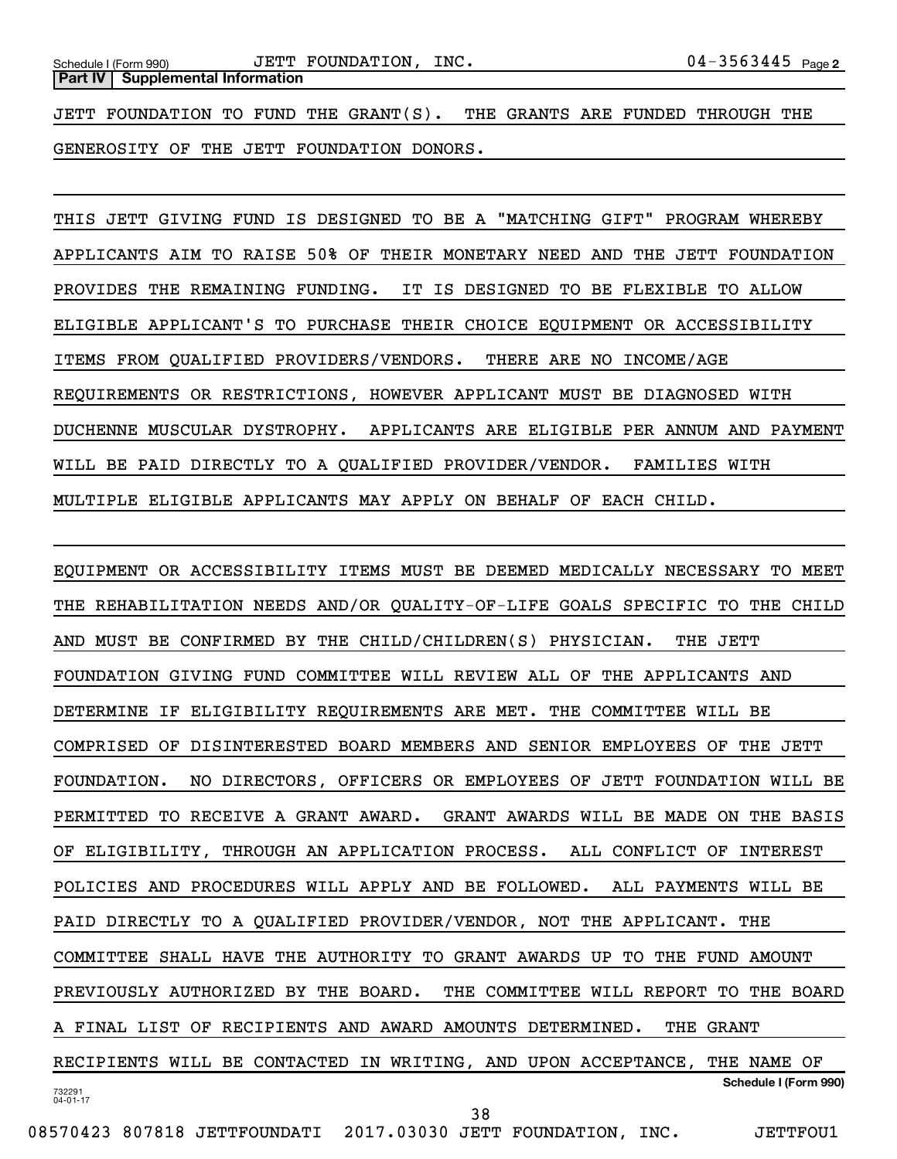JETT FOUNDATION TO FUND THE GRANT(S). THE GRANTS ARE FUNDED THROUGH THE GENEROSITY OF THE JETT FOUNDATION DONORS.

THIS JETT GIVING FUND IS DESIGNED TO BE A "MATCHING GIFT" PROGRAM WHEREBY APPLICANTS AIM TO RAISE 50% OF THEIR MONETARY NEED AND THE JETT FOUNDATION PROVIDES THE REMAINING FUNDING. IT IS DESIGNED TO BE FLEXIBLE TO ALLOW ELIGIBLE APPLICANT'S TO PURCHASE THEIR CHOICE EQUIPMENT OR ACCESSIBILITY ITEMS FROM QUALIFIED PROVIDERS/VENDORS. THERE ARE NO INCOME/AGE REQUIREMENTS OR RESTRICTIONS, HOWEVER APPLICANT MUST BE DIAGNOSED WITH DUCHENNE MUSCULAR DYSTROPHY. APPLICANTS ARE ELIGIBLE PER ANNUM AND PAYMENT WILL BE PAID DIRECTLY TO A QUALIFIED PROVIDER/VENDOR. FAMILIES WITH MULTIPLE ELIGIBLE APPLICANTS MAY APPLY ON BEHALF OF EACH CHILD.

732291 04-01-17 **Schedule I (Form 990)** EQUIPMENT OR ACCESSIBILITY ITEMS MUST BE DEEMED MEDICALLY NECESSARY TO MEET THE REHABILITATION NEEDS AND/OR QUALITY-OF-LIFE GOALS SPECIFIC TO THE CHILD AND MUST BE CONFIRMED BY THE CHILD/CHILDREN(S) PHYSICIAN. THE JETT FOUNDATION GIVING FUND COMMITTEE WILL REVIEW ALL OF THE APPLICANTS AND DETERMINE IF ELIGIBILITY REQUIREMENTS ARE MET. THE COMMITTEE WILL BE COMPRISED OF DISINTERESTED BOARD MEMBERS AND SENIOR EMPLOYEES OF THE JETT FOUNDATION. NO DIRECTORS, OFFICERS OR EMPLOYEES OF JETT FOUNDATION WILL BE PERMITTED TO RECEIVE A GRANT AWARD. GRANT AWARDS WILL BE MADE ON THE BASIS OF ELIGIBILITY, THROUGH AN APPLICATION PROCESS. ALL CONFLICT OF INTEREST POLICIES AND PROCEDURES WILL APPLY AND BE FOLLOWED. ALL PAYMENTS WILL BE PAID DIRECTLY TO A QUALIFIED PROVIDER/VENDOR, NOT THE APPLICANT. THE COMMITTEE SHALL HAVE THE AUTHORITY TO GRANT AWARDS UP TO THE FUND AMOUNT PREVIOUSLY AUTHORIZED BY THE BOARD. THE COMMITTEE WILL REPORT TO THE BOARD A FINAL LIST OF RECIPIENTS AND AWARD AMOUNTS DETERMINED. THE GRANT RECIPIENTS WILL BE CONTACTED IN WRITING, AND UPON ACCEPTANCE, THE NAME OF 38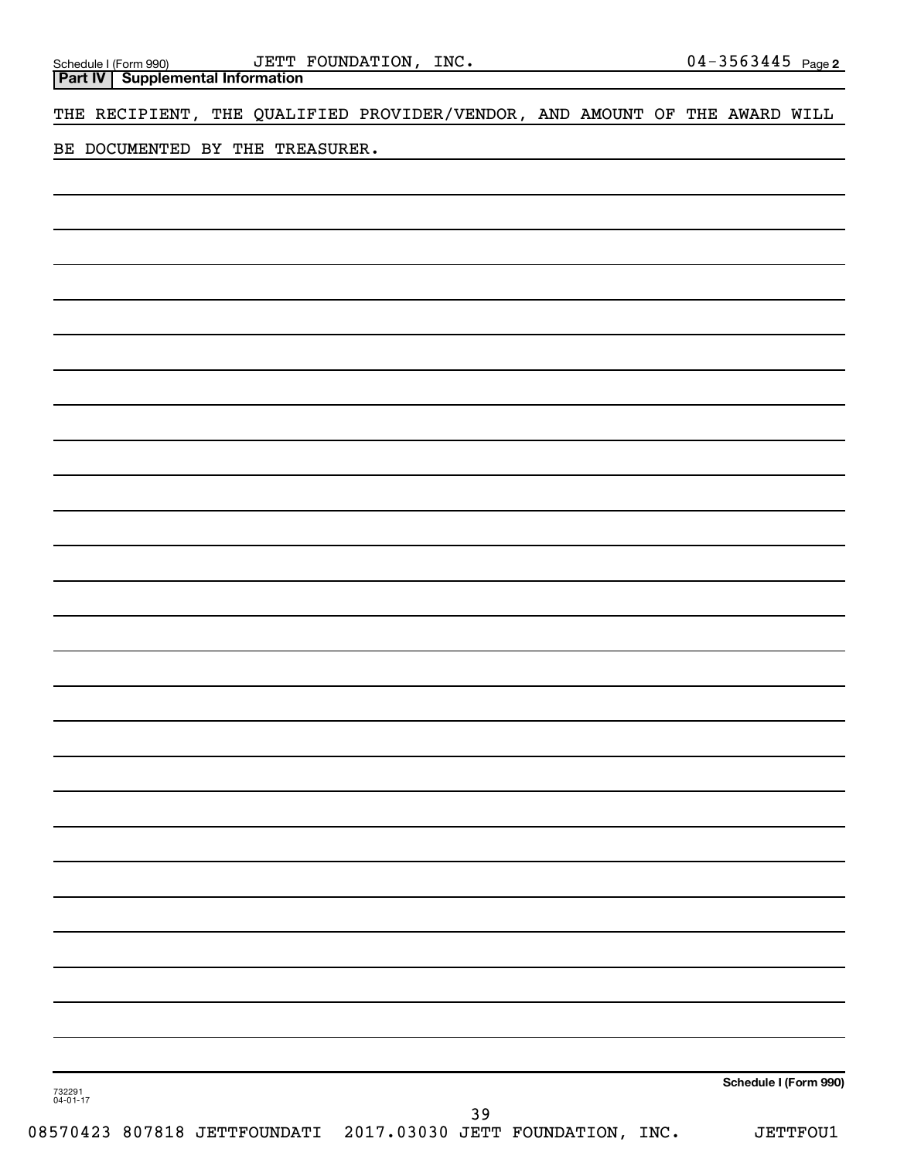**Part IV Supplemental Information**

THE RECIPIENT, THE QUALIFIED PROVIDER/VENDOR, AND AMOUNT OF THE AWARD WILL

BE DOCUMENTED BY THE TREASURER.

**Schedule I (Form 990)**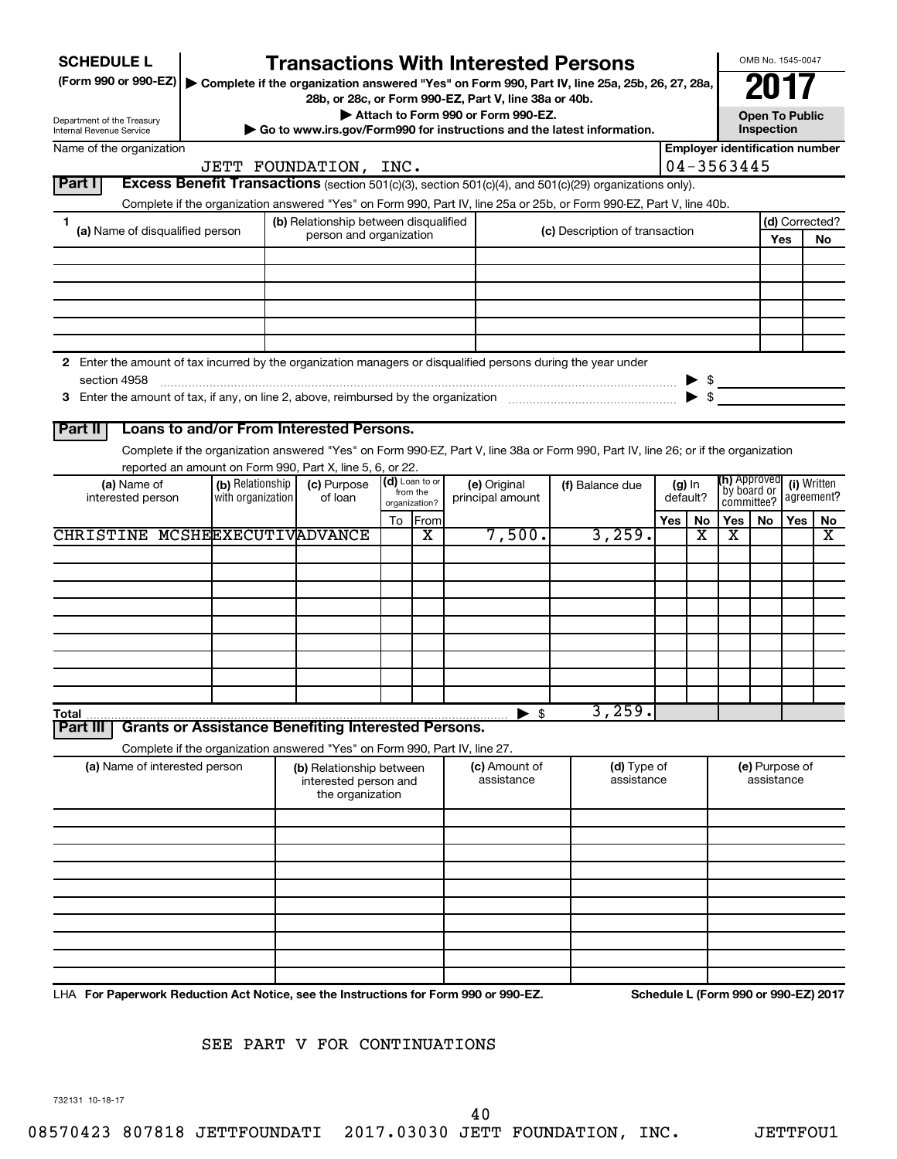| <b>SCHEDULE L</b><br>(Form 990 or 990-EZ)<br>Department of the Treasury<br>Internal Revenue Service                                |                                       | <b>Transactions With Interested Persons</b><br>Complete if the organization answered "Yes" on Form 990, Part IV, line 25a, 25b, 26, 27, 28a,<br>28b, or 28c, or Form 990-EZ, Part V, line 38a or 40b.<br>$\triangleright$ Go to www.irs.gov/Form990 for instructions and the latest information. |                            |               | Attach to Form 990 or Form 990-EZ. |                                |     |                      |                                            | Inspection | OMB No. 1545-0047<br><b>Open To Public</b> |                           |
|------------------------------------------------------------------------------------------------------------------------------------|---------------------------------------|--------------------------------------------------------------------------------------------------------------------------------------------------------------------------------------------------------------------------------------------------------------------------------------------------|----------------------------|---------------|------------------------------------|--------------------------------|-----|----------------------|--------------------------------------------|------------|--------------------------------------------|---------------------------|
| Name of the organization                                                                                                           |                                       |                                                                                                                                                                                                                                                                                                  |                            |               |                                    |                                |     |                      | <b>Employer identification number</b>      |            |                                            |                           |
| Excess Benefit Transactions (section 501(c)(3), section 501(c)(4), and 501(c)(29) organizations only).<br>Part I                   |                                       | JETT FOUNDATION, INC.                                                                                                                                                                                                                                                                            |                            |               |                                    |                                |     |                      | 04-3563445                                 |            |                                            |                           |
| Complete if the organization answered "Yes" on Form 990, Part IV, line 25a or 25b, or Form 990-EZ, Part V, line 40b.               |                                       |                                                                                                                                                                                                                                                                                                  |                            |               |                                    |                                |     |                      |                                            |            |                                            |                           |
| 1<br>(a) Name of disqualified person                                                                                               |                                       | (b) Relationship between disqualified<br>person and organization                                                                                                                                                                                                                                 |                            |               |                                    | (c) Description of transaction |     |                      |                                            |            | Yes                                        | (d) Corrected?<br>No      |
|                                                                                                                                    |                                       |                                                                                                                                                                                                                                                                                                  |                            |               |                                    |                                |     |                      |                                            |            |                                            |                           |
|                                                                                                                                    |                                       |                                                                                                                                                                                                                                                                                                  |                            |               |                                    |                                |     |                      |                                            |            |                                            |                           |
| 2 Enter the amount of tax incurred by the organization managers or disqualified persons during the year under<br>section 4958      |                                       | $\begin{array}{c} \text{} \\ \text{} \end{array}$ $\begin{array}{c} \text{} \\ \text{} \end{array}$ $\begin{array}{c} \text{} \\ \text{} \end{array}$ $\begin{array}{c} \text{} \\ \text{} \end{array}$ $\begin{array}{c} \text{} \\ \text{} \end{array}$                                        |                            |               |                                    |                                |     |                      |                                            |            |                                            |                           |
| Loans to and/or From Interested Persons.<br>Part II                                                                                |                                       |                                                                                                                                                                                                                                                                                                  |                            |               |                                    |                                |     |                      |                                            |            |                                            |                           |
| Complete if the organization answered "Yes" on Form 990-EZ, Part V, line 38a or Form 990, Part IV, line 26; or if the organization |                                       |                                                                                                                                                                                                                                                                                                  |                            |               |                                    |                                |     |                      |                                            |            |                                            |                           |
| reported an amount on Form 990, Part X, line 5, 6, or 22.                                                                          |                                       |                                                                                                                                                                                                                                                                                                  |                            |               |                                    |                                |     |                      |                                            |            |                                            |                           |
| (a) Name of<br>interested person                                                                                                   | (b) Relationship<br>with organization | (c) Purpose<br>of loan                                                                                                                                                                                                                                                                           | (d) Loan to or<br>from the | organization? | (e) Original<br>principal amount   | (f) Balance due                |     | $(g)$ In<br>default? | (h) Approved<br>`by board or<br>committee? |            |                                            | (i) Written<br>agreement? |
| CHRISTINE MCSHEEXECUTIVADVANCE                                                                                                     |                                       |                                                                                                                                                                                                                                                                                                  | To                         | From<br>x     | 7,500.                             | 3,259.                         | Yes | No<br>x              | Yes   No<br>x                              |            | Yes I                                      | No<br>x                   |
|                                                                                                                                    |                                       |                                                                                                                                                                                                                                                                                                  |                            |               |                                    |                                |     |                      |                                            |            |                                            |                           |
|                                                                                                                                    |                                       |                                                                                                                                                                                                                                                                                                  |                            |               |                                    |                                |     |                      |                                            |            |                                            |                           |
|                                                                                                                                    |                                       |                                                                                                                                                                                                                                                                                                  |                            |               |                                    |                                |     |                      |                                            |            |                                            |                           |
|                                                                                                                                    |                                       |                                                                                                                                                                                                                                                                                                  |                            |               |                                    |                                |     |                      |                                            |            |                                            |                           |
|                                                                                                                                    |                                       |                                                                                                                                                                                                                                                                                                  |                            |               |                                    |                                |     |                      |                                            |            |                                            |                           |
|                                                                                                                                    |                                       |                                                                                                                                                                                                                                                                                                  |                            |               |                                    |                                |     |                      |                                            |            |                                            |                           |
|                                                                                                                                    |                                       |                                                                                                                                                                                                                                                                                                  |                            |               |                                    |                                |     |                      |                                            |            |                                            |                           |
|                                                                                                                                    |                                       |                                                                                                                                                                                                                                                                                                  |                            |               |                                    | 3,259.                         |     |                      |                                            |            |                                            |                           |
| Total<br><b>Grants or Assistance Benefiting Interested Persons.</b><br><b>Part III</b>                                             |                                       |                                                                                                                                                                                                                                                                                                  |                            |               | $\blacktriangleright$ \$           |                                |     |                      |                                            |            |                                            |                           |
| Complete if the organization answered "Yes" on Form 990, Part IV, line 27.                                                         |                                       |                                                                                                                                                                                                                                                                                                  |                            |               |                                    |                                |     |                      |                                            |            |                                            |                           |
| (a) Name of interested person                                                                                                      |                                       | (b) Relationship between<br>interested person and<br>the organization                                                                                                                                                                                                                            |                            |               | (c) Amount of<br>assistance        | (d) Type of<br>assistance      |     |                      |                                            | assistance | (e) Purpose of                             |                           |
|                                                                                                                                    |                                       |                                                                                                                                                                                                                                                                                                  |                            |               |                                    |                                |     |                      |                                            |            |                                            |                           |
|                                                                                                                                    |                                       |                                                                                                                                                                                                                                                                                                  |                            |               |                                    |                                |     |                      |                                            |            |                                            |                           |
|                                                                                                                                    |                                       |                                                                                                                                                                                                                                                                                                  |                            |               |                                    |                                |     |                      |                                            |            |                                            |                           |
|                                                                                                                                    |                                       |                                                                                                                                                                                                                                                                                                  |                            |               |                                    |                                |     |                      |                                            |            |                                            |                           |

# SEE PART V FOR CONTINUATIONS

732131 10-18-17

40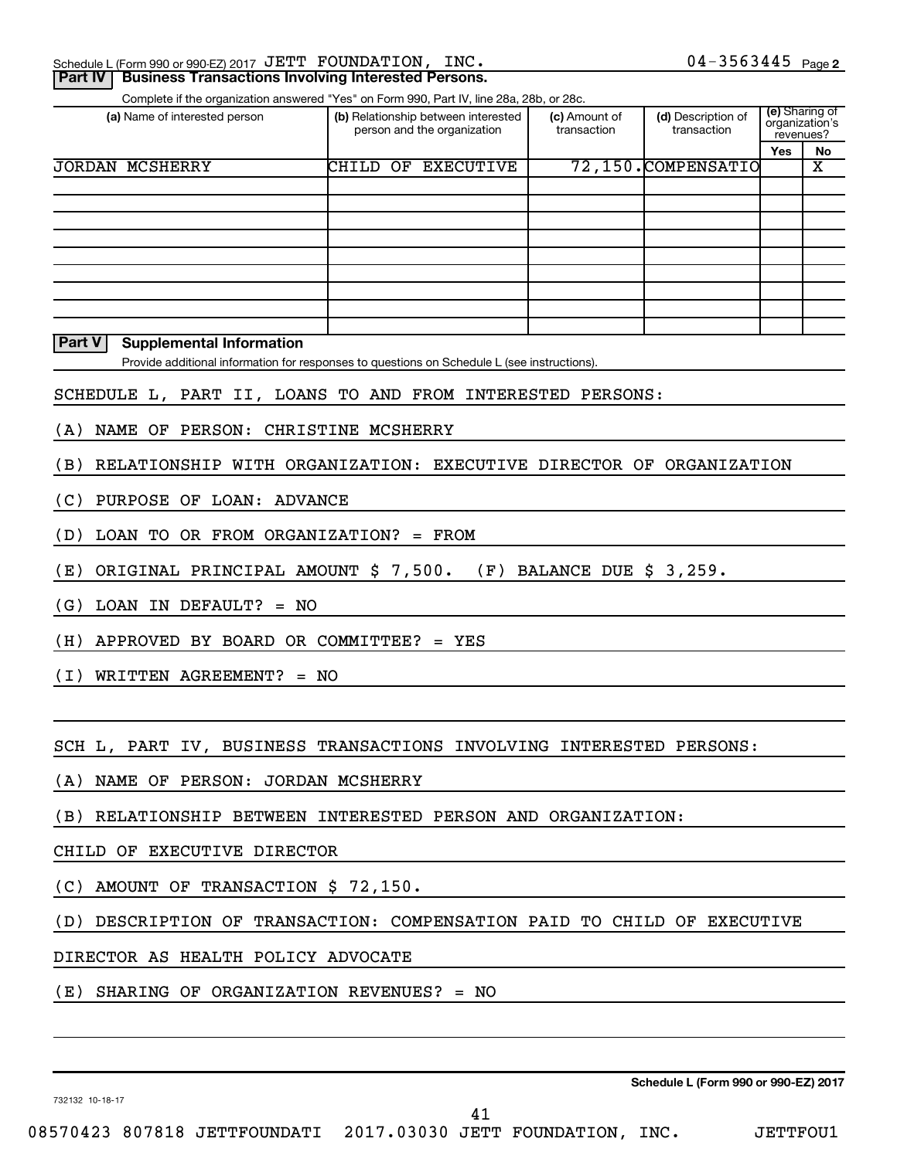| Schedule L (Form 990 or 990-EZ) 2017 $\rm\,JETT$ $\rm\,FOUNDATION$ , $\rm\,INC$ . |  |  |  |  |
|-----------------------------------------------------------------------------------|--|--|--|--|
|                                                                                   |  |  |  |  |

| Schedule L (Form 990 or 990-EZ) 2017 JETT FOUNDATION, INC.<br><b>Business Transactions Involving Interested Persons.</b><br><b>Part IV</b> |                                                                                             |                              | $04 - 3563445$ Page 2             |     |                                               |
|--------------------------------------------------------------------------------------------------------------------------------------------|---------------------------------------------------------------------------------------------|------------------------------|-----------------------------------|-----|-----------------------------------------------|
|                                                                                                                                            | Complete if the organization answered "Yes" on Form 990, Part IV, line 28a, 28b, or 28c.    |                              |                                   |     |                                               |
| (a) Name of interested person                                                                                                              | (b) Relationship between interested<br>person and the organization                          | (c) Amount of<br>transaction | (d) Description of<br>transaction |     | (e) Sharing of<br>organization's<br>revenues? |
| <b>JORDAN MCSHERRY</b>                                                                                                                     | CHILD<br>OF EXECUTIVE                                                                       |                              | 72,150.COMPENSATIO                | Yes | No<br>x                                       |
|                                                                                                                                            |                                                                                             |                              |                                   |     |                                               |
|                                                                                                                                            |                                                                                             |                              |                                   |     |                                               |
|                                                                                                                                            |                                                                                             |                              |                                   |     |                                               |
|                                                                                                                                            |                                                                                             |                              |                                   |     |                                               |
|                                                                                                                                            |                                                                                             |                              |                                   |     |                                               |
|                                                                                                                                            |                                                                                             |                              |                                   |     |                                               |
| Part V<br><b>Supplemental Information</b>                                                                                                  | Provide additional information for responses to questions on Schedule L (see instructions). |                              |                                   |     |                                               |
| SCHEDULE L, PART II, LOANS TO AND FROM INTERESTED PERSONS:                                                                                 |                                                                                             |                              |                                   |     |                                               |
| NAME OF PERSON: CHRISTINE MCSHERRY<br>(A)                                                                                                  |                                                                                             |                              |                                   |     |                                               |
| (B)                                                                                                                                        | RELATIONSHIP WITH ORGANIZATION: EXECUTIVE DIRECTOR OF ORGANIZATION                          |                              |                                   |     |                                               |
| PURPOSE OF LOAN: ADVANCE<br>(C)                                                                                                            |                                                                                             |                              |                                   |     |                                               |
| LOAN TO OR FROM ORGANIZATION? = FROM<br>(D)                                                                                                |                                                                                             |                              |                                   |     |                                               |
| ORIGINAL PRINCIPAL AMOUNT \$ 7,500.<br>(E)                                                                                                 |                                                                                             | $(F)$ BALANCE DUE \$ 3,259.  |                                   |     |                                               |
| LOAN IN DEFAULT? = $NO$<br>(G)                                                                                                             |                                                                                             |                              |                                   |     |                                               |
| (H) APPROVED BY BOARD OR COMMITTEE? = YES                                                                                                  |                                                                                             |                              |                                   |     |                                               |
| $(I)$ WRITTEN AGREEMENT? = NO                                                                                                              |                                                                                             |                              |                                   |     |                                               |
|                                                                                                                                            |                                                                                             |                              |                                   |     |                                               |
| SCH L, PART IV, BUSINESS TRANSACTIONS INVOLVING INTERESTED PERSONS:                                                                        |                                                                                             |                              |                                   |     |                                               |
| (A) NAME OF PERSON: JORDAN MCSHERRY                                                                                                        |                                                                                             |                              |                                   |     |                                               |
| (B) RELATIONSHIP BETWEEN INTERESTED PERSON AND ORGANIZATION:                                                                               |                                                                                             |                              |                                   |     |                                               |
| CHILD OF EXECUTIVE DIRECTOR                                                                                                                |                                                                                             |                              |                                   |     |                                               |
| AMOUNT OF TRANSACTION \$ 72,150.<br>(C)                                                                                                    |                                                                                             |                              |                                   |     |                                               |
| (D)                                                                                                                                        | DESCRIPTION OF TRANSACTION: COMPENSATION PAID TO CHILD OF EXECUTIVE                         |                              |                                   |     |                                               |
| DIRECTOR AS HEALTH POLICY ADVOCATE                                                                                                         |                                                                                             |                              |                                   |     |                                               |
| $(E)$ SHARING OF ORGANIZATION REVENUES? = NO                                                                                               |                                                                                             |                              |                                   |     |                                               |

732132 10-18-17

41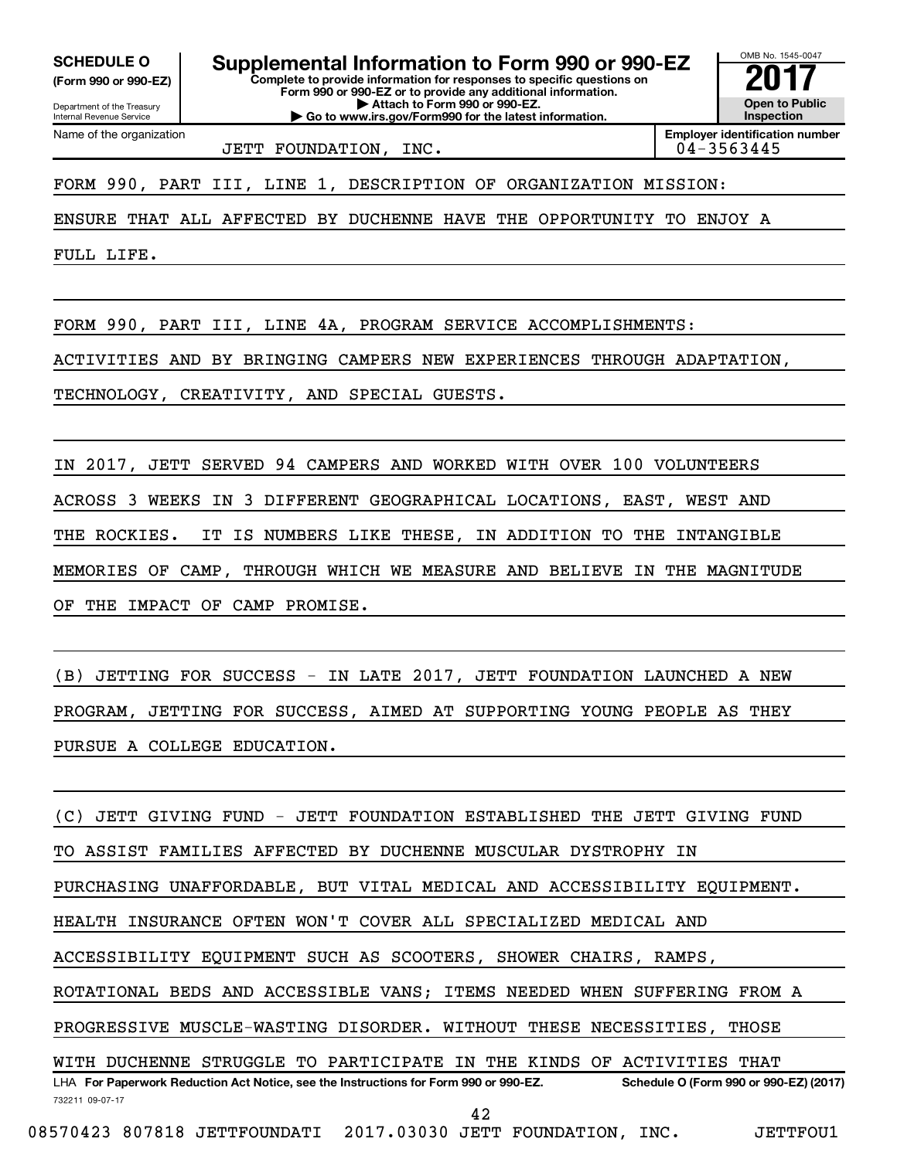**(Form 990 or 990-EZ)**

Department of the Treasury

Name of the organization

Internal Revenue Service

**Complete to provide information for responses to specific questions on Form 990 or 990-EZ or to provide any additional information. | Attach to Form 990 or 990-EZ. | Go to www.irs.gov/Form990 for the latest information. SCHEDULE O Supplemental Information to Form 990 or 990-EZ** <br>(Form 990 or 990-EZ) Complete to provide information for responses to specific questions on

**Open to Public Inspection**

OMB No. 1545-0047

JETT FOUNDATION, INC.

**Employer identification number**

FORM 990, PART III, LINE 1, DESCRIPTION OF ORGANIZATION MISSION:

ENSURE THAT ALL AFFECTED BY DUCHENNE HAVE THE OPPORTUNITY TO ENJOY A

FULL LIFE.

FORM 990, PART III, LINE 4A, PROGRAM SERVICE ACCOMPLISHMENTS:

ACTIVITIES AND BY BRINGING CAMPERS NEW EXPERIENCES THROUGH ADAPTATION,

TECHNOLOGY, CREATIVITY, AND SPECIAL GUESTS.

IN 2017, JETT SERVED 94 CAMPERS AND WORKED WITH OVER 100 VOLUNTEERS ACROSS 3 WEEKS IN 3 DIFFERENT GEOGRAPHICAL LOCATIONS, EAST, WEST AND THE ROCKIES. IT IS NUMBERS LIKE THESE, IN ADDITION TO THE INTANGIBLE MEMORIES OF CAMP, THROUGH WHICH WE MEASURE AND BELIEVE IN THE MAGNITUDE OF THE IMPACT OF CAMP PROMISE.

(B) JETTING FOR SUCCESS - IN LATE 2017, JETT FOUNDATION LAUNCHED A NEW PROGRAM, JETTING FOR SUCCESS, AIMED AT SUPPORTING YOUNG PEOPLE AS THEY PURSUE A COLLEGE EDUCATION.

732211 09-07-17 LHA For Paperwork Reduction Act Notice, see the Instructions for Form 990 or 990-EZ. Schedule O (Form 990 or 990-EZ) (2017) (C) JETT GIVING FUND - JETT FOUNDATION ESTABLISHED THE JETT GIVING FUND TO ASSIST FAMILIES AFFECTED BY DUCHENNE MUSCULAR DYSTROPHY IN PURCHASING UNAFFORDABLE, BUT VITAL MEDICAL AND ACCESSIBILITY EQUIPMENT. HEALTH INSURANCE OFTEN WON'T COVER ALL SPECIALIZED MEDICAL AND ACCESSIBILITY EQUIPMENT SUCH AS SCOOTERS, SHOWER CHAIRS, RAMPS, ROTATIONAL BEDS AND ACCESSIBLE VANS; ITEMS NEEDED WHEN SUFFERING FROM A PROGRESSIVE MUSCLE-WASTING DISORDER. WITHOUT THESE NECESSITIES, THOSE WITH DUCHENNE STRUGGLE TO PARTICIPATE IN THE KINDS OF ACTIVITIES THAT 42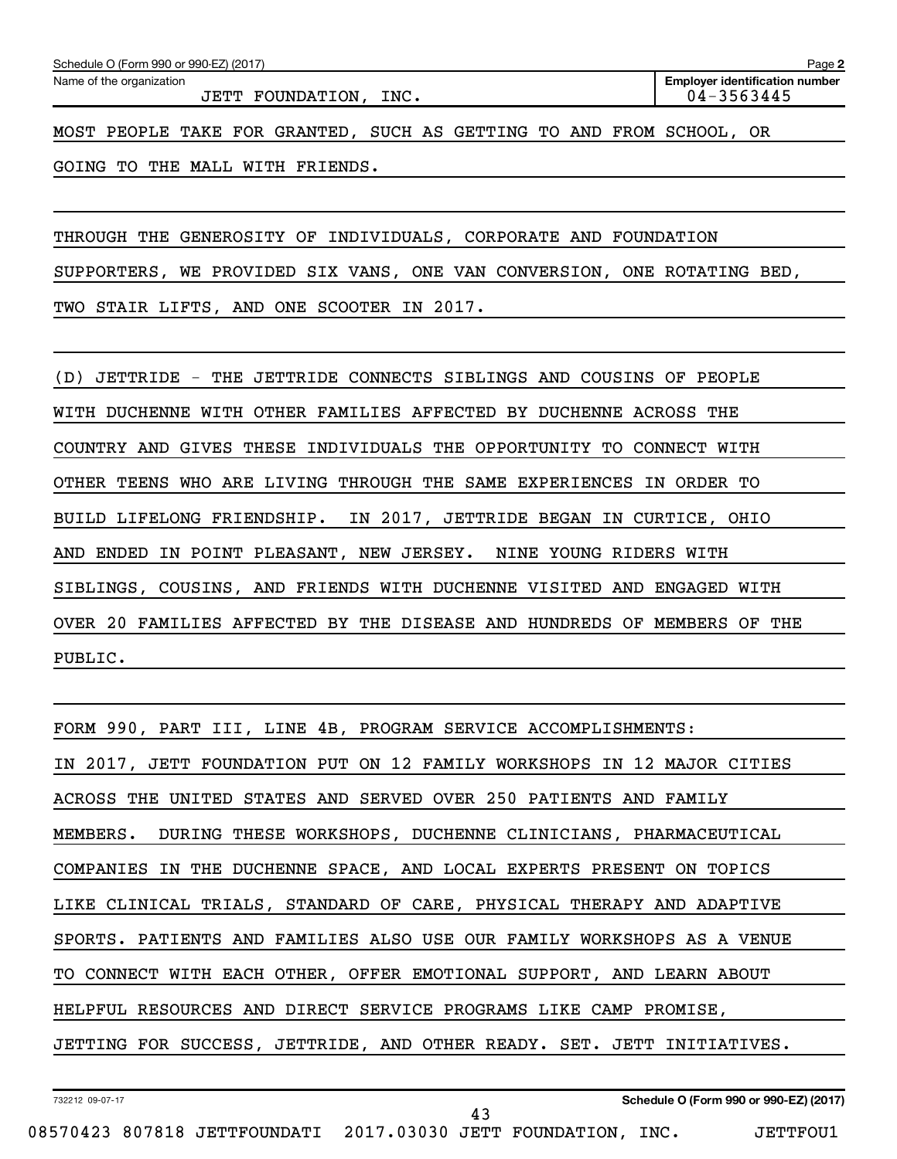JETT FOUNDATION, INC. 04-3563445

MOST PEOPLE TAKE FOR GRANTED, SUCH AS GETTING TO AND FROM SCHOOL, OR

GOING TO THE MALL WITH FRIENDS.

THROUGH THE GENEROSITY OF INDIVIDUALS, CORPORATE AND FOUNDATION SUPPORTERS, WE PROVIDED SIX VANS, ONE VAN CONVERSION, ONE ROTATING BED, TWO STAIR LIFTS, AND ONE SCOOTER IN 2017.

(D) JETTRIDE - THE JETTRIDE CONNECTS SIBLINGS AND COUSINS OF PEOPLE WITH DUCHENNE WITH OTHER FAMILIES AFFECTED BY DUCHENNE ACROSS THE COUNTRY AND GIVES THESE INDIVIDUALS THE OPPORTUNITY TO CONNECT WITH OTHER TEENS WHO ARE LIVING THROUGH THE SAME EXPERIENCES IN ORDER TO BUILD LIFELONG FRIENDSHIP. IN 2017, JETTRIDE BEGAN IN CURTICE, OHIO AND ENDED IN POINT PLEASANT, NEW JERSEY. NINE YOUNG RIDERS WITH SIBLINGS, COUSINS, AND FRIENDS WITH DUCHENNE VISITED AND ENGAGED WITH OVER 20 FAMILIES AFFECTED BY THE DISEASE AND HUNDREDS OF MEMBERS OF THE PUBLIC.

FORM 990, PART III, LINE 4B, PROGRAM SERVICE ACCOMPLISHMENTS: IN 2017, JETT FOUNDATION PUT ON 12 FAMILY WORKSHOPS IN 12 MAJOR CITIES ACROSS THE UNITED STATES AND SERVED OVER 250 PATIENTS AND FAMILY MEMBERS. DURING THESE WORKSHOPS, DUCHENNE CLINICIANS, PHARMACEUTICAL COMPANIES IN THE DUCHENNE SPACE, AND LOCAL EXPERTS PRESENT ON TOPICS LIKE CLINICAL TRIALS, STANDARD OF CARE, PHYSICAL THERAPY AND ADAPTIVE SPORTS. PATIENTS AND FAMILIES ALSO USE OUR FAMILY WORKSHOPS AS A VENUE TO CONNECT WITH EACH OTHER, OFFER EMOTIONAL SUPPORT, AND LEARN ABOUT HELPFUL RESOURCES AND DIRECT SERVICE PROGRAMS LIKE CAMP PROMISE, JETTING FOR SUCCESS, JETTRIDE, AND OTHER READY. SET. JETT INITIATIVES.

43

732212 09-07-17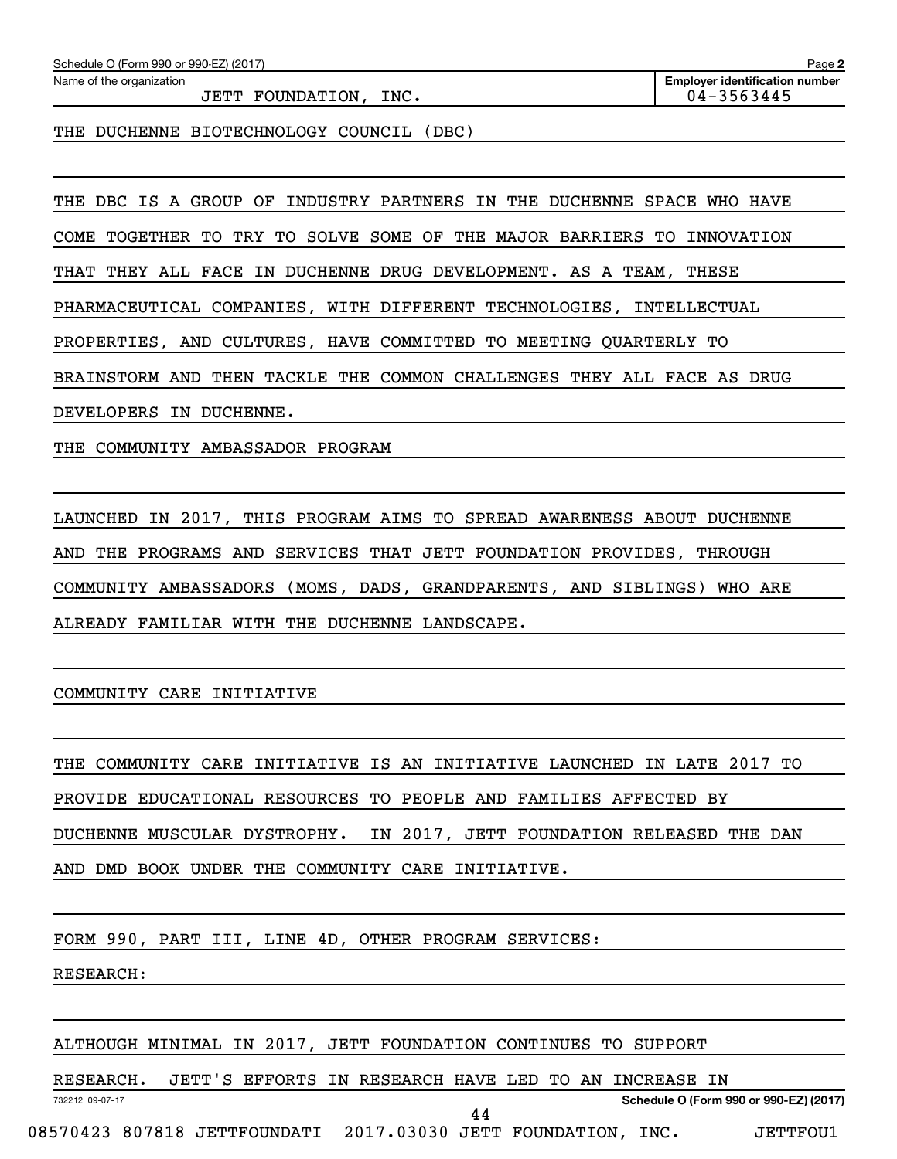| Schedule O (Form 990 or 990-EZ) (2017) | Page |  |
|----------------------------------------|------|--|
|                                        |      |  |

Name of the organization

JETT FOUNDATION, INC. 04-3563445

**2 Employer identification number**

THE DUCHENNE BIOTECHNOLOGY COUNCIL (DBC)

THE DBC IS A GROUP OF INDUSTRY PARTNERS IN THE DUCHENNE SPACE WHO HAVE

COME TOGETHER TO TRY TO SOLVE SOME OF THE MAJOR BARRIERS TO INNOVATION

THAT THEY ALL FACE IN DUCHENNE DRUG DEVELOPMENT. AS A TEAM, THESE

PHARMACEUTICAL COMPANIES, WITH DIFFERENT TECHNOLOGIES, INTELLECTUAL

PROPERTIES, AND CULTURES, HAVE COMMITTED TO MEETING QUARTERLY TO

BRAINSTORM AND THEN TACKLE THE COMMON CHALLENGES THEY ALL FACE AS DRUG

DEVELOPERS IN DUCHENNE.

THE COMMUNITY AMBASSADOR PROGRAM

LAUNCHED IN 2017, THIS PROGRAM AIMS TO SPREAD AWARENESS ABOUT DUCHENNE AND THE PROGRAMS AND SERVICES THAT JETT FOUNDATION PROVIDES, THROUGH COMMUNITY AMBASSADORS (MOMS, DADS, GRANDPARENTS, AND SIBLINGS) WHO ARE ALREADY FAMILIAR WITH THE DUCHENNE LANDSCAPE.

COMMUNITY CARE INITIATIVE

THE COMMUNITY CARE INITIATIVE IS AN INITIATIVE LAUNCHED IN LATE 2017 TO PROVIDE EDUCATIONAL RESOURCES TO PEOPLE AND FAMILIES AFFECTED BY DUCHENNE MUSCULAR DYSTROPHY. IN 2017, JETT FOUNDATION RELEASED THE DAN AND DMD BOOK UNDER THE COMMUNITY CARE INITIATIVE.

FORM 990, PART III, LINE 4D, OTHER PROGRAM SERVICES:

RESEARCH:

ALTHOUGH MINIMAL IN 2017, JETT FOUNDATION CONTINUES TO SUPPORT

RESEARCH. JETT'S EFFORTS IN RESEARCH HAVE LED TO AN INCREASE IN

44

732212 09-07-17

**Schedule O (Form 990 or 990-EZ) (2017)**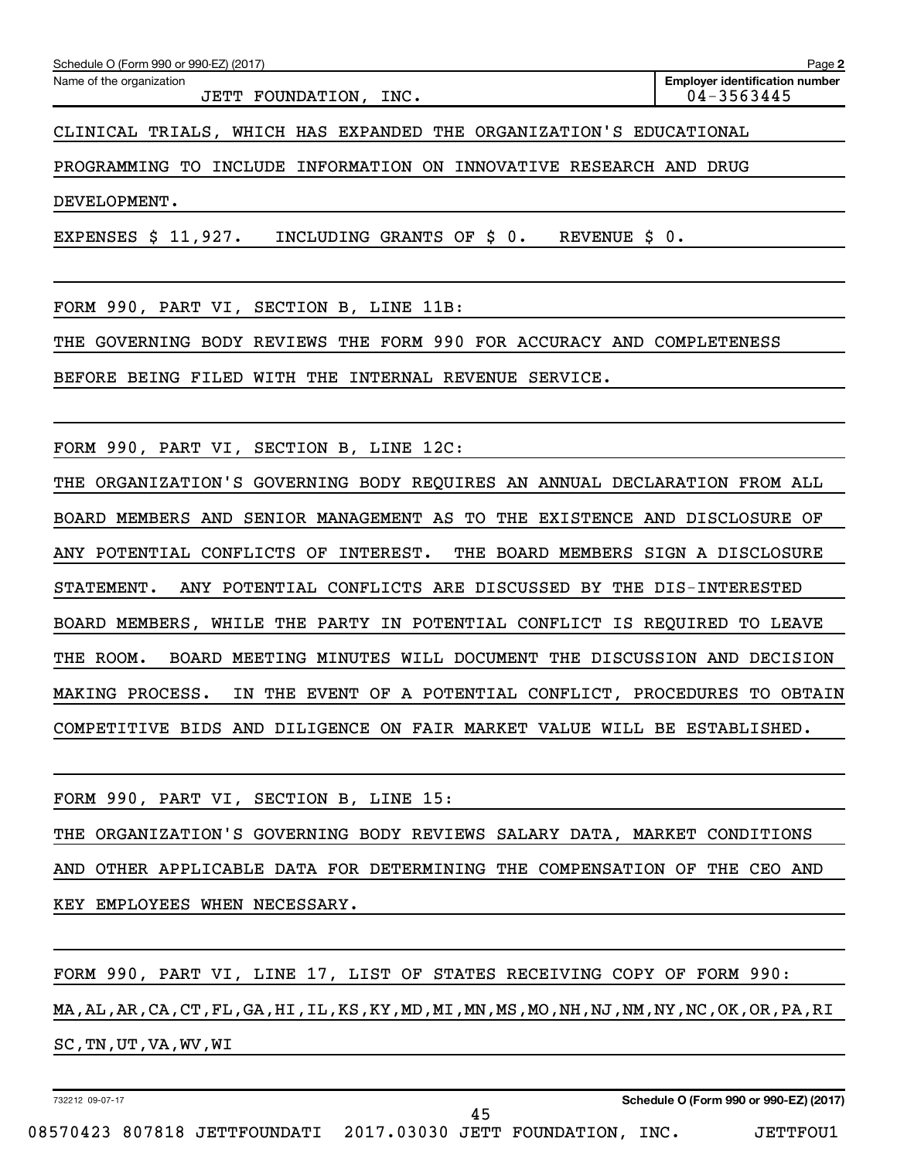Name of the organization

CLINICAL TRIALS, WHICH HAS EXPANDED THE ORGANIZATION'S EDUCATIONAL

PROGRAMMING TO INCLUDE INFORMATION ON INNOVATIVE RESEARCH AND DRUG

DEVELOPMENT.

EXPENSES \$ 11,927. INCLUDING GRANTS OF \$ 0. REVENUE \$ 0.

FORM 990, PART VI, SECTION B, LINE 11B:

THE GOVERNING BODY REVIEWS THE FORM 990 FOR ACCURACY AND COMPLETENESS

BEFORE BEING FILED WITH THE INTERNAL REVENUE SERVICE.

FORM 990, PART VI, SECTION B, LINE 12C:

THE ORGANIZATION'S GOVERNING BODY REQUIRES AN ANNUAL DECLARATION FROM ALL BOARD MEMBERS AND SENIOR MANAGEMENT AS TO THE EXISTENCE AND DISCLOSURE OF ANY POTENTIAL CONFLICTS OF INTEREST. THE BOARD MEMBERS SIGN A DISCLOSURE STATEMENT. ANY POTENTIAL CONFLICTS ARE DISCUSSED BY THE DIS-INTERESTED BOARD MEMBERS, WHILE THE PARTY IN POTENTIAL CONFLICT IS REQUIRED TO LEAVE THE ROOM. BOARD MEETING MINUTES WILL DOCUMENT THE DISCUSSION AND DECISION MAKING PROCESS. IN THE EVENT OF A POTENTIAL CONFLICT, PROCEDURES TO OBTAIN COMPETITIVE BIDS AND DILIGENCE ON FAIR MARKET VALUE WILL BE ESTABLISHED.

FORM 990, PART VI, SECTION B, LINE 15:

THE ORGANIZATION'S GOVERNING BODY REVIEWS SALARY DATA, MARKET CONDITIONS AND OTHER APPLICABLE DATA FOR DETERMINING THE COMPENSATION OF THE CEO AND KEY EMPLOYEES WHEN NECESSARY.

FORM 990, PART VI, LINE 17, LIST OF STATES RECEIVING COPY OF FORM 990: MA,AL,AR,CA,CT,FL,GA,HI,IL,KS,KY,MD,MI,MN,MS,MO,NH,NJ,NM,NY,NC,OK,OR,PA,RI SC,TN,UT,VA,WV,WI

45

732212 09-07-17